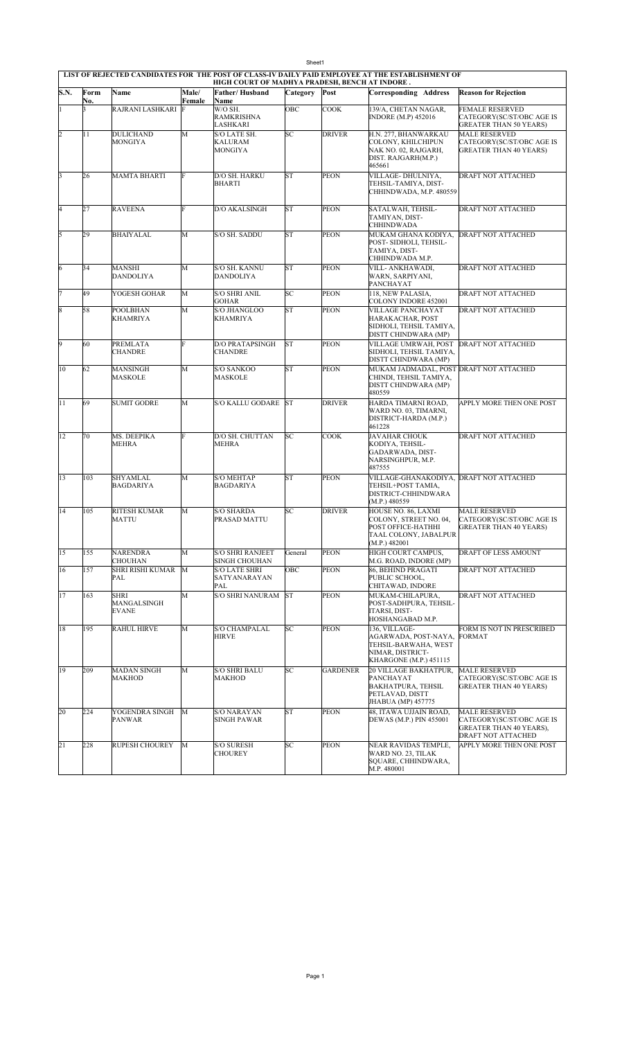| S.N.                    | Form | Name                                       | Male/  | HIGH COURT OF MADHYA PRADESH, BENCH AT INDORE.<br>Father/Husband | <b>Category</b> | Post            | <b>Corresponding Address</b>                                                                                    | <b>Reason for Rejection</b>                                                                                      |
|-------------------------|------|--------------------------------------------|--------|------------------------------------------------------------------|-----------------|-----------------|-----------------------------------------------------------------------------------------------------------------|------------------------------------------------------------------------------------------------------------------|
|                         | No.  |                                            | Female | Name                                                             |                 |                 |                                                                                                                 |                                                                                                                  |
| 1                       | 3    | RAJRANI LASHKARI                           | F      | W/O SH.<br><b>RAMKRISHNA</b><br>LASHKARI                         | ОВС             | <b>COOK</b>     | 139/A, CHETAN NAGAR,<br>INDORE (M.P) 452016                                                                     | <b>FEMALE RESERVED</b><br>CATEGORY(SC/ST/OBC AGE IS<br><b>GREATER THAN 50 YEARS)</b>                             |
| $\overline{2}$          | 11   | DULICHAND<br>MONGIYA                       | M      | S/O LATE SH.<br><b>KALURAM</b><br>MONGIYA                        | SC              | <b>DRIVER</b>   | H.N. 277, BHANWARKAU<br>COLONY, KHILCHIPUN<br>NAK NO. 02, RAJGARH,<br>DIST. RAJGARH(M.P.)<br>465661             | <b>MALE RESERVED</b><br>CATEGORY(SC/ST/OBC AGE IS<br><b>GREATER THAN 40 YEARS)</b>                               |
| $\overline{\mathbf{3}}$ | 26   | MAMTA BHARTI                               | F      | D/O SH. HARKU<br><b>BHARTI</b>                                   | <b>ST</b>       | <b>PEON</b>     | VILLAGE- DHULNIYA,<br>TEHSIL-TAMIYA, DIST-<br>CHHINDWADA, M.P. 480559                                           | <b>DRAFT NOT ATTACHED</b>                                                                                        |
| 4                       | 27   | RAVEENA                                    | F      | D/O AKALSINGH                                                    | <b>ST</b>       | <b>PEON</b>     | SATALWAH, TEHSIL-<br>TAMIYAN, DIST-<br>CHHINDWADA                                                               | DRAFT NOT ATTACHED                                                                                               |
| 5                       | 29   | BHAIYALAL                                  | M      | S/O SH. SADDU                                                    | <b>ST</b>       | <b>PEON</b>     | MUKAM GHANA KODIYA,<br>POST- SIDHOLI, TEHSIL-<br>TAMIYA, DIST-<br>CHHINDWADA M.P.                               | <b>DRAFT NOT ATTACHED</b>                                                                                        |
| 6                       | 34   | <b>MANSHI</b><br><b>DANDOLIYA</b>          | M      | S/O SH. KANNU<br>DANDOLIYA                                       | <b>ST</b>       | <b>PEON</b>     | VILL- ANKHAWADI,<br>WARN, SARPIYANI,<br>PANCHAYAT                                                               | DRAFT NOT ATTACHED                                                                                               |
| 7                       | 49   | YOGESH GOHAR                               | M      | S/O SHRI ANIL<br>GOHAR                                           | <b>SC</b>       | <b>PEON</b>     | 118. NEW PALASIA.<br>COLONY INDORE 452001                                                                       | DRAFT NOT ATTACHED                                                                                               |
| $\overline{\mathbf{8}}$ | 58   | POOLBHAN<br>KHAMRIYA                       | M      | S/O JHANGLOO<br><b>KHAMRIYA</b>                                  | <b>ST</b>       | <b>PEON</b>     | VILLAGE PANCHAYAT<br>HARAKACHAR, POST<br>SIDHOLI, TEHSIL TAMIYA,<br>DISTT CHINDWARA (MP)                        | DRAFT NOT ATTACHED                                                                                               |
| 9                       | 60   | PREMLATA<br><b>CHANDRE</b>                 | F      | <b>D/O PRATAPSINGH</b><br><b>CHANDRE</b>                         | <b>ST</b>       | <b>PEON</b>     | VILLAGE UMRWAH, POST<br>SIDHOLI, TEHSIL TAMIYA,<br>DISTT CHINDWARA (MP)                                         | <b>DRAFT NOT ATTACHED</b>                                                                                        |
| 10                      | 62   | MANSINGH<br>MASKOLE                        | M      | <b>S/O SANKOO</b><br>MASKOLE                                     | <b>ST</b>       | <b>PEON</b>     | MUKAM JADMADAL, POST DRAFT NOT ATTACHED<br>CHINDI, TEHSIL TAMIYA,<br>DISTT CHINDWARA (MP)<br>480559             |                                                                                                                  |
| 11                      | 69   | <b>SUMIT GODRE</b>                         | M      | S/O KALLU GODARE                                                 | <b>ST</b>       | <b>DRIVER</b>   | HARDA TIMARNI ROAD,<br>WARD NO. 03, TIMARNI,<br>DISTRICT-HARDA (M.P.)<br>461228                                 | APPLY MORE THEN ONE POST                                                                                         |
| 12                      | 70   | MS. DEEPIKA<br>MEHRA                       | F      | D/O SH. CHUTTAN<br><b>MEHRA</b>                                  | SC              | <b>COOK</b>     | <b>JAVAHAR CHOUK</b><br>KODIYA, TEHSIL-<br>GADARWADA, DIST-<br>NARSINGHPUR, M.P.<br>487555                      | <b>DRAFT NOT ATTACHED</b>                                                                                        |
| 13                      | 103  | SHYAMLAL<br><b>BAGDARIYA</b>               | М      | <b>S/O MEHTAP</b><br><b>BAGDARIYA</b>                            | <b>ST</b>       | <b>PEON</b>     | VILLAGE-GHANAKODIYA, DRAFT NOT ATTACHED<br>TEHSIL+POST TAMIA,<br>DISTRICT-CHHINDWARA<br>(M.P.) 480559           |                                                                                                                  |
| 14                      | 105  | <b>RITESH KUMAR</b><br>MATTU               | M      | <b>S/O SHARDA</b><br>PRASAD MATTU                                | SC              | <b>DRIVER</b>   | HOUSE NO. 86, LAXMI<br>COLONY, STREET NO. 04,<br>POST OFFICE-HATHHI<br>TAAL COLONY, JABALPUR<br>(M.P.) 482001   | <b>MALE RESERVED</b><br>CATEGORY(SC/ST/OBC AGE IS<br><b>GREATER THAN 40 YEARS)</b>                               |
| 15                      | 155  | <b>NARENDRA</b><br><b>CHOUHAN</b>          | M      | <b>S/O SHRI RANJEET</b><br>SINGH CHOUHAN                         | General         | <b>PEON</b>     | HIGH COURT CAMPUS,<br>M.G. ROAD, INDORE (MP)                                                                    | <b>DRAFT OF LESS AMOUNT</b>                                                                                      |
| 16                      | 157  | <b>SHRI RISHI KUMAR</b><br>PAL             | M      | S/O LATE SHRI<br>SATYANARAYAN<br>PAL                             | OBC             | <b>PEON</b>     | 86, BEHIND PRAGATI<br>PUBLIC SCHOOL,<br>CHITAWAD, INDORE                                                        | DRAFT NOT ATTACHED                                                                                               |
| 17                      | 163  | <b>SHRI</b><br>MANGALSINGH<br><b>EVANE</b> | М      | S/O SHRI NANURAM                                                 | <b>ST</b>       | <b>PEON</b>     | MUKAM-CHILAPURA,<br>POST-SADHPURA, TEHSIL-<br>ITARSI, DIST-<br>HOSHANGABAD M.P.                                 | DRAFT NOT ATTACHED                                                                                               |
| 18                      | 195  | <b>RAHUL HIRVE</b>                         | M      | <b>S/O CHAMPALAL</b><br><b>HIRVE</b>                             | SC              | <b>PEON</b>     | 136, VILLAGE-<br>AGARWADA, POST-NAYA,<br>TEHSIL-BARWAHA, WEST<br>NIMAR, DISTRICT-<br>KHARGONE (M.P.) 451115     | FORM IS NOT IN PRESCRIBED<br><b>FORMAT</b>                                                                       |
| 19                      | 209  | <b>MADAN SINGH</b><br>MAKHOD               | M      | S/O SHRI BALU<br><b>MAKHOD</b>                                   | SC              | <b>GARDENER</b> | <b>20 VILLAGE BAKHATPUR,</b><br>PANCHAYAT<br><b>BAKHATPURA, TEHSIL</b><br>PETLAVAD, DISTT<br>JHABUA (MP) 457775 | <b>MALE RESERVED</b><br>CATEGORY(SC/ST/OBC AGE IS<br><b>GREATER THAN 40 YEARS)</b>                               |
| 20                      | 224  | YOGENDRA SINGH<br>PANWAR                   | M      | S/O NARAYAN<br>SINGH PAWAR                                       | <b>ST</b>       | <b>PEON</b>     | 48, ITAWA UJJAIN ROAD,<br>DEWAS (M.P.) PIN 455001                                                               | <b>MALE RESERVED</b><br>CATEGORY(SC/ST/OBC AGE IS<br><b>GREATER THAN 40 YEARS),</b><br><b>DRAFT NOT ATTACHED</b> |
| $\overline{21}$         | 228  | RUPESH CHOUREY                             | M      | S/O SURESH<br><b>CHOUREY</b>                                     | SC              | <b>PEON</b>     | NEAR RAVIDAS TEMPLE,<br>WARD NO. 23, TILAK<br>SQUARE, CHHINDWARA,<br>M.P. 480001                                | APPLY MORE THEN ONE POST                                                                                         |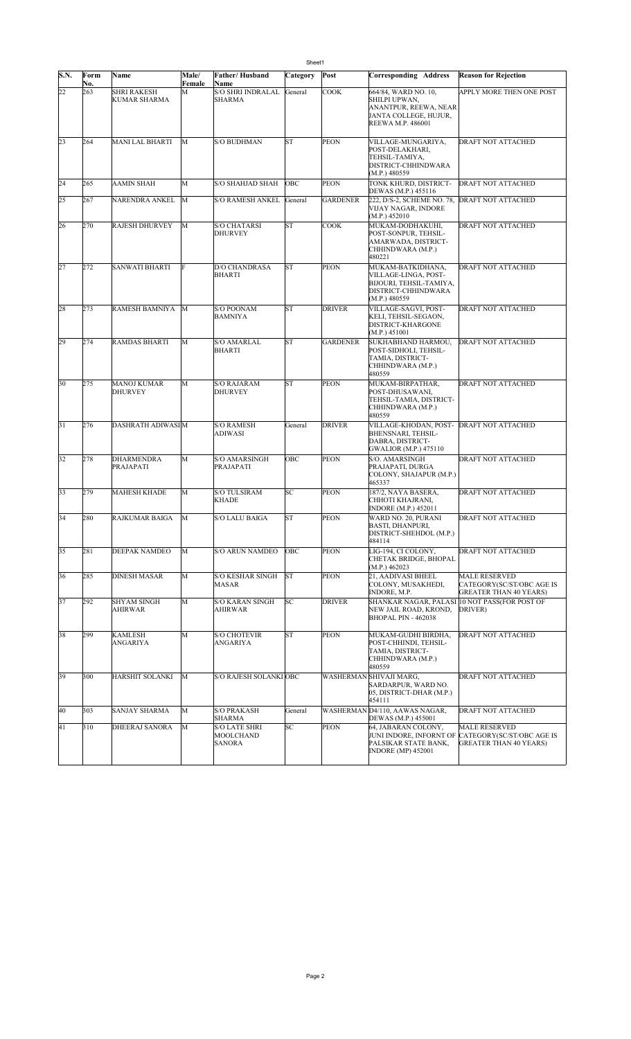| S.N.            | Form       | Name                                      | Male/<br>Female | Father/Husband<br>Name                    | <b>SHEEL</b><br>Category | Post            | Corresponding Address                                                                                        | <b>Reason for Rejection</b>                                                        |
|-----------------|------------|-------------------------------------------|-----------------|-------------------------------------------|--------------------------|-----------------|--------------------------------------------------------------------------------------------------------------|------------------------------------------------------------------------------------|
| 22              | No.<br>263 | <b>SHRI RAKESH</b><br><b>KUMAR SHARMA</b> | М               | <b>S/O SHRI INDRALAL</b><br><b>SHARMA</b> | General                  | <b>COOK</b>     | 664/84, WARD NO. 10,<br>SHILPI UPWAN,<br>ANANTPUR, REEWA, NEAR<br>JANTA COLLEGE, HUJUR,<br>REEWA M.P. 486001 | APPLY MORE THEN ONE POST                                                           |
| $\overline{23}$ | 264        | <b>MANI LAL BHARTI</b>                    | M               | <b>S/O BUDHMAN</b>                        | <b>ST</b>                | <b>PEON</b>     | VILLAGE-MUNGARIYA,<br>POST-DELAKHARI,<br>TEHSIL-TAMIYA,<br>DISTRICT-CHHINDWARA<br>(M.P.) 480559              | DRAFT NOT ATTACHED                                                                 |
| 24              | 265        | <b>AAMIN SHAH</b>                         | M               | S/O SHAHJAD SHAH                          | OBC                      | <b>PEON</b>     | TONK KHURD, DISTRICT-<br>DEWAS (M.P.) 455116                                                                 | DRAFT NOT ATTACHED                                                                 |
| 25              | 267        | NARENDRA ANKEL                            | M               | <b>S/O RAMESH ANKEL</b>                   | General                  | <b>GARDENER</b> | 222, D/S-2, SCHEME NO. 78,<br>VIJAY NAGAR, INDORE<br>(M.P.) 452010                                           | <b>DRAFT NOT ATTACHED</b>                                                          |
| 26              | 270        | <b>RAJESH DHURVEY</b>                     | M               | <b>S/O CHATARSI</b><br><b>DHURVEY</b>     | <b>ST</b>                | <b>COOK</b>     | MUKAM-DODHAKUHI,<br>POST-SONPUR, TEHSIL-<br>AMARWADA, DISTRICT-<br>CHHINDWARA (M.P.)<br>480221               | DRAFT NOT ATTACHED                                                                 |
| 27              | 272        | SANWATI BHARTI                            | F               | D/O CHANDRASA<br><b>BHARTI</b>            | <b>ST</b>                | <b>PEON</b>     | MUKAM-BATKIDHANA,<br>VILLAGE-LINGA, POST-<br>BIJOURI, TEHSIL-TAMIYA,<br>DISTRICT-CHHINDWARA<br>(M.P.) 480559 | DRAFT NOT ATTACHED                                                                 |
| 28              | 273        | RAMESH BAMNIYA                            | М               | <b>S/O POONAM</b><br><b>BAMNIYA</b>       | <b>ST</b>                | <b>DRIVER</b>   | VILLAGE-SAGVI, POST-<br>KELI, TEHSIL-SEGAON,<br><b>DISTRICT-KHARGONE</b><br>(M.P.) 451001                    | DRAFT NOT ATTACHED                                                                 |
| 29              | 274        | <b>RAMDAS BHARTI</b>                      | M               | <b>S/O AMARLAL</b><br><b>BHARTI</b>       | <b>ST</b>                | <b>GARDENER</b> | SUKHABHAND HARMOU,<br>POST-SIDHOLI, TEHSIL-<br>TAMIA, DISTRICT-<br>CHHINDWARA (M.P.)<br>480559               | DRAFT NOT ATTACHED                                                                 |
| 30              | 275        | <b>MANOJ KUMAR</b><br><b>DHURVEY</b>      | M               | <b>S/O RAJARAM</b><br><b>DHURVEY</b>      | <b>ST</b>                | <b>PEON</b>     | MUKAM-BIRPATHAR,<br>POST-DHUSAWANI,<br>TEHSIL-TAMIA, DISTRICT-<br>CHHINDWARA (M.P.)<br>480559                | DRAFT NOT ATTACHED                                                                 |
| 31              | 276        | DASHRATH ADIWASI M                        |                 | <b>S/O RAMESH</b><br>ADIWASI              | General                  | <b>DRIVER</b>   | VILLAGE-KHODAN, POST-<br>BHENSNARI, TEHSIL-<br>DABRA, DISTRICT-<br>GWALIOR (M.P.) 475110                     | <b>DRAFT NOT ATTACHED</b>                                                          |
| 32              | 278        | <b>DHARMENDRA</b><br>PRAJAPATI            | M               | <b>S/O AMARSINGH</b><br>PRAJAPATI         | OBC                      | <b>PEON</b>     | S/O. AMARSINGH<br>PRAJAPATI, DURGA<br>COLONY, SHAJAPUR (M.P.)<br>465337                                      | DRAFT NOT ATTACHED                                                                 |
| 33              | 279        | <b>MAHESH KHADE</b>                       | M               | <b>S/O TULSIRAM</b><br><b>KHADE</b>       | SC                       | <b>PEON</b>     | 187/2, NAYA BASERA,<br>CHHOTI KHAJRANI,<br><b>INDORE</b> (M.P.) 452011                                       | DRAFT NOT ATTACHED                                                                 |
| 34              | 280        | <b>RAJKUMAR BAIGA</b>                     | M               | <b>S/O LALU BAIGA</b>                     | <b>ST</b>                | <b>PEON</b>     | WARD NO. 20, PURANI<br>BASTI, DHANPURI,<br>DISTRICT-SHEHDOL (M.P.)<br>484114                                 | DRAFT NOT ATTACHED                                                                 |
| 35              | 281        | DEEPAK NAMDEO                             | M               | <b>S/O ARUN NAMDEO</b>                    | OBC                      | <b>PEON</b>     | LIG-194, CI COLONY,<br>CHETAK BRIDGE, BHOPAL<br>(M.P.) 462023                                                | DRAFT NOT ATTACHED                                                                 |
| 36              | 285        | <b>DINESH MASAR</b>                       | M               | <b>S/O KESHAR SINGH</b><br><b>MASAR</b>   | <b>ST</b>                | <b>PEON</b>     | 21, AADIVASI BHEEL<br>COLONY, MUSAKHEDI,<br>INDORE, M.P.                                                     | <b>MALE RESERVED</b><br>CATEGORY(SC/ST/OBC AGE IS<br><b>GREATER THAN 40 YEARS)</b> |
| 37              | 292        | <b>SHYAM SINGH</b><br>AHIRWAR             | M               | <b>S/O KARAN SINGH</b><br>AHIRWAR         | SC                       | <b>DRIVER</b>   | SHANKAR NAGAR, PALASI 10 NOT PASS(FOR POST OF<br>NEW JAIL ROAD, KROND,<br>BHOPAL PIN - 462038                | DRIVER)                                                                            |
| 38              | 299        | KAMLESH<br>ANGARIYA                       | M               | <b>S/O CHOTEVIR</b><br><b>ANGARIYA</b>    | <b>ST</b>                | <b>PEON</b>     | MUKAM-GUDHI BIRDHA,<br>POST-CHHINDI, TEHSIL-<br>TAMIA, DISTRICT-<br>CHHINDWARA (M.P.)<br>480559              | DRAFT NOT ATTACHED                                                                 |
| 39              | 300        | <b>HARSHIT SOLANKI</b>                    | М               | S/O RAJESH SOLANKI OBC                    |                          |                 | WASHERMAN SHIVAJI MARG,<br>SARDARPUR, WARD NO.<br>05, DISTRICT-DHAR (M.P.)<br>454111                         | DRAFT NOT ATTACHED                                                                 |
| 40              | 303        | <b>SANJAY SHARMA</b>                      | M               | <b>S/O PRAKASH</b><br>SHARMA              | General                  |                 | WASHERMAN D4/110, AAWAS NAGAR,<br>DEWAS (M.P.) 455001                                                        | DRAFT NOT ATTACHED                                                                 |
| 41              | 310        | <b>DHEERAJ SANORA</b>                     | М               | S/O LATE SHRI<br>MOOLCHAND<br>SANORA      | SC                       | <b>PEON</b>     | 64, JABARAN COLONY,<br>JUNI INDORE, INFORNT OF<br>PALSIKAR STATE BANK,<br><b>INDORE</b> (MP) 452001          | <b>MALE RESERVED</b><br>CATEGORY(SC/ST/OBC AGE IS<br><b>GREATER THAN 40 YEARS)</b> |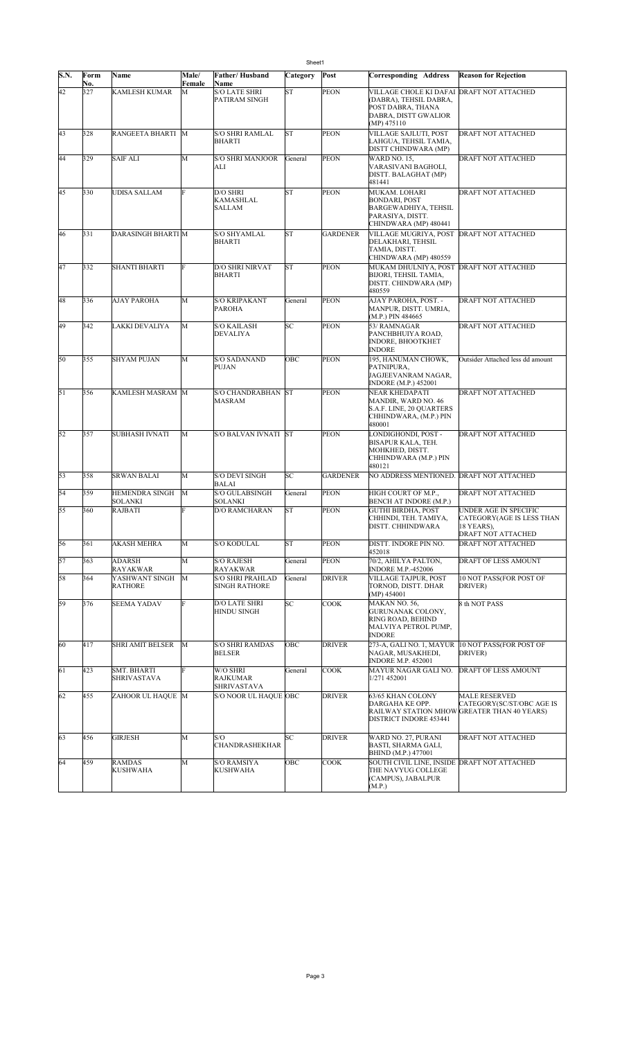|      |             |                                   |                 |                                                 | Sheet1    |                 |                                                                                                                                   |                                                                                                  |
|------|-------------|-----------------------------------|-----------------|-------------------------------------------------|-----------|-----------------|-----------------------------------------------------------------------------------------------------------------------------------|--------------------------------------------------------------------------------------------------|
| S.N. | Form<br>No. | Name                              | Male/<br>Female | Father/Husband<br>Name                          | Category  | Post            | <b>Corresponding Address</b>                                                                                                      | <b>Reason for Rejection</b>                                                                      |
| 42   | 327         | <b>KAMLESH KUMAR</b>              | M               | <b>S/O LATE SHRI</b><br>PATIRAM SINGH           | <b>ST</b> | PEON            | VILLAGE CHOLE KI DAFAI DRAFT NOT ATTACHED<br>(DABRA), TEHSIL DABRA,<br>POST DABRA, THANA<br>DABRA, DISTT GWALIOR<br>$(MP)$ 475110 |                                                                                                  |
| 43   | 328         | RANGEETA BHARTI M                 |                 | <b>S/O SHRI RAMLAL</b><br>BHARTI                | <b>ST</b> | <b>PEON</b>     | VILLAGE SAJLUTI, POST<br>LAHGUA, TEHSIL TAMIA,<br>DISTT CHINDWARA (MP)                                                            | DRAFT NOT ATTACHED                                                                               |
| 44   | 329         | <b>SAIF ALI</b>                   | М               | <b>S/O SHRI MANJOOR</b><br>ALI                  | General   | <b>PEON</b>     | <b>WARD NO. 15.</b><br>VARASIVANI BAGHOLI,<br>DISTT. BALAGHAT (MP)<br>481441                                                      | DRAFT NOT ATTACHED                                                                               |
| 45   | 330         | UDISA SALLAM                      | F               | D/O SHRI<br>KAMASHLAL<br><b>SALLAM</b>          | <b>ST</b> | <b>PEON</b>     | MUKAM. LOHARI<br><b>BONDARI, POST</b><br>BARGEWADHIYA, TEHSIL<br>PARASIYA, DISTT.<br>CHINDWARA (MP) 480441                        | DRAFT NOT ATTACHED                                                                               |
| 46   | 331         | <b>DARASINGH BHARTI M</b>         |                 | S/O SHYAMLAL<br><b>BHARTI</b>                   | <b>ST</b> | <b>GARDENER</b> | VILLAGE MUGRIYA, POST<br>DELAKHARI, TEHSIL<br>TAMIA, DISTT.<br>CHINDWARA (MP) 480559                                              | <b>DRAFT NOT ATTACHED</b>                                                                        |
| 47   | 332         | <b>SHANTI BHARTI</b>              | F               | <b>D/O SHRI NIRVAT</b><br>BHARTI                | <b>ST</b> | <b>PEON</b>     | MUKAM DHULNIYA, POST DRAFT NOT ATTACHED<br>BIJORI, TEHSIL TAMIA,<br>DISTT. CHINDWARA (MP)<br>480559                               |                                                                                                  |
| 48   | 336         | AJAY PAROHA                       | M               | <b>S/O KRIPAKANT</b><br>PAROHA                  | General   | PEON            | AJAY PAROHA, POST. -<br>MANPUR, DISTT. UMRIA,<br>(M.P.) PIN 484665                                                                | <b>DRAFT NOT ATTACHED</b>                                                                        |
| 49   | 342         | LAKKI DEVALIYA                    | M               | <b>S/O KAILASH</b><br><b>DEVALIYA</b>           | SC        | <b>PEON</b>     | 53/ RAMNAGAR<br>PANCHBHUIYA ROAD,<br><b>INDORE, BHOOTKHET</b><br><b>INDORE</b>                                                    | <b>DRAFT NOT ATTACHED</b>                                                                        |
| 50   | 355         | <b>SHYAM PUJAN</b>                | М               | S/O SADANAND<br>PUJAN                           | OBC       | <b>PEON</b>     | 195, HANUMAN CHOWK,<br>PATNIPURA.<br>JAGJEEVANRAM NAGAR,<br>INDORE (M.P.) 452001                                                  | Outsider Attached less dd amount                                                                 |
| 51   | 356         | KAMLESH MASRAM M                  |                 | <b>S/O CHANDRABHAN ST</b><br>MASRAM             |           | <b>PEON</b>     | NEAR KHEDAPATI<br>MANDIR, WARD NO. 46<br>S.A.F. LINE, 20 QUARTERS<br>CHHINDWARA, (M.P.) PIN<br>480001                             | DRAFT NOT ATTACHED                                                                               |
| 52   | 357         | <b>SUBHASH IVNATI</b>             | M               | S/O BALVAN IVNATI ST                            |           | <b>PEON</b>     | LONDIGHONDI, POST -<br>BISAPUR KALA, TEH.<br>MOHKHED, DISTT.<br>CHHINDWARA (M.P.) PIN<br>480121                                   | DRAFT NOT ATTACHED                                                                               |
| 53   | 358         | <b>SRWAN BALAI</b>                | М               | <b>S/O DEVI SINGH</b><br>BALAI                  | SC        | <b>GARDENER</b> | NO ADDRESS MENTIONED. DRAFT NOT ATTACHED                                                                                          |                                                                                                  |
| 54   | 359         | HEMENDRA SINGH<br>SOLANKI         | M               | <b>S/O GULABSINGH</b><br>SOLANKI                | General   | <b>PEON</b>     | HIGH COURT OF M.P.,<br>BENCH AT INDORE (M.P.)                                                                                     | <b>DRAFT NOT ATTACHED</b>                                                                        |
| 55   | 360         | <b>RAJBATI</b>                    | F               | <b>D/O RAMCHARAN</b>                            | <b>ST</b> | PEON            | <b>GUTHI BIRDHA, POST</b><br>CHHINDI, TEH. TAMIYA,<br>DISTT. CHHINDWARA                                                           | UNDER AGE IN SPECIFIC<br>CATEGORY(AGE IS LESS THAN<br>18 YEARS),<br>DRAFT NOT ATTACHED           |
| 56   | 361         | AKASH MEHRA                       | M               | S/O KODULAL                                     | <b>ST</b> | <b>PEON</b>     | DISTT. INDORE PIN NO.<br>452018                                                                                                   | DRAFT NOT ATTACHED                                                                               |
| 57   | 363         | <b>ADARSH</b><br>RAYAKWAR         | M               | <b>S/O RAJESH</b><br>RAYAKWAR                   | General   | <b>PEON</b>     | 70/2, AHILYA PALTON,<br><b>INDORE M.P.-452006</b>                                                                                 | DRAFT OF LESS AMOUNT                                                                             |
| 58   | 364         | YASHWANT SINGH<br><b>RATHORE</b>  | M               | <b>S/O SHRI PRAHLAD</b><br><b>SINGH RATHORE</b> | General   | <b>DRIVER</b>   | <b>VILLAGE TAJPUR. POST</b><br>TORNOD, DISTT. DHAR<br>(MP) 454001                                                                 | 10 NOT PASS(FOR POST OF<br>DRIVER)                                                               |
| 59   | 376         | <b>SEEMA YADAV</b>                | F               | <b>D/O LATE SHRI</b><br>HINDU SINGH             | SC        | <b>COOK</b>     | MAKAN NO. 56,<br>GURUNANAK COLONY,<br>RING ROAD, BEHIND<br>MALVIYA PETROL PUMP,<br><b>INDORE</b>                                  | 8 th NOT PASS                                                                                    |
| 60   | 417         | <b>SHRI AMIT BELSER</b>           | M               | <b>S/O SHRI RAMDAS</b><br>BELSER                | OBC       | <b>DRIVER</b>   | 273-A, GALI NO. 1, MAYUR<br>NAGAR, MUSAKHEDI,<br><b>INDORE M.P. 452001</b>                                                        | 10 NOT PASS(FOR POST OF<br>DRIVER)                                                               |
| 61   | 423         | SMT. BHARTI<br><b>SHRIVASTAVA</b> | F               | W/O SHRI<br>RAJKUMAR<br><b>SHRIVASTAVA</b>      | General   | <b>COOK</b>     | MAYUR NAGAR GALI NO.<br>1/271 452001                                                                                              | DRAFT OF LESS AMOUNT                                                                             |
| 62   | 455         | ZAHOOR UL HAQUE M                 |                 | S/O NOOR UL HAQUE OBC                           |           | <b>DRIVER</b>   | 63/65 KHAN COLONY<br>DARGAHA KE OPP.<br>DISTRICT INDORE 453441                                                                    | <b>MALE RESERVED</b><br>CATEGORY(SC/ST/OBC AGE IS<br>RAILWAY STATION MHOW GREATER THAN 40 YEARS) |
| 63   | 456         | <b>GIRJESH</b>                    | M               | S/O<br>CHANDRASHEKHAR                           | SС        | <b>DRIVER</b>   | WARD NO. 27, PURANI<br>BASTI, SHARMA GALI,<br>BHIND (M.P.) 477001                                                                 | DRAFT NOT ATTACHED                                                                               |
| 64   | 459         | <b>RAMDAS</b><br><b>KUSHWAHA</b>  | M               | S/O RAMSIYA<br><b>KUSHWAHA</b>                  | OBC       | <b>COOK</b>     | SOUTH CIVIL LINE, INSIDE DRAFT NOT ATTACHED<br>THE NAVYUG COLLEGE<br>(CAMPUS), JABALPUR<br>(M.P.)                                 |                                                                                                  |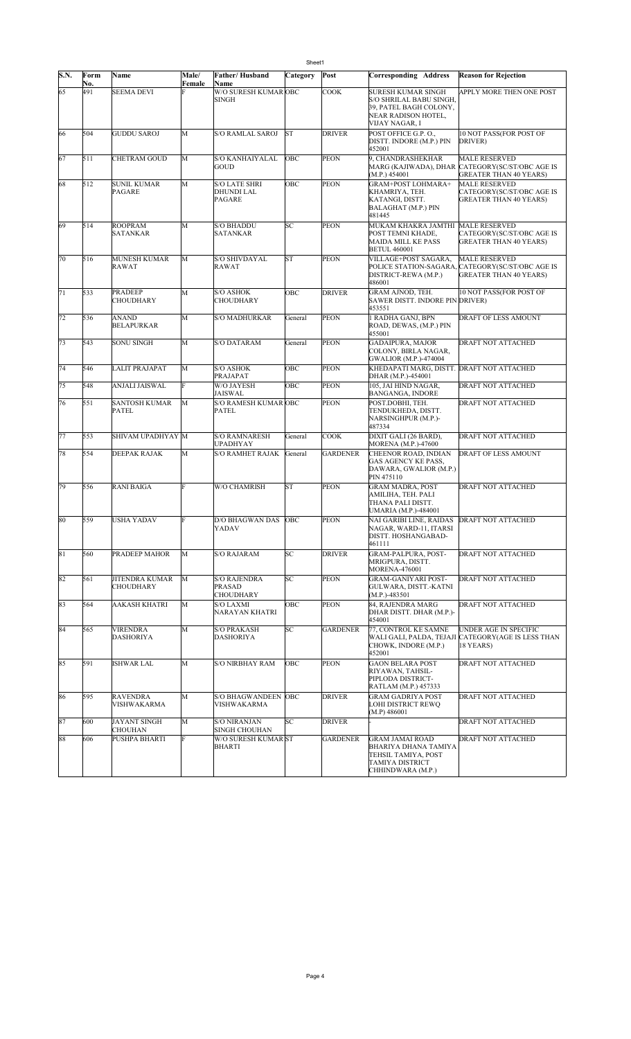| Sheet1      |            |                                     |        |                                                            |           |                 |                                                                                                                  |                                                                                                           |
|-------------|------------|-------------------------------------|--------|------------------------------------------------------------|-----------|-----------------|------------------------------------------------------------------------------------------------------------------|-----------------------------------------------------------------------------------------------------------|
| <b>S.N.</b> | Form       | Name                                | Male/  | Father/Husband                                             | Category  | Post            | Corresponding Address                                                                                            | <b>Reason for Rejection</b>                                                                               |
| 65          | No.<br>491 | <b>SEEMA DEVI</b>                   | Female | Name<br>W/O SURESH KUMAR OBC<br>SINGH                      |           | <b>COOK</b>     | SURESH KUMAR SINGH<br>S/O SHRILAL BABU SINGH,<br>39, PATEL BAGH COLONY,<br>NEAR RADISON HOTEL,<br>VIJAY NAGAR, I | APPLY MORE THEN ONE POST                                                                                  |
| 66          | 504        | <b>GUDDU SAROJ</b>                  | M      | S/O RAMLAL SAROJ                                           | <b>ST</b> | <b>DRIVER</b>   | POST OFFICE G.P. O.,<br>DISTT. INDORE (M.P.) PIN<br>452001                                                       | 10 NOT PASS(FOR POST OF<br>DRIVER)                                                                        |
| 67          | 511        | <b>CHETRAM GOUD</b>                 | M      | <b>S/O KANHAIYALAL</b><br>GOUD                             | OBC       | <b>PEON</b>     | 9, CHANDRASHEKHAR<br>(M.P.) 454001                                                                               | <b>MALE RESERVED</b><br>MARG (KAJIWADA), DHAR  CATEGORY(SC/ST/OBC AGE IS<br><b>GREATER THAN 40 YEARS)</b> |
| 68          | 512        | <b>SUNIL KUMAR</b><br><b>PAGARE</b> | M      | <b>S/O LATE SHRI</b><br><b>DHUNDI LAL</b><br><b>PAGARE</b> | OBC       | <b>PEON</b>     | GRAM+POST LOHMARA+<br>KHAMRIYA, TEH.<br>KATANGI, DISTT.<br>BALAGHAT (M.P.) PIN<br>481445                         | <b>MALE RESERVED</b><br>CATEGORY(SC/ST/OBC AGE IS<br><b>GREATER THAN 40 YEARS)</b>                        |
| 69          | 514        | <b>ROOPRAM</b><br><b>SATANKAR</b>   | M      | <b>S/O BHADDU</b><br><b>SATANKAR</b>                       | SС        | <b>PEON</b>     | MUKAM KHAKRA JAMTHI MALE RESERVED<br>POST TEMNI KHADE,<br><b>MAIDA MILL KE PASS</b><br><b>BETUL 460001</b>       | CATEGORY(SC/ST/OBC AGE IS<br><b>GREATER THAN 40 YEARS)</b>                                                |
| 70          | 516        | MUNESH KUMAR<br><b>RAWAT</b>        | M      | S/O SHIVDAYAL<br>RAWAT                                     | <b>ST</b> | <b>PEON</b>     | VILLAGE+POST SAGARA,<br>DISTRICT-REWA (M.P.)<br>486001                                                           | <b>MALE RESERVED</b><br>POLICE STATION-SAGARA, CATEGORY(SC/ST/OBC AGE IS<br><b>GREATER THAN 40 YEARS)</b> |
| 71          | 533        | <b>PRADEEP</b><br><b>CHOUDHARY</b>  | M      | <b>S/O ASHOK</b><br><b>CHOUDHARY</b>                       | OBC       | <b>DRIVER</b>   | GRAM AJNOD, TEH.<br>SAWER DISTT. INDORE PIN DRIVER)<br>453551                                                    | 10 NOT PASS(FOR POST OF                                                                                   |
| 72          | 536        | <b>ANAND</b><br><b>BELAPURKAR</b>   | M      | S/O MADHURKAR                                              | General   | <b>PEON</b>     | 1 RADHA GANJ, BPN<br>ROAD, DEWAS, (M.P.) PIN<br>455001                                                           | <b>DRAFT OF LESS AMOUNT</b>                                                                               |
| 73          | 543        | <b>SONU SINGH</b>                   | M      | <b>S/O DATARAM</b>                                         | General   | <b>PEON</b>     | <b>GADAIPURA, MAJOR</b><br>COLONY, BIRLA NAGAR,<br><b>GWALIOR</b> (M.P.)-474004                                  | DRAFT NOT ATTACHED                                                                                        |
| 74          | 546        | LALIT PRAJAPAT                      | M      | <b>S/O ASHOK</b><br>PRAJAPAT                               | OBC       | <b>PEON</b>     | KHEDAPATI MARG, DISTT. DRAFT NOT ATTACHED<br>DHAR (M.P.)-454001                                                  |                                                                                                           |
| 75          | 548        | ANJALI JAISWAL                      | F      | W/O JAYESH<br><b>JAISWAL</b>                               | OBC       | <b>PEON</b>     | 105, JAI HIND NAGAR,<br>BANGANGA, INDORE                                                                         | <b>DRAFT NOT ATTACHED</b>                                                                                 |
| 76          | 551        | SANTOSH KUMAR<br>PATEL              | M      | <b>S/O RAMESH KUMAR OBC</b><br><b>PATEL</b>                |           | <b>PEON</b>     | POST.DOBHI, TEH.<br>TENDUKHEDA, DISTT.<br>NARSINGHPUR (M.P.)-<br>487334                                          | <b>DRAFT NOT ATTACHED</b>                                                                                 |
| 77          | 553        | SHIVAM UPADHYAY M                   |        | <b>S/O RAMNARESH</b><br><b>UPADHYAY</b>                    | General   | <b>COOK</b>     | DIXIT GALI (26 BARD),<br><b>MORENA</b> (M.P.)-47600                                                              | <b>DRAFT NOT ATTACHED</b>                                                                                 |
| 78          | 554        | DEEPAK RAJAK                        | M      | <b>S/O RAMHET RAJAK</b>                                    | General   | <b>GARDENER</b> | CHEENOR ROAD, INDIAN<br>GAS AGENCY KE PASS.<br>DAWARA, GWALIOR (M.P.)<br>PIN 475110                              | <b>DRAFT OF LESS AMOUNT</b>                                                                               |
| 79          | 556        | <b>RANI BAIGA</b>                   | F      | W/O CHAMRISH                                               | <b>ST</b> | <b>PEON</b>     | <b>GRAM MADRA, POST</b><br>AMILIHA, TEH. PALI<br>THANA PALI DISTT.<br>UMARIA (M.P.)-484001                       | <b>DRAFT NOT ATTACHED</b>                                                                                 |
| 80          | 559        | USHA YADAV                          |        | D/O BHAGWAN DAS OBC<br>YADAV                               |           | PEON            | NAI GARIBI LINE, RAIDAS  DRAFT NOT ATTACHED<br>NAGAR, WARD-11, ITARSI<br>DISTT. HOSHANGABAD-<br>461111           |                                                                                                           |
| 81          | 560        | PRADEEP MAHOR                       | M      | <b>S/O RAJARAM</b>                                         | SC        | <b>DRIVER</b>   | GRAM-PALPURA, POST-<br>MRIGPURA, DISTT.<br><b>MORENA-476001</b>                                                  | <b>DRAFT NOT ATTACHED</b>                                                                                 |
| 82          | 561        | <b>JITENDRA KUMAR</b><br>CHOUDHARY  | М      | <b>S/O RAJENDRA</b><br>PRASAD<br><b>CHOUDHARY</b>          | SC        | PEON            | GRAM-GANIYARI POST-<br>GULWARA, DISTT.-KATNI<br>$(M.P.)-483501$                                                  | DRAFT NOT ATTACHED                                                                                        |
| 83          | 564        | AAKASH KHATRI                       | M      | <b>S/O LAXMI</b><br>NARAYAN KHATRI                         | OBC       | <b>PEON</b>     | 84, RAJENDRA MARG<br>DHAR DISTT. DHAR (M.P.)-<br>454001                                                          | DRAFT NOT ATTACHED                                                                                        |
| 84          | 565        | <b>VIRENDRA</b><br><b>DASHORIYA</b> | M      | <b>S/O PRAKASH</b><br><b>DASHORIYA</b>                     | SC        | <b>GARDENER</b> | 77, CONTROL KE SAMNE<br>CHOWK, INDORE (M.P.)<br>452001                                                           | UNDER AGE IN SPECIFIC<br>WALI GALI, PALDA, TEJAJI CATEGORY(AGE IS LESS THAN<br>18 YEARS)                  |
| 85          | 591        | <b>ISHWAR LAL</b>                   | M      | <b>S/O NIRBHAY RAM</b>                                     | ОВС       | <b>PEON</b>     | <b>GAON BELARA POST</b><br>RIYAWAN, TAHSIL-<br>PIPLODA DISTRICT-<br>RATLAM (M.P.) 457333                         | DRAFT NOT ATTACHED                                                                                        |
| 86          | 595        | <b>RAVENDRA</b><br>VISHWAKARMA      | M      | S/O BHAGWANDEEN OBC<br>VISHWAKARMA                         |           | <b>DRIVER</b>   | GRAM GADRIYA POST<br>LOHI DISTRICT REWQ<br>(M.P) 486001                                                          | DRAFT NOT ATTACHED                                                                                        |
| 87          | 600        | JAYANT SINGH<br><b>CHOUHAN</b>      | M      | <b>S/O NIRANJAN</b><br>SINGH CHOUHAN                       | SС        | <b>DRIVER</b>   |                                                                                                                  | DRAFT NOT ATTACHED                                                                                        |
| 88          | 606        | PUSHPA BHARTI                       | F      | <b>W/O SURESH KUMAR ST</b><br><b>BHARTI</b>                |           | <b>GARDENER</b> | <b>GRAM JAMAI ROAD</b><br>BHARIYA DHANA TAMIYA<br>TEHSIL TAMIYA, POST<br>TAMIYA DISTRICT<br>CHHINDWARA (M.P.)    | DRAFT NOT ATTACHED                                                                                        |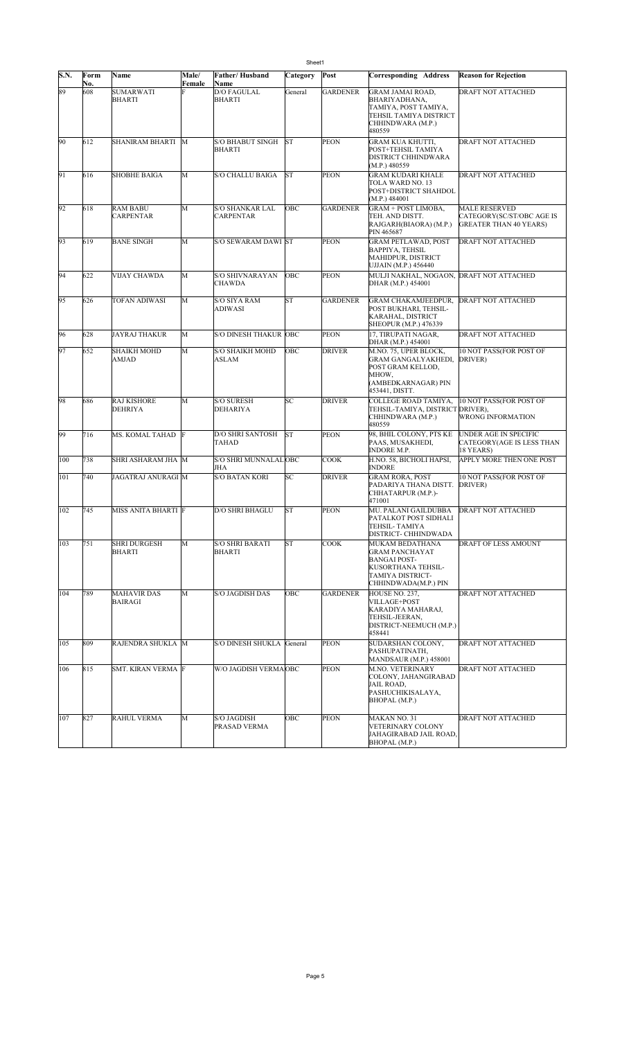| S.N. | Form<br>No. | Name                                 | Male/<br>Female | Father/Husband<br>Name                  | Category  | Post            | Corresponding Address                                                                                                             | <b>Reason for Rejection</b>                                                        |
|------|-------------|--------------------------------------|-----------------|-----------------------------------------|-----------|-----------------|-----------------------------------------------------------------------------------------------------------------------------------|------------------------------------------------------------------------------------|
| 89   | 608         | <b>SUMARWATI</b><br><b>BHARTI</b>    |                 | <b>D/O FAGULAL</b><br><b>BHARTI</b>     | General   | <b>GARDENER</b> | GRAM JAMAI ROAD,<br>BHARIYADHANA,<br>TAMIYA, POST TAMIYA,<br>TEHSIL TAMIYA DISTRICT<br>CHHINDWARA (M.P.)<br>480559                | DRAFT NOT ATTACHED                                                                 |
| 90   | 612         | SHANIRAM BHARTI M                    |                 | S/O BHABUT SINGH<br><b>BHARTI</b>       | <b>ST</b> | <b>PEON</b>     | GRAM KUA KHUTTI,<br>POST+TEHSIL TAMIYA<br>DISTRICT CHHINDWARA<br>(M.P.) 480559                                                    | DRAFT NOT ATTACHED                                                                 |
| 91   | 616         | <b>SHOBHE BAIGA</b>                  | M               | <b>S/O CHALLU BAIGA</b>                 | <b>ST</b> | <b>PEON</b>     | GRAM KUDARI KHALE<br>TOLA WARD NO. 13<br>POST+DISTRICT SHAHDOL<br>(M.P.) 484001                                                   | DRAFT NOT ATTACHED                                                                 |
| 92   | 618         | <b>RAM BABU</b><br><b>CARPENTAR</b>  | M               | S/O SHANKAR LAL<br><b>CARPENTAR</b>     | OBC       | <b>GARDENER</b> | GRAM + POST LIMOBA,<br>TEH. AND DISTT.<br>RAJGARH(BIAORA) (M.P.)<br>PIN 465687                                                    | <b>MALE RESERVED</b><br>CATEGORY(SC/ST/OBC AGE IS<br><b>GREATER THAN 40 YEARS)</b> |
| 93   | 619         | <b>BANE SINGH</b>                    | M               | <b>S/O SEWARAM DAWI ST</b>              |           | <b>PEON</b>     | <b>GRAM PETLAWAD, POST</b><br><b>BAPPIYA, TEHSIL</b><br>MAHIDPUR, DISTRICT<br>UJJAIN (M.P.) 456440                                | DRAFT NOT ATTACHED                                                                 |
| 94   | 622         | <b>VIJAY CHAWDA</b>                  | M               | <b>S/O SHIVNARAYAN</b><br><b>CHAWDA</b> | OBC       | <b>PEON</b>     | MULJI NAKHAL, NOGAON, DRAFT NOT ATTACHED<br>DHAR (M.P.) 454001                                                                    |                                                                                    |
| 95   | 626         | TOFAN ADIWASI                        | M               | S/O SIYA RAM<br>ADIWASI                 | <b>ST</b> | <b>GARDENER</b> | GRAM CHAKAMJEEDPUR,<br>POST BUKHARI. TEHSIL-<br>KARAHAL, DISTRICT<br><b>SHEOPUR (M.P.) 476339</b>                                 | <b>DRAFT NOT ATTACHED</b>                                                          |
| 96   | 628         | <b>JAYRAJ THAKUR</b>                 | M               | <b>S/O DINESH THAKUR OBC</b>            |           | <b>PEON</b>     | 17. TIRUPATI NAGAR.<br>DHAR (M.P.) 454001                                                                                         | DRAFT NOT ATTACHED                                                                 |
| 97   | 652         | <b>SHAIKH MOHD</b><br><b>AMJAD</b>   | М               | <b>S/O SHAIKH MOHD</b><br>ASLAM         | OBC       | <b>DRIVER</b>   | M.NO. 75, UPER BLOCK,<br><b>GRAM GANGALYAKHEDI,</b><br>POST GRAM KELLOD,<br>MHOW.<br>(AMBEDKARNAGAR) PIN                          | 10 NOT PASS(FOR POST OF<br>DRIVER)                                                 |
|      |             |                                      | M               |                                         | SC        | <b>DRIVER</b>   | 453441, DISTT.                                                                                                                    |                                                                                    |
| 98   | 686         | <b>RAJ KISHORE</b><br><b>DEHRIYA</b> |                 | <b>S/O SURESH</b><br>DEHARIYA           |           |                 | COLLEGE ROAD TAMIYA,<br>TEHSIL-TAMIYA, DISTRICT DRIVER),<br>CHHINDWARA (M.P.)<br>480559                                           | 10 NOT PASS(FOR POST OF<br><b>WRONG INFORMATION</b>                                |
| 99   | 716         | MS. KOMAL TAHAD F                    |                 | D/O SHRI SANTOSH<br>TAHAD               | ST        | <b>PEON</b>     | 98, BHIL COLONY, PTS KE<br>PAAS, MUSAKHEDI,<br><b>INDORE M.P.</b>                                                                 | UNDER AGE IN SPECIFIC<br>CATEGORY(AGE IS LESS THAN<br>18 YEARS)                    |
| 100  | 738         | SHRI ASHARAM JHA M                   |                 | S/O SHRI MUNNALALOBC<br>JHA             |           | <b>COOK</b>     | H.NO. 58, BICHOLI HAPSI,<br><b>INDORE</b>                                                                                         | APPLY MORE THEN ONE POST                                                           |
| 101  | 740         | JAGATRAJ ANURAGI M                   |                 | <b>S/O BATAN KORI</b>                   | SC        | <b>DRIVER</b>   | <b>GRAM RORA, POST</b><br>PADARIYA THANA DISTT.<br>CHHATARPUR (M.P.)-<br>471001                                                   | 10 NOT PASS(FOR POST OF<br>DRIVER)                                                 |
| 102  | 745         | MISS ANITA BHARTI F                  |                 | D/O SHRI BHAGLU                         | <b>ST</b> | <b>PEON</b>     | MU. PALANI GAILDUBBA<br>PATALKOT POST SIDHALI<br>TEHSIL- TAMIYA<br>DISTRICT- CHHINDWADA                                           | DRAFT NOT ATTACHED                                                                 |
| 103  | 751         | <b>SHRI DURGESH</b><br>BHARTI        | M               | <b>S/O SHRI BARATI</b><br><b>BHARTI</b> | <b>ST</b> | COOK            | MUKAM BEDATHANA<br><b>GRAM PANCHAYAT</b><br><b>BANGAI POST-</b><br>KUSORTHANA TEHSIL-<br>TAMIYA DISTRICT-<br>CHHINDWADA(M.P.) PIN | DRAFT OF LESS AMOUNT                                                               |
| 104  | 789         | <b>MAHAVIR DAS</b><br><b>BAIRAGI</b> | M               | <b>S/O JAGDISH DAS</b>                  | OBC       | <b>GARDENER</b> | HOUSE NO. 237,<br>VILLAGE+POST<br>KARADIYA MAHARAJ,<br>TEHSIL-JEERAN,<br>DISTRICT-NEEMUCH (M.P.)<br>458441                        | DRAFT NOT ATTACHED                                                                 |
| 105  | 809         | RAJENDRA SHUKLA M                    |                 | S/O DINESH SHUKLA General               |           | <b>PEON</b>     | SUDARSHAN COLONY,<br>PASHUPATINATH,<br>MANDSAUR (M.P.) 458001                                                                     | DRAFT NOT ATTACHED                                                                 |
| 106  | 815         | SMT. KIRAN VERMA F                   |                 | W/O JAGDISH VERMAOBC                    |           | <b>PEON</b>     | M.NO. VETERINARY<br>COLONY, JAHANGIRABAD<br>JAIL ROAD,<br>PASHUCHIKISALAYA,<br>BHOPAL (M.P.)                                      | DRAFT NOT ATTACHED                                                                 |
| 107  | 827         | <b>RAHUL VERMA</b>                   | M               | S/O JAGDISH<br>PRASAD VERMA             | OBC       | <b>PEON</b>     | MAKAN NO. 31<br>VETERINARY COLONY<br>JAHAGIRABAD JAIL ROAD,<br>BHOPAL (M.P.)                                                      | DRAFT NOT ATTACHED                                                                 |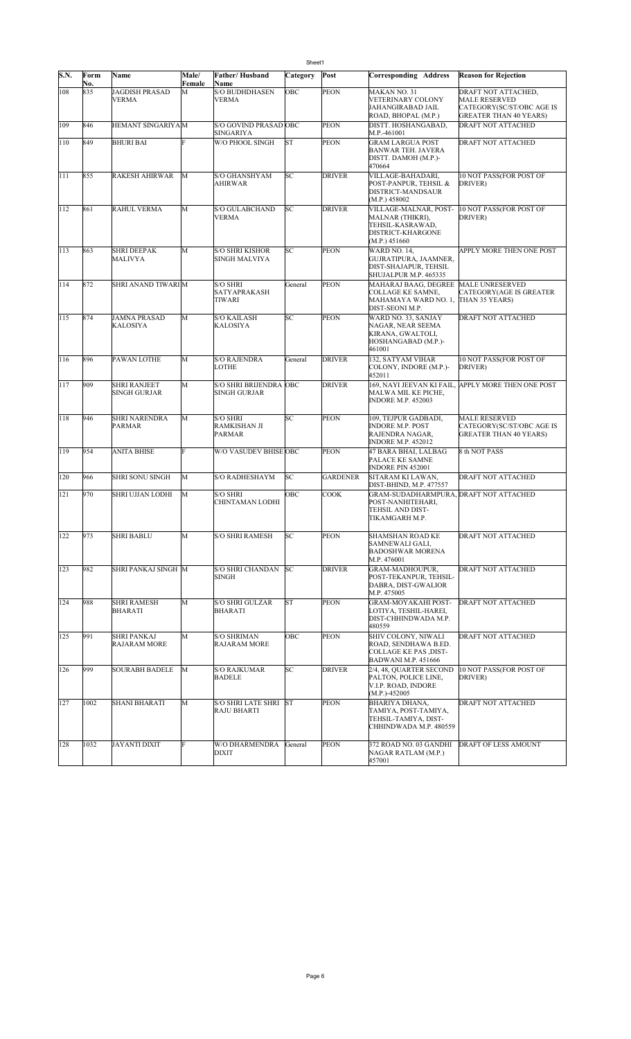|      |             |                                       |                 |                                                      | Sheet1    |                 |                                                                                                                     |                                                                                                           |
|------|-------------|---------------------------------------|-----------------|------------------------------------------------------|-----------|-----------------|---------------------------------------------------------------------------------------------------------------------|-----------------------------------------------------------------------------------------------------------|
| S.N. | Form<br>No. | Name                                  | Male/<br>Female | Father/Husband<br>Name                               | Category  | Post            | <b>Corresponding Address</b>                                                                                        | <b>Reason for Rejection</b>                                                                               |
| 108  | 835         | <b>JAGDISH PRASAD</b><br><b>VERMA</b> | M               | <b>S/O BUDHDHASEN</b><br>VERMA                       | OBC       | PEON            | MAKAN NO. 31<br>VETERINARY COLONY<br>JAHANGIRABAD JAIL<br>ROAD, BHOPAL (M.P.)                                       | DRAFT NOT ATTACHED,<br><b>MALE RESERVED</b><br>CATEGORY(SC/ST/OBC AGE IS<br><b>GREATER THAN 40 YEARS)</b> |
| 109  | 846         | HEMANT SINGARIYA M                    |                 | S/O GOVIND PRASAD OBC<br>SINGARIYA                   |           | PEON            | DISTT. HOSHANGABAD,<br>M.P.-461001                                                                                  | DRAFT NOT ATTACHED                                                                                        |
| 110  | 849         | <b>BHURI BAI</b>                      | F               | W/O PHOOL SINGH                                      | ST        | PEON            | <b>GRAM LARGUA POST</b><br><b>BANWAR TEH. JAVERA</b><br>DISTT. DAMOH (M.P.)-<br>470664                              | DRAFT NOT ATTACHED                                                                                        |
| 111  | 855         | <b>RAKESH AHIRWAR</b>                 | M               | S/O GHANSHYAM<br>AHIRWAR                             | SC        | <b>DRIVER</b>   | VILLAGE-BAHADARI,<br>POST-PANPUR, TEHSIL &<br>DISTRICT-MANDSAUR<br>(M.P.) 458002                                    | 10 NOT PASS(FOR POST OF<br>DRIVER)                                                                        |
| 112  | 861         | RAHUL VERMA                           | M               | S/O GULABCHAND<br><b>VERMA</b>                       | SC        | DRIVER          | VILLAGE-MALNAR, POST-<br>MALNAR (THIKRI),<br>TEHSIL-KASRAWAD,<br>DISTRICT-KHARGONE<br>(M.P.) 451660                 | 10 NOT PASS(FOR POST OF<br>DRIVER)                                                                        |
| 113  | 863         | SHRI DEEPAK<br>MALIVYA                | M               | <b>S/O SHRI KISHOR</b><br>SINGH MALVIYA              | SС        | PEON            | <b>WARD NO. 14.</b><br>GUJRATIPURA, JAAMNER,<br>DIST-SHAJAPUR, TEHSIL<br>SHUJALPUR M.P. 465335                      | APPLY MORE THEN ONE POST                                                                                  |
| 114  | 872         | SHRI ANAND TIWARI M                   |                 | S/O SHRI<br><b>SATYAPRAKASH</b><br>TIWARI            | General   | PEON            | MAHARAJ BAAG, DEGREE MALE UNRESERVED<br>COLLAGE KE SAMNE,<br>MAHAMAYA WARD NO. 1, THAN 35 YEARS)<br>DIST-SEONI M.P. | <b>CATEGORY(AGE IS GREATER</b>                                                                            |
| 115  | 874         | <b>JAMNA PRASAD</b><br>KALOSIYA       | M               | <b>S/O KAILASH</b><br>KALOSIYA                       | SC        | <b>PEON</b>     | WARD NO. 33, SANJAY<br>NAGAR, NEAR SEEMA<br>KIRANA, GWALTOLI,<br>HOSHANGABAD (M.P.)-<br>461001                      | DRAFT NOT ATTACHED                                                                                        |
| 116  | 896         | PAWAN LOTHE                           | M               | <b>S/O RAJENDRA</b><br>LOTHE                         | General   | DRIVER          | 132, SATYAM VIHAR<br>COLONY, INDORE (M.P.)-<br>452011                                                               | 10 NOT PASS(FOR POST OF<br>DRIVER)                                                                        |
| 117  | 909         | <b>SHRI RANJEET</b><br>SINGH GURJAR   | M               | <b>S/O SHRI BRIJENDRA OBC</b><br><b>SINGH GURJAR</b> |           | DRIVER          | 169, NAYI JEEVAN KI FAIL<br>MALWA MIL KE PICHE,<br><b>INDORE M.P. 452003</b>                                        | <b>APPLY MORE THEN ONE POST</b>                                                                           |
| 118  | 946         | <b>SHRI NARENDRA</b><br>PARMAR        | M               | <b>S/O SHRI</b><br>RAMKISHAN JI<br>PARMAR            | SC        | <b>PEON</b>     | 109, TEJPUR GADBADI,<br><b>INDORE M.P. POST</b><br>RAJENDRA NAGAR,<br><b>INDORE M.P. 452012</b>                     | <b>MALE RESERVED</b><br>CATEGORY(SC/ST/OBC AGE IS<br><b>GREATER THAN 40 YEARS)</b>                        |
| 119  | 954         | <b>ANITA BHISE</b>                    | F               | W/O VASUDEV BHISE OBC                                |           | PEON            | 47 BARA BHAI, LALBAG<br>PALACE KE SAMNE<br><b>INDORE PIN 452001</b>                                                 | 8 th NOT PASS                                                                                             |
| 120  | 966         | <b>SHRI SONU SINGH</b>                | M               | <b>S/O RADHESHAYM</b>                                | SC        | <b>GARDENER</b> | SITARAM KI LAWAN,<br>DIST-BHIND, M.P. 477557                                                                        | DRAFT NOT ATTACHED                                                                                        |
| 121  | 970         | SHRI UJJAN LODHI                      | M               | <b>S/O SHRI</b><br>CHINTAMAN LODHI                   | OBC       | <b>COOK</b>     | GRAM-SUDADHARMPURA, DRAFT NOT ATTACHED<br>POST-NANHITEHARI,<br>TEHSIL AND DIST-<br>TIKAMGARH M.P.                   |                                                                                                           |
| 122  | 973         | <b>SHRI BABLU</b>                     | M               | <b>S/O SHRI RAMESH</b>                               | SC        | <b>PEON</b>     | SHAMSHAN ROAD KE<br>SAMNEWALI GALI,<br><b>BADOSHWAR MORENA</b><br>M.P. 476001                                       | <b>DRAFT NOT ATTACHED</b>                                                                                 |
| 123  | 982         | SHRI PANKAJ SINGH M                   |                 | <b>S/O SHRI CHANDAN</b><br><b>SINGH</b>              | SC        | DRIVER          | <b>GRAM-MADHOUPUR,</b><br>POST-TEKANPUR, TEHSIL-<br>DABRA, DIST-GWALIOR<br>M.P. 475005                              | DRAFT NOT ATTACHED                                                                                        |
| 124  | 988         | <b>SHRI RAMESH</b><br>BHARATI         | M               | <b>S/O SHRI GULZAR</b><br>BHARATI                    | ST        | <b>PEON</b>     | <b>GRAM-MOYAKAHI POST-</b><br>LOTIYA, TESHIL-HAREI,<br>DIST-CHHINDWADA M.P.<br>480559                               | <b>DRAFT NOT ATTACHED</b>                                                                                 |
| 125  | 991         | <b>SHRI PANKAJ</b><br>RAJARAM MORE    | M               | <b>S/O SHRIMAN</b><br><b>RAJARAM MORE</b>            | OBC       | <b>PEON</b>     | SHIV COLONY, NIWALI<br>ROAD, SENDHAWA B.ED.<br>COLLAGE KE PAS ,DIST-<br><b>BADWANI M.P. 451666</b>                  | DRAFT NOT ATTACHED                                                                                        |
| 126  | 999         | <b>SOURABH BADELE</b>                 | M               | <b>S/O RAJKUMAR</b><br>BADELE                        | SC        | <b>DRIVER</b>   | 2/4, 48, QUARTER SECOND<br>PALTON, POLICE LINE,<br>V.I.P. ROAD, INDORE<br>$(M.P.)-452005$                           | 10 NOT PASS(FOR POST OF<br>DRIVER)                                                                        |
| 127  | 1002        | SHANI BHARATI                         | M               | S/O SHRI LATE SHRI<br>RAJU BHARTI                    | <b>ST</b> | <b>PEON</b>     | BHARIYA DHANA,<br>TAMIYA, POST-TAMIYA,<br>TEHSIL-TAMIYA, DIST-<br>CHHINDWADA M.P. 480559                            | DRAFT NOT ATTACHED                                                                                        |
| 128  | 1032        | <b>JAYANTI DIXIT</b>                  | F               | W/O DHARMENDRA<br>DIXIT                              | General   | <b>PEON</b>     | 372 ROAD NO. 03 GANDHI<br>NAGAR RATLAM (M.P.)<br>457001                                                             | <b>DRAFT OF LESS AMOUNT</b>                                                                               |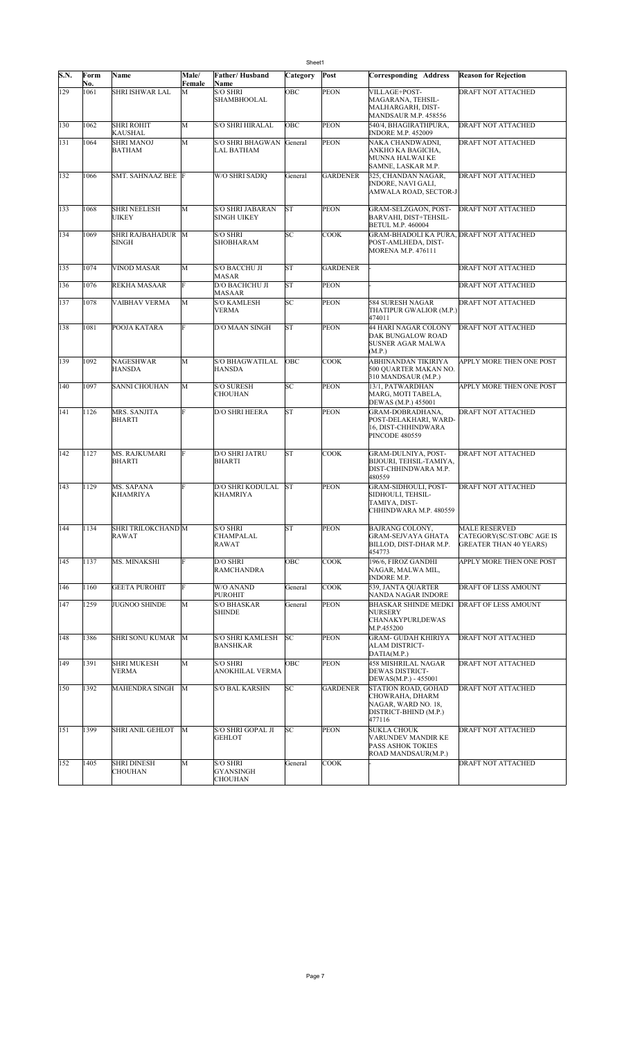| S.N. | Form<br>No. | Name                                 | Male/<br>Female | <b>Father/Husband</b><br><b>Name</b>          | Category  | Post            | <b>Corresponding Address</b>                                                                     | <b>Reason for Rejection</b>                                                        |
|------|-------------|--------------------------------------|-----------------|-----------------------------------------------|-----------|-----------------|--------------------------------------------------------------------------------------------------|------------------------------------------------------------------------------------|
| 129  | 1061        | SHRI ISHWAR LAL                      | M               | <b>S/O SHRI</b><br><b>SHAMBHOOLAL</b>         | OBC       | PEON            | VILLAGE+POST-<br>MAGARANA, TEHSIL-<br>MALHARGARH, DIST-<br>MANDSAUR M.P. 458556                  | DRAFT NOT ATTACHED                                                                 |
| 130  | 1062        | <b>SHRI ROHIT</b><br>KAUSHAL         | M               | <b>S/O SHRI HIRALAL</b>                       | OBC       | PEON            | 540/4, BHAGIRATHPURA,<br><b>INDORE M.P. 452009</b>                                               | <b>DRAFT NOT ATTACHED</b>                                                          |
| 131  | 1064        | <b>SHRI MANOJ</b><br><b>BATHAM</b>   | M               | <b>S/O SHRI BHAGWAN</b><br>LAL BATHAM         | General   | <b>PEON</b>     | NAKA CHANDWADNI,<br>ANKHO KA BAGICHA.<br>MUNNA HALWAI KE<br>SAMNE, LASKAR M.P.                   | DRAFT NOT ATTACHED                                                                 |
| 132  | 1066        | SMT. SAHNAAZ BEE F                   |                 | W/O SHRI SADIO                                | General   | <b>GARDENER</b> | 325, CHANDAN NAGAR,<br>INDORE, NAVI GALI,<br>AMWALA ROAD, SECTOR-J                               | <b>DRAFT NOT ATTACHED</b>                                                          |
| 133  | 1068        | <b>SHRI NEELESH</b><br><b>UIKEY</b>  | M               | <b>S/O SHRI JABARAN</b><br><b>SINGH UIKEY</b> | <b>ST</b> | <b>PEON</b>     | GRAM-SELZGAON, POST-<br>BARVAHI, DIST+TEHSIL-<br><b>BETUL M.P. 460004</b>                        | DRAFT NOT ATTACHED                                                                 |
| 134  | 1069        | SHRI RAJBAHADUR M<br><b>SINGH</b>    |                 | <b>S/O SHRI</b><br>SHOBHARAM                  | SC        | <b>COOK</b>     | GRAM-BHADOLI KA PURA, DRAFT NOT ATTACHED<br>POST-AMLHEDA, DIST-<br><b>MORENA M.P. 476111</b>     |                                                                                    |
| 135  | 1074        | <b>VINOD MASAR</b>                   | M               | S/O BACCHU JI<br>MASAR                        | <b>ST</b> | <b>GARDENER</b> |                                                                                                  | DRAFT NOT ATTACHED                                                                 |
| 136  | 1076        | REKHA MASAAR                         | F               | <b>D/O BACHCHU JI</b><br>MASAAR               | <b>ST</b> | <b>PEON</b>     |                                                                                                  | DRAFT NOT ATTACHED                                                                 |
| 137  | 1078        | VAIBHAV VERMA                        | M               | <b>S/O KAMLESH</b><br><b>VERMA</b>            | SC        | <b>PEON</b>     | 584 SURESH NAGAR<br>THATIPUR GWALIOR (M.P.)<br>474011                                            | <b>DRAFT NOT ATTACHED</b>                                                          |
| 138  | 1081        | POOJA KATARA                         | F               | D/O MAAN SINGH                                | <b>ST</b> | <b>PEON</b>     | 44 HARI NAGAR COLONY<br>DAK BUNGALOW ROAD<br>SUSNER AGAR MALWA<br>(M.P.)                         | <b>DRAFT NOT ATTACHED</b>                                                          |
| 139  | 1092        | <b>NAGESHWAR</b><br><b>HANSDA</b>    | M               | <b>S/O BHAGWATILAL</b><br><b>HANSDA</b>       | OBC       | <b>COOK</b>     | ABHINANDAN TIKIRIYA<br>500 OUARTER MAKAN NO.<br>310 MANDSAUR (M.P.)                              | APPLY MORE THEN ONE POST                                                           |
| 140  | 1097        | <b>SANNI CHOUHAN</b>                 | M               | <b>S/O SURESH</b><br>CHOUHAN                  | SC        | <b>PEON</b>     | 13/1, PATWARDHAN<br>MARG, MOTI TABELA,<br>DEWAS (M.P.) 455001                                    | APPLY MORE THEN ONE POST                                                           |
| 141  | 1126        | MRS. SANJITA<br><b>BHARTI</b>        | F               | D/O SHRI HEERA                                | <b>ST</b> | <b>PEON</b>     | GRAM-DOBRADHANA,<br>POST-DELAKHARI, WARD-<br>16, DIST-CHHINDWARA<br>PINCODE 480559               | DRAFT NOT ATTACHED                                                                 |
| 142  | 1127        | MS. RAJKUMARI<br><b>BHARTI</b>       | F               | D/O SHRI JATRU<br><b>BHARTI</b>               | <b>ST</b> | <b>COOK</b>     | GRAM-DULNIYA, POST-<br>BIJOURI, TEHSIL-TAMIYA,<br>DIST-CHHINDWARA M.P.<br>480559                 | DRAFT NOT ATTACHED                                                                 |
| 143  | 1129        | MS. SAPANA<br>KHAMRIYA               | F               | <b>D/O SHRI KODULAL</b><br>KHAMRIYA           | <b>ST</b> | <b>PEON</b>     | GRAM-SIDHOULI, POST-<br>SIDHOULI, TEHSIL-<br>TAMIYA, DIST-<br>CHHINDWARA M.P. 480559             | DRAFT NOT ATTACHED                                                                 |
| 144  | 1134        | SHRI TRILOKCHAND M<br>RAWAT          |                 | S/O SHRI<br>CHAMPALAL<br>RAWAT                | <b>ST</b> | PEON            | BAJRANG COLONY,<br><b>GRAM-SEJVAYA GHATA</b><br>BILLOD, DIST-DHAR M.P.<br>454773                 | <b>MALE RESERVED</b><br>CATEGORY(SC/ST/OBC AGE IS<br><b>GREATER THAN 40 YEARS)</b> |
| 145  | 1137        | MS. MINAKSHI                         | F               | D/O SHRI<br><b>RAMCHANDRA</b>                 | OBC       | COOK            | 196/6, FIROZ GANDHI<br>NAGAR, MALWA MIL,<br>INDORE M.P.                                          | APPLY MORE THEN ONE POST                                                           |
| 146  | 1160        | <b>GEETA PUROHIT</b>                 | F               | W/O ANAND<br><b>PUROHIT</b>                   | General   | <b>COOK</b>     | 539, JANTA QUARTER<br>NANDA NAGAR INDORE                                                         | DRAFT OF LESS AMOUNT                                                               |
| 147  | 1259        | <b>JUGNOO SHINDE</b>                 | M               | <b>S/O BHASKAR</b><br><b>SHINDE</b>           | General   | <b>PEON</b>     | <b>BHASKAR SHINDE MEDKI</b><br>NURSERY<br>CHANAKYPURI,DEWAS<br>M.P.455200                        | <b>DRAFT OF LESS AMOUNT</b>                                                        |
| 148  | 1386        | SHRI SONU KUMAR M                    |                 | S/O SHRI KAMLESH<br><b>BANSHKAR</b>           | SC        | <b>PEON</b>     | <b>GRAM- GUDAH KHIRIYA</b><br>ALAM DISTRICT-<br>DATIA(M.P.)                                      | DRAFT NOT ATTACHED                                                                 |
| 149  | 1391        | <b>SHRI MUKESH</b><br><b>VERMA</b>   | M               | <b>S/O SHRI</b><br><b>ANOKHILAL VERMA</b>     | OBC       | <b>PEON</b>     | <b>458 MISHRILAL NAGAR</b><br>DEWAS DISTRICT-<br>DEWAS(M.P.) - 455001                            | DRAFT NOT ATTACHED                                                                 |
| 150  | 1392        | MAHENDRA SINGH                       | M               | <b>S/O BAL KARSHN</b>                         | SC        | <b>GARDENER</b> | STATION ROAD, GOHAD<br>CHOWRAHA, DHARM<br>NAGAR, WARD NO. 18,<br>DISTRICT-BHIND (M.P.)<br>477116 | DRAFT NOT ATTACHED                                                                 |
| 151  | 1399        | SHRI ANIL GEHLOT                     | M               | S/O SHRI GOPAL JI<br><b>GEHLOT</b>            | SC        | <b>PEON</b>     | <b>SUKLA CHOUK</b><br>VARUNDEV MANDIR KE<br>PASS ASHOK TOKIES<br>ROAD MANDSAUR(M.P.)             | DRAFT NOT ATTACHED                                                                 |
| 152  | 1405        | <b>SHRI DINESH</b><br><b>CHOUHAN</b> | M               | <b>S/O SHRI</b><br>GYANSINGH<br>CHOUHAN       | General   | <b>COOK</b>     |                                                                                                  | DRAFT NOT ATTACHED                                                                 |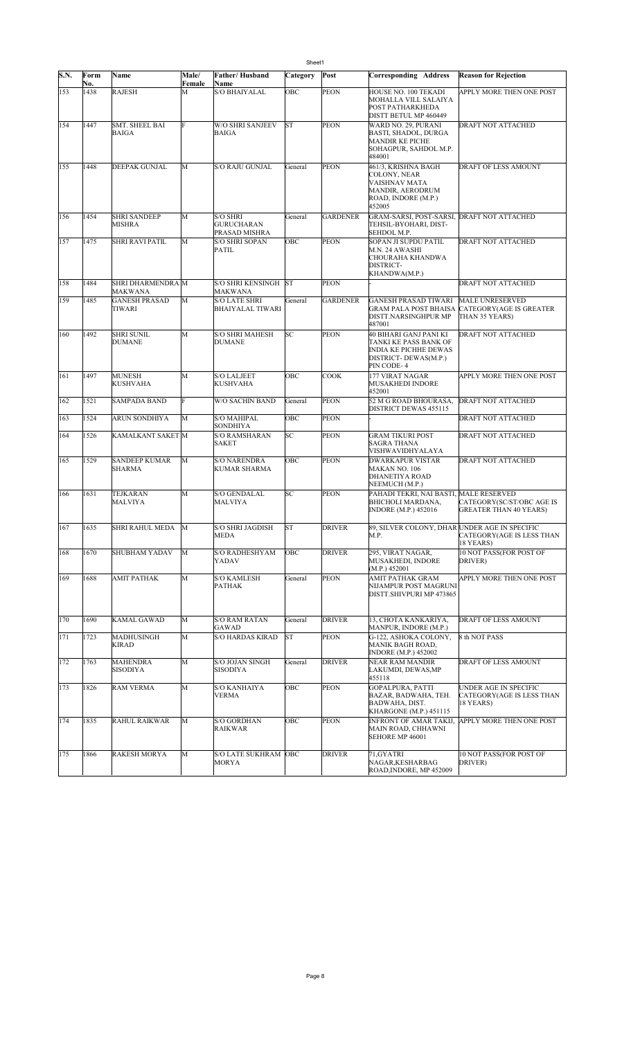|      | Sheet1      |                                       |             |                                                |           |                 |                                                                                                                       |                                                                             |  |  |
|------|-------------|---------------------------------------|-------------|------------------------------------------------|-----------|-----------------|-----------------------------------------------------------------------------------------------------------------------|-----------------------------------------------------------------------------|--|--|
| S.N. | Form        | Name                                  | Male/       | Father/Husband                                 | Category  | Post            | Corresponding Address                                                                                                 | <b>Reason for Rejection</b>                                                 |  |  |
| 153  | No.<br>1438 | <b>RAJESH</b>                         | Female<br>M | Name<br>S/O BHAIYALAL                          | OBC       | <b>PEON</b>     | HOUSE NO. 100 TEKADI<br>MOHALLA VILL SALAIYA<br>POST PATHARKHEDA<br>DISTT BETUL MP 460449                             | APPLY MORE THEN ONE POST                                                    |  |  |
| 154  | 1447        | <b>SMT. SHEEL BAI</b><br><b>BAIGA</b> | F           | <b>W/O SHRI SANJEEV</b><br><b>BAIGA</b>        | <b>ST</b> | <b>PEON</b>     | WARD NO. 29, PURANI<br>BASTI, SHADOL, DURGA<br><b>MANDIR KE PICHE</b><br>SOHAGPUR, SAHDOL M.P.<br>484001              | DRAFT NOT ATTACHED                                                          |  |  |
| 155  | 1448        | <b>DEEPAK GUNJAL</b>                  | M           | S/O RAJU GUNJAL                                | General   | <b>PEON</b>     | 461/3, KRISHNA BAGH<br>COLONY, NEAR<br>VAISHNAV MATA<br>MANDIR, AERODRUM<br>ROAD, INDORE (M.P.)<br>452005             | DRAFT OF LESS AMOUNT                                                        |  |  |
| 156  | 1454        | <b>SHRI SANDEEP</b><br><b>MISHRA</b>  | M           | S/O SHRI<br><b>GURUCHARAN</b><br>PRASAD MISHRA | General   | <b>GARDENER</b> | GRAM-SARSI, POST-SARSI, DRAFT NOT ATTACHED<br>TEHSIL-BYOHARI, DIST-<br>SEHDOL M.P.                                    |                                                                             |  |  |
| 157  | 1475        | SHRI RAVI PATIL                       | M           | <b>S/O SHRI SOPAN</b><br>PATIL                 | OBC       | <b>PEON</b>     | SOPAN JI SUPDU PATIL<br>M.N. 24 AWASHI<br>CHOURAHA KHANDWA<br>DISTRICT-<br>KHANDWA(M.P.)                              | DRAFT NOT ATTACHED                                                          |  |  |
| 158  | 1484        | SHRI DHARMENDRA M<br>MAKWANA          |             | S/O SHRI KENSINGH<br>MAKWANA                   | <b>ST</b> | PEON            |                                                                                                                       | DRAFT NOT ATTACHED                                                          |  |  |
| 159  | 1485        | <b>GANESH PRASAD</b><br>TIWARI        | M           | S/O LATE SHRI<br><b>BHAIYALAL TIWARI</b>       | General   | <b>GARDENER</b> | GANESH PRASAD TIWARI<br>GRAM PALA POST BHAISA<br>DISTT.NARSINGHPUR MP<br>487001                                       | <b>MALE UNRESERVED</b><br><b>CATEGORY (AGE IS GREATER</b><br>THAN 35 YEARS) |  |  |
| 160  | 1492        | <b>SHRI SUNIL</b><br><b>DUMANE</b>    | M           | <b>S/O SHRI MAHESH</b><br><b>DUMANE</b>        | SC        | <b>PEON</b>     | 40 BIHARI GANJ PANI KI<br>TANKI KE PASS BANK OF<br><b>INDIA KE PICHHE DEWAS</b><br>DISTRICT-DEWAS(M.P.)<br>PIN CODE-4 | DRAFT NOT ATTACHED                                                          |  |  |
| 161  | 1497        | <b>MUNESH</b><br><b>KUSHVAHA</b>      | M           | <b>S/O LALJEET</b><br>KUSHVAHA                 | OBC       | <b>COOK</b>     | 177 VIRAT NAGAR<br>MUSAKHEDI INDORE<br>452001                                                                         | APPLY MORE THEN ONE POST                                                    |  |  |
| 162  | 1521        | <b>SAMPADA BAND</b>                   | F           | W/O SACHIN BAND                                | General   | PEON            | 52 M G ROAD BHOURASA,<br>DISTRICT DEWAS 455115                                                                        | <b>DRAFT NOT ATTACHED</b>                                                   |  |  |
| 163  | 1524        | <b>ARUN SONDHIYA</b>                  | M           | S/O MAHIPAL<br>SONDHIYA                        | OBC       | <b>PEON</b>     |                                                                                                                       | DRAFT NOT ATTACHED                                                          |  |  |
| 164  | 1526        | <b>KAMALKANT SAKET M</b>              |             | <b>S/O RAMSHARAN</b><br><b>SAKET</b>           | SC        | <b>PEON</b>     | GRAM TIKURI POST<br>SAGRA THANA<br>VISHWAVIDHYALAYA                                                                   | DRAFT NOT ATTACHED                                                          |  |  |
| 165  | 1529        | <b>SANDEEP KUMAR</b><br><b>SHARMA</b> | M           | S/O NARENDRA<br>KUMAR SHARMA                   | OBC       | <b>PEON</b>     | DWARKAPUR VISTAR<br>MAKAN NO. 106<br>DHANETIYA ROAD<br>NEEMUCH (M.P.)                                                 | DRAFT NOT ATTACHED                                                          |  |  |
| 166  | 1631        | <b>TEJKARAN</b><br>MALVIYA            | M           | <b>S/O GENDALAL</b><br>MALVIYA                 | SC        | <b>PEON</b>     | PAHADI TEKRI, NAI BASTI, MALE RESERVED<br>BHICHOLI MARDANA,<br><b>INDORE (M.P.) 452016</b>                            | CATEGORY(SC/ST/OBC AGE IS<br><b>GREATER THAN 40 YEARS)</b>                  |  |  |
| 167  | 1635        | SHRI RAHUL MEDA                       | M           | S/O SHRI JAGDISH<br><b>MEDA</b>                | <b>ST</b> | <b>DRIVER</b>   | 89, SILVER COLONY, DHAR UNDER AGE IN SPECIFIC<br>M.P.                                                                 | <b>CATEGORY(AGE IS LESS THAN</b><br>18 YEARS)                               |  |  |
| 168  | 1670        | SHUBHAM YADAV                         | M           | <b>S/O RADHESHYAM</b><br>YADAV                 | OBC       | <b>DRIVER</b>   | 295, VIRAT NAGAR,<br>MUSAKHEDI, INDORE<br>(M.P.) 452001                                                               | 10 NOT PASS(FOR POST OF<br>DRIVER)                                          |  |  |
| 169  | 1688        | <b>AMIT PATHAK</b>                    | M           | <b>S/O KAMLESH</b><br><b>PATHAK</b>            | General   | <b>PEON</b>     | AMIT PATHAK GRAM<br>NIJAMPUR POST MAGRUNI<br>DISTT.SHIVPURI MP 473865                                                 | APPLY MORE THEN ONE POST                                                    |  |  |
| 170  | 1690        | <b>KAMAL GAWAD</b>                    | M           | <b>S/O RAM RATAN</b><br>GAWAD                  | General   | <b>DRIVER</b>   | 13, CHOTA KANKARIYA,<br>MANPUR, INDORE (M.P.)                                                                         | DRAFT OF LESS AMOUNT                                                        |  |  |
| 171  | 1723        | MADHUSINGH<br><b>KIRAD</b>            | M           | <b>S/O HARDAS KIRAD</b>                        | <b>ST</b> | <b>PEON</b>     | G-122, ASHOKA COLONY,<br>MANIK BAGH ROAD,<br><b>INDORE (M.P.) 452002</b>                                              | 8 th NOT PASS                                                               |  |  |
| 172  | 1763        | <b>MAHENDRA</b><br><b>SISODIYA</b>    | M           | S/O JOJAN SINGH<br><b>SISODIYA</b>             | General   | <b>DRIVER</b>   | <b>NEAR RAM MANDIR</b><br>LAKUMDI, DEWAS,MP<br>455118                                                                 | DRAFT OF LESS AMOUNT                                                        |  |  |
| 173  | 1826        | <b>RAM VERMA</b>                      | M           | S/O KANHAIYA<br>VERMA                          | OBC       | <b>PEON</b>     | GOPALPURA, PATTI<br>BAZAR, BADWAHA, TEH.<br>BADWAHA, DIST.<br>KHARGONE (M.P.) 451115                                  | UNDER AGE IN SPECIFIC<br>CATEGORY(AGE IS LESS THAN<br>18 YEARS)             |  |  |
| 174  | 1835        | <b>RAHUL RAIKWAR</b>                  | M           | <b>S/O GORDHAN</b><br>RAIKWAR                  | OBC       | PEON            | <b>INFRONT OF AMAR TAKIJ.</b><br>MAIN ROAD, CHHAWNI<br>SEHORE MP 46001                                                | APPLY MORE THEN ONE POST                                                    |  |  |
| 175  | 1866        | <b>RAKESH MORYA</b>                   | M           | S/O LATE SUKHRAM OBC<br>MORYA                  |           | <b>DRIVER</b>   | 71, GYATRI<br>NAGAR, KESHARBAG<br>ROAD, INDORE, MP 452009                                                             | 10 NOT PASS(FOR POST OF<br>DRIVER)                                          |  |  |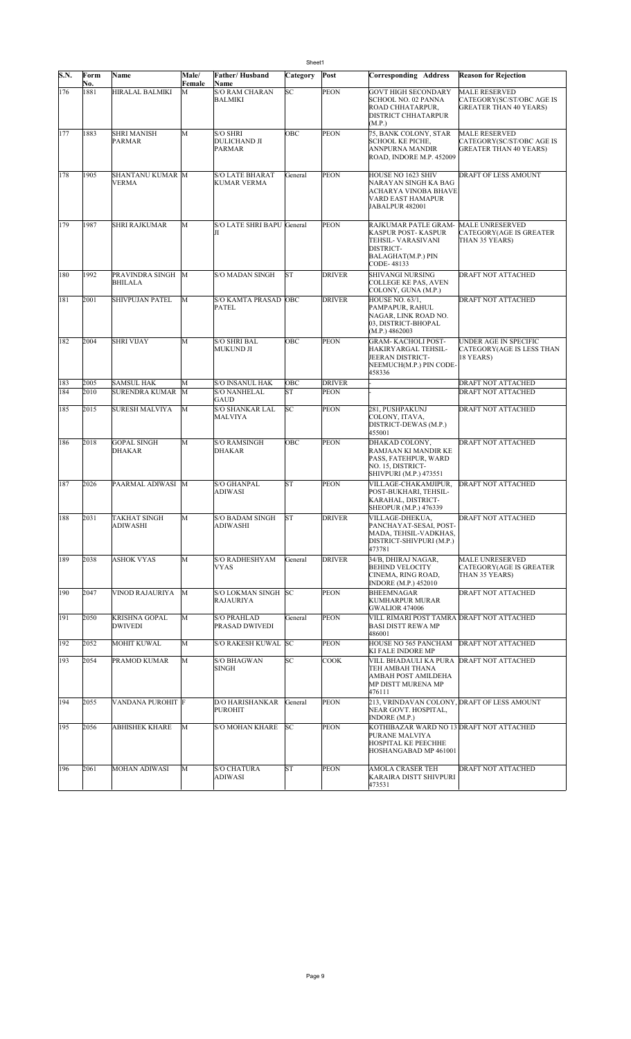|      |             |                                        |                 |                                              | Sheet1    |               |                                                                                                                                         |                                                                                    |
|------|-------------|----------------------------------------|-----------------|----------------------------------------------|-----------|---------------|-----------------------------------------------------------------------------------------------------------------------------------------|------------------------------------------------------------------------------------|
| S.N. | Form<br>No. | Name                                   | Male/<br>Female | Father/Husband<br>Name                       | Category  | Post          | <b>Corresponding Address</b>                                                                                                            | <b>Reason for Rejection</b>                                                        |
| 176  | 1881        | HIRALAL BALMIKI                        | М               | <b>S/O RAM CHARAN</b><br>BALMIKI             | SC        | PEON          | <b>GOVT HIGH SECONDARY</b><br>SCHOOL NO. 02 PANNA<br>ROAD CHHATARPUR,<br>DISTRICT CHHATARPUR<br>(M.P.)                                  | <b>MALE RESERVED</b><br>CATEGORY(SC/ST/OBC AGE IS<br><b>GREATER THAN 40 YEARS)</b> |
| 177  | 1883        | <b>SHRI MANISH</b><br>PARMAR           | M               | <b>S/O SHRI</b><br>DULICHAND JI<br>PARMAR    | OBC       | PEON          | 75, BANK COLONY, STAR<br><b>SCHOOL KE PICHE,</b><br>ANNPURNA MANDIR<br>ROAD, INDORE M.P. 452009                                         | <b>MALE RESERVED</b><br>CATEGORY(SC/ST/OBC AGE IS<br><b>GREATER THAN 40 YEARS)</b> |
| 178  | 1905        | SHANTANU KUMAR M<br><b>VERMA</b>       |                 | <b>S/O LATE BHARAT</b><br><b>KUMAR VERMA</b> | General   | <b>PEON</b>   | HOUSE NO 1623 SHIV<br>NARAYAN SINGH KA BAG<br>ACHARYA VINOBA BHAVE<br>VARD EAST HAMAPUR<br>JABALPUR 482001                              | DRAFT OF LESS AMOUNT                                                               |
| 179  | 1987        | <b>SHRI RAJKUMAR</b>                   | M               | S/O LATE SHRI BAPU General<br>Л              |           | <b>PEON</b>   | RAJKUMAR PATLE GRAM-<br>KASPUR POST- KASPUR<br>TEHSIL- VARASIVANI<br>DISTRICT-<br>BALAGHAT(M.P.) PIN<br>CODE-48133                      | <b>MALE UNRESERVED</b><br><b>CATEGORY (AGE IS GREATER</b><br>THAN 35 YEARS)        |
| 180  | 1992        | PRAVINDRA SINGH<br><b>BHILALA</b>      | M               | <b>S/O MADAN SINGH</b>                       | <b>ST</b> | <b>DRIVER</b> | SHIVANGI NURSING<br>COLLEGE KE PAS, AVEN<br>COLONY, GUNA (M.P.)                                                                         | <b>DRAFT NOT ATTACHED</b>                                                          |
| 181  | 2001        | <b>SHIVPUJAN PATEL</b>                 | M               | <b>S/O KAMTA PRASAD OBC</b><br><b>PATEL</b>  |           | <b>DRIVER</b> | <b>HOUSE NO. 63/1,</b><br>PAMPAPUR, RAHUL<br>NAGAR, LINK ROAD NO.<br>03, DISTRICT-BHOPAL<br>(M.P.) 4862003                              | <b>DRAFT NOT ATTACHED</b>                                                          |
| 182  | 2004        | <b>SHRI VIJAY</b>                      | M               | <b>S/O SHRI BAL</b><br><b>MUKUND JI</b>      | OBC       | PEON          | <b>GRAM- KACHOLI POST-</b><br>HAKIRYARGAL TEHSIL-<br>JEERAN DISTRICT-<br>NEEMUCH(M.P.) PIN CODE-<br>458336                              | <b>UNDER AGE IN SPECIFIC</b><br>CATEGORY(AGE IS LESS THAN<br>18 YEARS)             |
| 183  | 2005        | <b>SAMSUL HAK</b>                      | M               | S/O INSANUL HAK                              | OBC       | <b>DRIVER</b> |                                                                                                                                         | <b>DRAFT NOT ATTACHED</b>                                                          |
| 184  | 2010        | <b>SURENDRA KUMAR</b>                  | M               | <b>S/O NANHELAL</b><br>GAUD                  | <b>ST</b> | PEON          |                                                                                                                                         | <b>DRAFT NOT ATTACHED</b>                                                          |
| 185  | 2015        | <b>SURESH MALVIYA</b>                  | М               | <b>S/O SHANKAR LAL</b><br>MALVIYA            | SC        | PEON          | 281, PUSHPAKUNJ<br>COLONY, ITAVA,<br>DISTRICT-DEWAS (M.P.)<br>455001                                                                    | DRAFT NOT ATTACHED                                                                 |
| 186  | 2018        | <b>GOPAL SINGH</b><br><b>DHAKAR</b>    | M               | <b>S/O RAMSINGH</b><br>DHAKAR                | OBC       | PEON          | DHAKAD COLONY,<br>RAMJAAN KI MANDIR KE<br>PASS, FATEHPUR, WARD<br>NO. 15, DISTRICT-<br>SHIVPURI (M.P.) 473551                           | <b>DRAFT NOT ATTACHED</b>                                                          |
| 187  | 2026        | PAARMAL ADIWASI                        | M               | <b>S/O GHANPAL</b><br>ADIWASI                | <b>ST</b> | <b>PEON</b>   | VILLAGE-CHAKAMJIPUR,<br>POST-BUKHARI, TEHSIL-<br>KARAHAL, DISTRICT-<br>SHEOPUR (M.P.) 476339                                            | <b>DRAFT NOT ATTACHED</b>                                                          |
| 188  | 2031        | <b>TAKHAT SINGH</b><br>ADIWASHI        | M               | S/O BADAM SINGH<br>ADIWASHI                  | <b>ST</b> | <b>DRIVER</b> | VILLAGE-DHEKUA,<br>PANCHAYAT-SESAI, POST-<br>MADA, TEHSIL-VADKHAS,<br>DISTRICT-SHIVPURI (M.P.)<br>473781                                | <b>DRAFT NOT ATTACHED</b>                                                          |
| 189  | 2038        | <b>ASHOK VYAS</b>                      | M               | <b>S/O RADHESHYAM</b><br>VYAS                | General   | <b>DRIVER</b> | 34/B, DHIRAJ NAGAR,<br><b>BEHIND VELOCITY</b><br>CINEMA, RING ROAD,<br>INDORE (M.P.) 452010                                             | <b>MALE UNRESERVED</b><br><b>CATEGORY (AGE IS GREATER</b><br>THAN 35 YEARS)        |
| 190  | 2047        | <b>VINOD RAJAURIYA</b>                 | M               | S/O LOKMAN SINGH SC<br><b>RAJAURIYA</b>      |           | <b>PEON</b>   | <b>BHEEMNAGAR</b><br>KUMHARPUR MURAR<br>GWALIOR 474006                                                                                  | DRAFT NOT ATTACHED                                                                 |
| 191  | 2050        | <b>KRISHNA GOPAL</b><br><b>DWIVEDI</b> | M               | <b>S/O PRAHLAD</b><br>PRASAD DWIVEDI         | General   | PEON          | VILL RIMARI POST TAMRA DRAFT NOT ATTACHED<br><b>BASI DISTT REWA MP</b><br>486001                                                        |                                                                                    |
| 192  | 2052        | <b>MOHIT KUWAL</b>                     | M               | S/O RAKESH KUWAL SC                          |           | <b>PEON</b>   | HOUSE NO 565 PANCHAM                                                                                                                    | <b>DRAFT NOT ATTACHED</b>                                                          |
| 193  | 2054        | PRAMOD KUMAR                           | М               | <b>S/O BHAGWAN</b><br><b>SINGH</b>           | SC        | COOK          | KI FALE INDORE MP<br>VILL BHADAULI KA PURA DRAFT NOT ATTACHED<br>TEH AMBAH THANA<br>AMBAH POST AMILDEHA<br>MP DISTT MURENA MP<br>476111 |                                                                                    |
| 194  | 2055        | VANDANA PUROHIT F                      |                 | D/O HARISHANKAR<br><b>PUROHIT</b>            | General   | <b>PEON</b>   | 213, VRINDAVAN COLONY, DRAFT OF LESS AMOUNT<br>NEAR GOVT. HOSPITAL,<br>INDORE (M.P.)                                                    |                                                                                    |
| 195  | 2056        | <b>ABHISHEK KHARE</b>                  | M               | S/O MOHAN KHARE                              | SC        | <b>PEON</b>   | KOTHIBAZAR WARD NO 13 DRAFT NOT ATTACHED<br>PURANE MALVIYA<br>HOSPITAL KE PEECHHE<br>HOSHANGABAD MP 461001                              |                                                                                    |
| 196  | 2061        | <b>MOHAN ADIWASI</b>                   | М               | <b>S/O CHATURA</b><br>ADIWASI                | <b>ST</b> | <b>PEON</b>   | AMOLA CRASER TEH<br>KARAIRA DISTT SHIVPURI<br>473531                                                                                    | <b>DRAFT NOT ATTACHED</b>                                                          |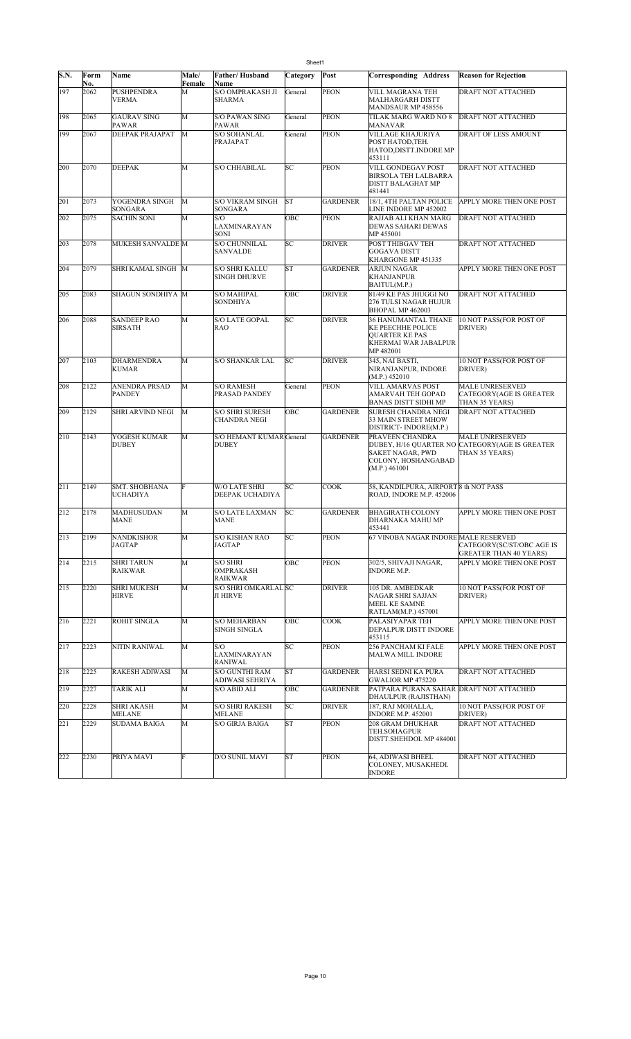|      |             |                                         |                 |                                            | Sheet1    |                 |                                                                                                               |                                                                                            |
|------|-------------|-----------------------------------------|-----------------|--------------------------------------------|-----------|-----------------|---------------------------------------------------------------------------------------------------------------|--------------------------------------------------------------------------------------------|
| S.N. | Form<br>No. | Name                                    | Male/<br>Female | Father/Husband<br>Name                     | Category  | Post            | Corresponding Address                                                                                         | <b>Reason for Rejection</b>                                                                |
| 197  | 2062        | <b>PUSHPENDRA</b><br><b>VERMA</b>       | M               | <b>S/O OMPRAKASH JI</b><br><b>SHARMA</b>   | General   | <b>PEON</b>     | VILL MAGRANA TEH<br><b>MALHARGARH DISTT</b><br>MANDSAUR MP 458556                                             | DRAFT NOT ATTACHED                                                                         |
| 198  | 2065        | <b>GAURAV SING</b>                      | M               | <b>S/O PAWAN SING</b>                      | General   | <b>PEON</b>     | TILAK MARG WARD NO 8                                                                                          | <b>DRAFT NOT ATTACHED</b>                                                                  |
| 199  | 2067        | <b>PAWAR</b><br>DEEPAK PRAJAPAT         | M               | PAWAR<br><b>S/O SOHANLAL</b><br>PRAJAPAT   | General   | <b>PEON</b>     | MANAVAR<br>VILLAGE KHAJURIYA<br>POST HATOD, TEH.<br>HATOD, DISTT. INDORE MP<br>453111                         | DRAFT OF LESS AMOUNT                                                                       |
| 200  | 2070        | <b>DEEPAK</b>                           | M               | S/O CHHABILAL                              | SC        | <b>PEON</b>     | VILL GONDEGAV POST<br><b>BIRSOLA TEH LALBARRA</b><br><b>DISTT BALAGHAT MP</b><br>481441                       | DRAFT NOT ATTACHED                                                                         |
| 201  | 2073        | YOGENDRA SINGH<br><b>SONGARA</b>        | M               | <b>S/O VIKRAM SINGH</b><br>SONGARA         | ST        | <b>GARDENER</b> | 18/1, 4TH PALTAN POLICE<br>LINE INDORE MP 452002                                                              | APPLY MORE THEN ONE POST                                                                   |
| 202  | 2075        | <b>SACHIN SONI</b>                      | M               | S/O<br>LAXMINARAYAN<br>SONI                | OBC       | <b>PEON</b>     | RAJJAB ALI KHAN MARG<br><b>DEWAS SAHARI DEWAS</b><br>MP 455001                                                | <b>DRAFT NOT ATTACHED</b>                                                                  |
| 203  | 2078        | MUKESH SANVALDE M                       |                 | <b>S/O CHUNNILAL</b><br>SANVALDE           | SC        | <b>DRIVER</b>   | POST THIBGAV TEH<br> GOGAVA DISTT<br>KHARGONE MP 451335                                                       | DRAFT NOT ATTACHED                                                                         |
| 204  | 2079        | SHRI KAMAL SINGH M                      |                 | S/O SHRI KALLU<br><b>SINGH DHURVE</b>      | <b>ST</b> | <b>GARDENER</b> | <b>ARJUN NAGAR</b><br><b>KHANJANPUR</b><br>BAITUL(M.P.)                                                       | APPLY MORE THEN ONE POST                                                                   |
| 205  | 2083        | SHAGUN SONDHIYA M                       |                 | S/O MAHIPAL<br><b>SONDHIYA</b>             | OBC       | <b>DRIVER</b>   | 81/49 KE PAS JHUGGI NO<br>276 TULSI NAGAR HUJUR<br>BHOPAL MP 462003                                           | DRAFT NOT ATTACHED                                                                         |
| 206  | 2088        | <b>SANDEEP RAO</b><br><b>SIRSATH</b>    | M               | <b>S/O LATE GOPAL</b><br>RAO               | SC        | <b>DRIVER</b>   | <b>36 HANUMANTAL THANE</b><br><b>KE PEECHHE POLICE</b><br>QUARTER KE PAS<br>KHERMAI WAR JABALPUR<br>MP 482001 | 10 NOT PASS(FOR POST OF<br>DRIVER)                                                         |
| 207  | 2103        | <b>DHARMENDRA</b><br><b>KUMAR</b>       | M               | <b>S/O SHANKAR LAL</b>                     | SC        | <b>DRIVER</b>   | 345, NAI BASTI,<br>NIRANJANPUR, INDORE<br>(M.P.) 452010                                                       | 10 NOT PASS(FOR POST OF<br>DRIVER)                                                         |
| 208  | 2122        | <b>ANENDRA PRSAD</b><br><b>PANDEY</b>   | M               | <b>S/O RAMESH</b><br>PRASAD PANDEY         | General   | <b>PEON</b>     | VILL AMARVAS POST<br>AMARVAH TEH GOPAD<br><b>BANAS DISTT SIDHI MP</b>                                         | <b>MALE UNRESERVED</b><br><b>CATEGORY (AGE IS GREATER</b><br>THAN 35 YEARS)                |
| 209  | 2129        | <b>SHRI ARVIND NEGI</b>                 | M               | S/O SHRI SURESH<br>CHANDRA NEGI            | OBC       | <b>GARDENER</b> | <b>SURESH CHANDRA NEGI</b><br>33 MAIN STREET MHOW<br>DISTRICT-INDORE(M.P.)                                    | DRAFT NOT ATTACHED                                                                         |
| 210  | 2143        | YOGESH KUMAR<br><b>DUBEY</b>            | M               | S/O HEMANT KUMAR General<br><b>DUBEY</b>   |           | <b>GARDENER</b> | PRAVEEN CHANDRA<br>SAKET NAGAR, PWD<br>COLONY, HOSHANGABAD<br>(M.P.) 461001                                   | <b>MALE UNRESERVED</b><br>DUBEY, H/16 QUARTER NO CATEGORY(AGE IS GREATER<br>THAN 35 YEARS) |
| 211  | 2149        | <b>SMT. SHOBHANA</b><br><b>UCHADIYA</b> | F               | <b>W/O LATE SHRI</b><br>DEEPAK UCHADIYA    | SC        | <b>COOK</b>     | 58, KANDILPURA, AIRPORT <sup>8</sup> th NOT PASS<br>ROAD, INDORE M.P. 452006                                  |                                                                                            |
| 212  | 2178        | MADHUSUDAN<br>MANE                      | M               | S/O LATE LAXMAN<br>MANE                    | SC        | <b>GARDENER</b> | <b>BHAGIRATH COLONY</b><br> DHARNAKA MAHU MP<br>453441                                                        | APPLY MORE THEN ONE POST                                                                   |
| 213  | 2199        | <b>NANDKISHOR</b><br>JAGTAP             | M               | S/O KISHAN RAO<br>JAGTAP                   | SC        | <b>PEON</b>     | 67 VINOBA NAGAR INDORE MALE RESERVED                                                                          | CATEGORY(SC/ST/OBC AGE IS<br><b>GREATER THAN 40 YEARS)</b>                                 |
| 214  | 2215        | <b>SHRI TARUN</b><br><b>RAIKWAR</b>     | M               | S/O SHRI<br>OMPRAKASH<br>RAIKWAR           | OBC       | <b>PEON</b>     | 302/5, SHIVAJI NAGAR,<br><b>INDORE M.P.</b>                                                                   | APPLY MORE THEN ONE POST                                                                   |
| 215  | 2220        | <b>SHRI MUKESH</b><br><b>HIRVE</b>      | M               | S/O SHRI OMKARLAL SC<br>JI HIRVE           |           | <b>DRIVER</b>   | 105 DR. AMBEDKAR<br>NAGAR SHRI SAJJAN<br>MEEL KE SAMNE<br>RATLAM(M.P.) 457001                                 | 10 NOT PASS(FOR POST OF<br>DRIVER)                                                         |
| 216  | 2221        | <b>ROHIT SINGLA</b>                     | M               | <b>S/O MEHARBAN</b><br><b>SINGH SINGLA</b> | OBC       | COOK            | PALASIYAPAR TEH<br>DEPALPUR DISTT INDORE<br>453115                                                            | APPLY MORE THEN ONE POST                                                                   |
| 217  | 2223        | NITIN RANIWAL                           | M               | S/O<br>LAXMINARAYAN<br>RANIWAL             | SC        | <b>PEON</b>     | 256 PANCHAM KI FALE<br>MALWA MILL INDORE                                                                      | APPLY MORE THEN ONE POST                                                                   |
| 218  | 2225        | <b>RAKESH ADIWASI</b>                   | M               | S/O GUNTHI RAM<br>ADIWASI SEHRIYA          | <b>ST</b> | <b>GARDENER</b> | HARSI SEDNI KA PURA<br>GWALIOR MP 475220                                                                      | DRAFT NOT ATTACHED                                                                         |
| 219  | 2227        | <b>TARIK ALI</b>                        | M               | S/O ABID ALI                               | OBC       | <b>GARDENER</b> | PATPARA PURANA SAHAR DRAFT NOT ATTACHED<br>DHAULPUR (RAJISTHAN)                                               |                                                                                            |
| 220  | 2228        | SHRI AKASH<br>MELANE                    | M               | <b>S/O SHRI RAKESH</b><br>MELANE           | SC        | <b>DRIVER</b>   | 187, RAJ MOHALLA,<br><b>INDORE M.P. 452001</b>                                                                | 10 NOT PASS(FOR POST OF<br>DRIVER)                                                         |
| 221  | 2229        | <b>SUDAMA BAIGA</b>                     | M               | <b>S/O GIRJA BAIGA</b>                     | <b>ST</b> | <b>PEON</b>     | <b>208 GRAM DHUKHAR</b><br>TEH.SOHAGPUR<br>DISTT SHEHDOL MP 484001                                            | DRAFT NOT ATTACHED                                                                         |
| 222  | 2230        | PRIYA MAVI                              | F               | D/O SUNIL MAVI                             | <b>ST</b> | <b>PEON</b>     | 64, ADIWASI BHEEL<br>COLONEY, MUSAKHEDI.<br><b>INDORE</b>                                                     | DRAFT NOT ATTACHED                                                                         |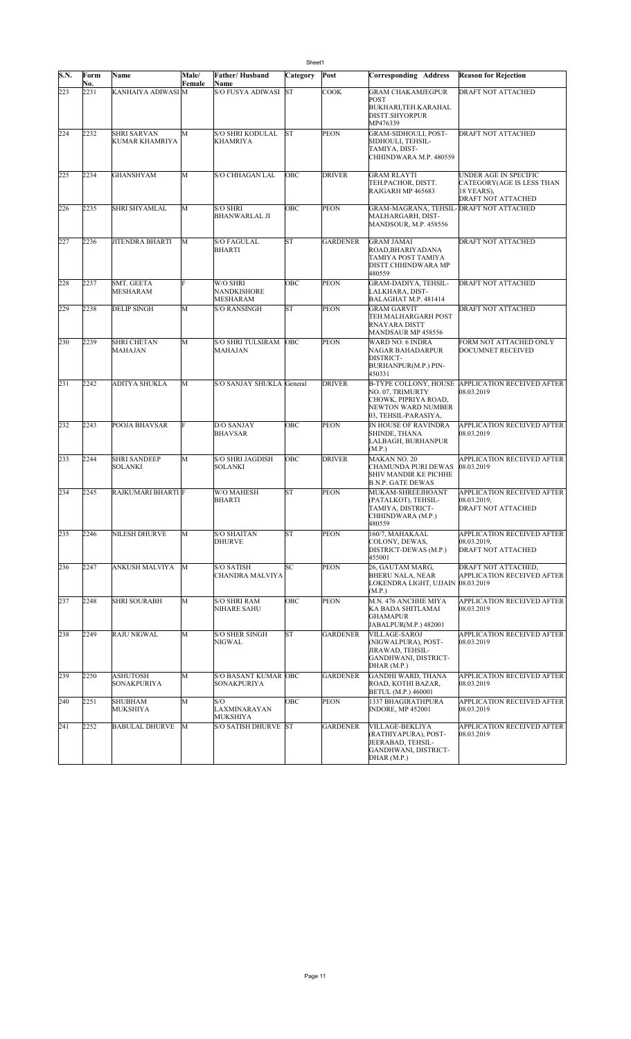|      | Sheet1      |                                       |                 |                                            |           |                 |                                                                                                        |                                                                                        |  |  |
|------|-------------|---------------------------------------|-----------------|--------------------------------------------|-----------|-----------------|--------------------------------------------------------------------------------------------------------|----------------------------------------------------------------------------------------|--|--|
| S.N. | Form<br>No. | <b>Name</b>                           | Male/<br>Female | Father/Husband<br>Name                     | Category  | Post            | <b>Corresponding Address</b>                                                                           | <b>Reason for Rejection</b>                                                            |  |  |
| 223  | 2231        | KANHAIYA ADIWASI M                    |                 | S/O FUSYA ADIWASI                          | <b>ST</b> | <b>COOK</b>     | <b>GRAM CHAKAMJEGPUR</b><br>POST<br>BUKHARI, TEH.KARAHAL<br><b>DISTT.SHYORPUR</b><br>MP476339          | DRAFT NOT ATTACHED                                                                     |  |  |
| 224  | 2232        | <b>SHRI SARVAN</b><br>KUMAR KHAMRIYA  | M               | <b>S/O SHRI KODULAL</b><br><b>KHAMRIYA</b> | ST        | <b>PEON</b>     | GRAM-SIDHOULI, POST-<br>SIDHOULI, TEHSIL-<br>TAMIYA, DIST-<br>CHHINDWARA M.P. 480559                   | DRAFT NOT ATTACHED                                                                     |  |  |
| 225  | 2234        | <b>GHANSHYAM</b>                      | M               | <b>S/O CHHAGAN LAL</b>                     | OBC       | DRIVER          | GRAM RLAYTI<br>TEH.PACHOR, DISTT.<br>RAJGARH MP 465683                                                 | UNDER AGE IN SPECIFIC<br>CATEGORY(AGE IS LESS THAN<br>18 YEARS),<br>DRAFT NOT ATTACHED |  |  |
| 226  | 2235        | SHRI SHYAMLAL                         | M               | S/O SHRI<br><b>BHANWARLAL JI</b>           | OBC       | PEON            | GRAM-MAGRANA, TEHSIL-DRAFT NOT ATTACHED<br>MALHARGARH, DIST-<br><b>MANDSOUR, M.P. 458556</b>           |                                                                                        |  |  |
| 227  | 2236        | <b>JITENDRA BHARTI</b>                | M               | <b>S/O FAGULAL</b><br>BHARTI               | ST        | <b>GARDENER</b> | <b>GRAM JAMAI</b><br>ROAD, BHARIY ADANA<br>TAMIYA POST TAMIYA<br>DISTT.CHHINDWARA MP<br>480559         | DRAFT NOT ATTACHED                                                                     |  |  |
| 228  | 2237        | <b>SMT. GEETA</b><br><b>MESHARAM</b>  | F               | W/O SHRI<br>NANDKISHORE<br><b>MESHARAM</b> | ОВС       | <b>PEON</b>     | GRAM-DADIYA, TEHSIL-<br>LALKHARA, DIST-<br>BALAGHAT M.P. 481414                                        | DRAFT NOT ATTACHED                                                                     |  |  |
| 229  | 2238        | <b>DELIP SINGH</b>                    | M               | <b>S/O RANSINGH</b>                        | <b>ST</b> | PEON            | <b>GRAM GARVIT</b><br>TEH.MALHARGARH POST<br><b>RNAYARA DISTT</b><br>MANDSAUR MP 458556                | DRAFT NOT ATTACHED                                                                     |  |  |
| 230  | 2239        | <b>SHRI CHETAN</b><br>MAHAJAN         | M               | <b>S/O SHRI TULSIRAM</b><br>MAHAJAN        | OBC       | <b>PEON</b>     | WARD NO. 6 INDRA<br>NAGAR BAHADARPUR<br>DISTRICT-<br>BURHANPUR(M.P.) PIN-<br>450331                    | FORM NOT ATTACHED ONLY<br>DOCUMNET RECEIVED                                            |  |  |
| 231  | 2242        | <b>ADITYA SHUKLA</b>                  | M               | S/O SANJAY SHUKLA General                  |           | DRIVER          | NO. 07, TRIMURTY<br>CHOWK, PIPRIYA ROAD,<br>NEWTON WARD NUMBER<br>03, TEHSIL-PARASIYA,                 | B-TYPE COLLONY, HOUSE APPLICATION RECEIVED AFTER<br>08.03.2019                         |  |  |
| 232  | 2243        | POOJA BHAVSAR                         | F               | D/O SANJAY<br><b>BHAVSAR</b>               | OBC       | <b>PEON</b>     | IN HOUSE OF RAVINDRA<br>SHINDE, THANA<br>LALBAGH, BURHANPUR<br>(M.P.)                                  | <b>APPLICATION RECEIVED AFTER</b><br>08.03.2019                                        |  |  |
| 233  | 2244        | <b>SHRI SANDEEP</b><br><b>SOLANKI</b> | M               | <b>S/O SHRI JAGDISH</b><br><b>SOLANKI</b>  | OBC       | DRIVER          | MAKAN NO. 20<br>CHAMUNDA PURI DEWAS<br>SHIV MANDIR KE PICHHE<br><b>B.N.P. GATE DEWAS</b>               | <b>APPLICATION RECEIVED AFTER</b><br>08.03.2019                                        |  |  |
| 234  | 2245        | RAJKUMARI BHARTI F                    |                 | W/O MAHESH<br><b>BHARTI</b>                | ST        | <b>PEON</b>     | MUKAM-SHREEJHOANT<br>(PATALKOT), TEHSIL-<br>TAMIYA, DISTRICT-<br>CHHINDWARA (M.P.)<br>480559           | <b>APPLICATION RECEIVED AFTER</b><br>08.03.2019,<br><b>DRAFT NOT ATTACHED</b>          |  |  |
| 235  | 2246        | NILESH DHURVE                         | M               | <b>S/O SHAITAN</b><br><b>DHURVE</b>        | ST        | <b>PEON</b>     | 160/7, MAHAKAAL<br>COLONY, DEWAS,<br>DISTRICT-DEWAS (M.P.)<br>455001                                   | APPLICATION RECEIVED AFTER<br>08.03.2019,<br>DRAFT NOT ATTACHED                        |  |  |
| 236  | 2247        | <b>ANKUSH MALVIYA</b>                 | M               | S/O SATISH<br>CHANDRA MALVIYA              | SC        | <b>PEON</b>     | 26, GAUTAM MARG,<br><b>BHERU NALA, NEAR</b><br>LOKENDRA LIGHT, UJJAIN 08.03.2019<br>(M.P.)             | DRAFT NOT ATTACHED,<br>APPLICATION RECEIVED AFTER                                      |  |  |
| 237  | 2248        | <b>SHRI SOURABH</b>                   | M               | <b>S/O SHRI RAM</b><br>NIHARE SAHU         | OBC       | PEON            | M.N. 476 ANCHHE MIYA<br>KA BADA SHITLAMAI<br><b>GHAMAPUR</b><br>JABALPUR(M.P.) 482001                  | APPLICATION RECEIVED AFTER<br>08.03.2019                                               |  |  |
| 238  | 2249        | <b>RAJU NIGWAL</b>                    | M               | <b>S/O SHER SINGH</b><br>NIGWAL            | <b>ST</b> | <b>GARDENER</b> | <b>VILLAGE-SAROJ</b><br>(NIGWALPURA), POST-<br>JIRAWAD, TEHSIL-<br>GANDHWANI, DISTRICT-<br>DHAR (M.P.) | APPLICATION RECEIVED AFTER<br>08.03.2019                                               |  |  |
| 239  | 2250        | ASHUTOSH<br><b>SONAKPURIYA</b>        | M               | <b>S/O BASANT KUMAR OBC</b><br>SONAKPURIYA |           | <b>GARDENER</b> | <b>GANDHI WARD, THANA</b><br>ROAD, KOTHI BAZAR,<br>BETUL (M.P.) 460001                                 | APPLICATION RECEIVED AFTER<br>08.03.2019                                               |  |  |
| 240  | 2251        | <b>SHUBHAM</b><br><b>MUKSHIYA</b>     | M               | S/O<br>LAXMINARAYAN<br>MUKSHIYA            | OBC       | PEON            | 1337 BHAGIRATHPURA<br><b>INDORE, MP 452001</b>                                                         | APPLICATION RECEIVED AFTER<br>08.03.2019                                               |  |  |
| 241  | 2252        | <b>BABULAL DHURVE</b>                 | M               | S/O SATISH DHURVE ST                       |           | <b>GARDENER</b> | VILLAGE-BEKLIYA<br>(RATHIYAPURA), POST-<br>JEERABAD, TEHSIL-<br>GANDHWANI, DISTRICT-<br>DHAR (M.P.)    | APPLICATION RECEIVED AFTER<br>08.03.2019                                               |  |  |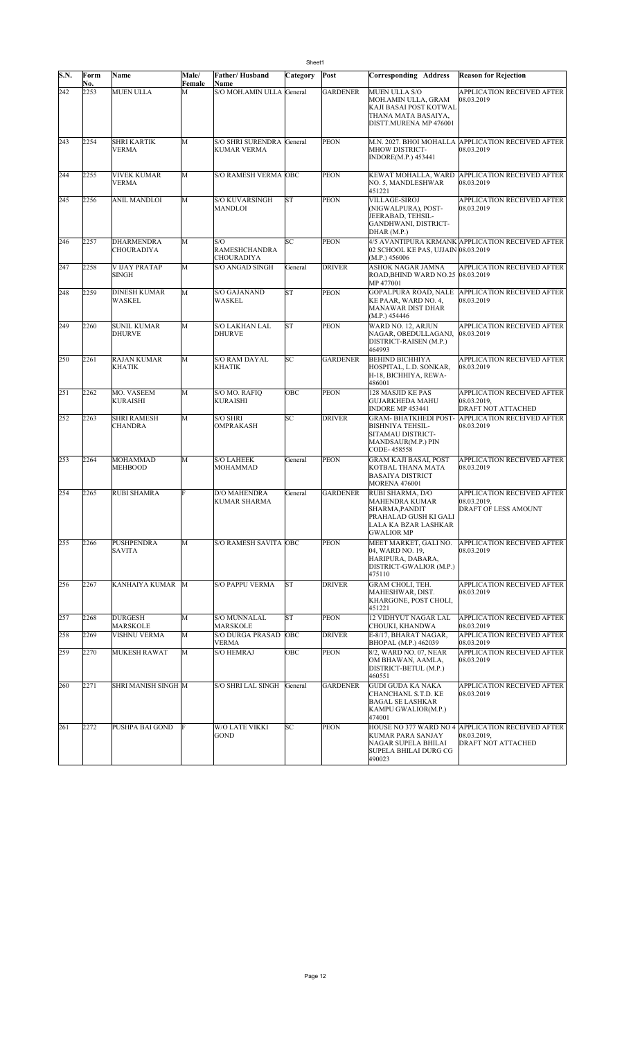| S.N. | Form<br>No. | Name                                 | Male/<br>Female | Father/Husband<br>Name                           | Category  | Post            | Corresponding Address                                                                                              | <b>Reason for Rejection</b>                                                            |
|------|-------------|--------------------------------------|-----------------|--------------------------------------------------|-----------|-----------------|--------------------------------------------------------------------------------------------------------------------|----------------------------------------------------------------------------------------|
| 242  | 2253        | <b>MUEN ULLA</b>                     | M               | <b>S/O MOH.AMIN ULLA</b>                         | General   | <b>GARDENER</b> | MUEN ULLA S/O<br>MOH.AMIN ULLA, GRAM<br>KAJI BASAI POST KOTWAL<br>THANA MATA BASAIYA,<br>DISTT.MURENA MP 476001    | APPLICATION RECEIVED AFTER<br>08.03.2019                                               |
| 243  | 2254        | <b>SHRI KARTIK</b><br><b>VERMA</b>   | M               | <b>S/O SHRI SURENDRA</b><br><b>KUMAR VERMA</b>   | General   | <b>PEON</b>     | M.N. 2027. BHOI MOHALLA<br>MHOW DISTRICT-<br>INDORE(M.P.) 453441                                                   | <b>APPLICATION RECEIVED AFTER</b><br>08.03.2019                                        |
| 244  | 2255        | <b>VIVEK KUMAR</b><br><b>VERMA</b>   | M               | <b>S/O RAMESH VERMA OBC</b>                      |           | <b>PEON</b>     | KEWAT MOHALLA, WARD<br>NO. 5, MANDLESHWAR<br>451221                                                                | <b>APPLICATION RECEIVED AFTER</b><br>08.03.2019                                        |
| 245  | 2256        | <b>ANIL MANDLOI</b>                  | M               | <b>S/O KUVARSINGH</b><br>MANDLOI                 | <b>ST</b> | <b>PEON</b>     | VILLAGE-SIROJ<br>(NIGWALPURA), POST-<br>JEERABAD, TEHSIL-<br>GANDHWANI, DISTRICT-<br>DHAR (M.P.)                   | APPLICATION RECEIVED AFTER<br>08.03.2019                                               |
| 246  | 2257        | <b>DHARMENDRA</b><br>CHOURADIYA      | M               | S/O<br><b>RAMESHCHANDRA</b><br><b>CHOURADIYA</b> | SC        | <b>PEON</b>     | 02 SCHOOL KE PAS, UJJAIN 08.03.2019<br>(M.P.) 456006                                                               | 4/5 AVANTIPURA KRMANK APPLICATION RECEIVED AFTER                                       |
| 247  | 2258        | V IJAY PRATAP<br><b>SINGH</b>        | M               | <b>S/O ANGAD SINGH</b>                           | General   | <b>DRIVER</b>   | ASHOK NAGAR JAMNA<br>ROAD, BHIND WARD NO.25 08.03.2019<br>MP 477001                                                | APPLICATION RECEIVED AFTER                                                             |
| 248  | 2259        | <b>DINESH KUMAR</b><br>WASKEL        | M               | <b>S/O GAJANAND</b><br>WASKEL                    | ST        | <b>PEON</b>     | GOPALPURA ROAD, NALE<br>KE PAAR, WARD NO. 4,<br>MANAWAR DIST DHAR<br>(M.P.) 454446                                 | <b>APPLICATION RECEIVED AFTER</b><br>08.03.2019                                        |
| 249  | 2260        | <b>SUNIL KUMAR</b><br><b>DHURVE</b>  | M               | S/O LAKHAN LAL<br><b>DHURVE</b>                  | ST        | <b>PEON</b>     | WARD NO. 12, ARJUN<br>NAGAR, OBEDULLAGANJ,<br>DISTRICT-RAISEN (M.P.)<br>464993                                     | APPLICATION RECEIVED AFTER<br>08.03.2019                                               |
| 250  | 2261        | <b>RAJAN KUMAR</b><br>KHATIK         | M               | <b>S/O RAM DAYAL</b><br><b>KHATIK</b>            | SC        | <b>GARDENER</b> | <b>BEHIND BICHHIYA</b><br>HOSPITAL, L.D. SONKAR,<br>H-18, BICHHIYA, REWA-<br>486001                                | APPLICATION RECEIVED AFTER<br>08.03.2019                                               |
| 251  | 2262        | MO. VASEEM<br><b>KURAISHI</b>        | M               | S/O MO. RAFIO<br><b>KURAISHI</b>                 | OBC       | PEON            | 128 MASJID KE PAS<br>GUJARKHEDA MAHU<br><b>INDORE MP 453441</b>                                                    | APPLICATION RECEIVED AFTER<br>08.03.2019,<br>DRAFT NOT ATTACHED                        |
| 252  | 2263        | <b>SHRI RAMESH</b><br><b>CHANDRA</b> | M               | <b>S/O SHRI</b><br><b>OMPRAKASH</b>              | SC        | <b>DRIVER</b>   | GRAM- BHATKHEDI POST-<br>BISHNIYA TEHSIL-<br>SITAMAU DISTRICT-<br>MANDSAUR(M.P.) PIN<br>CODE-458558                | APPLICATION RECEIVED AFTER<br>08.03.2019                                               |
| 253  | 2264        | MOHAMMAD<br><b>MEHBOOD</b>           | M               | <b>S/O LAHEEK</b><br>MOHAMMAD                    | General   | <b>PEON</b>     | GRAM KAJI BASAI, POST<br>KOTBAL THANA MATA<br><b>BASAIYA DISTRICT</b><br><b>MORENA 476001</b>                      | APPLICATION RECEIVED AFTER<br>08.03.2019                                               |
| 254  | 2265        | RUBI SHAMRA                          | F               | <b>D/O MAHENDRA</b><br><b>KUMAR SHARMA</b>       | General   | <b>GARDENER</b> | RUBI SHARMA, D/O<br>MAHENDRA KUMAR<br>SHARMA,PANDIT<br>PRAHALAD GUSH KI GALI<br>LALA KA BZAR LASHKAR<br>GWALIOR MP | APPLICATION RECEIVED AFTER<br>08.03.2019,<br><b>DRAFT OF LESS AMOUNT</b>               |
| 255  | 2266        | PUSHPENDRA<br><b>SAVITA</b>          | M               | <b>S/O RAMESH SAVITA OBC</b>                     |           | <b>PEON</b>     | MEET MARKET, GALI NO.<br>04. WARD NO. 19.<br>HARIPURA, DABARA,<br>DISTRICT-GWALIOR (M.P.)<br>475110                | APPLICATION RECEIVED AFTER<br>08.03.2019                                               |
| 256  | 2267        | KANHAIYA KUMAR                       | M               | <b>S/O PAPPU VERMA</b>                           | ST        | <b>DRIVER</b>   | GRAM CHOLI, TEH.<br>MAHESHWAR, DIST.<br>KHARGONE, POST CHOLI,<br>451221                                            | APPLICATION RECEIVED AFTER<br>08.03.2019                                               |
| 257  | 2268        | <b>DURGESH</b><br>MARSKOLE           | M               | <b>S/O MUNNALAL</b><br>MARSKOLE                  | ST        | <b>PEON</b>     | 12 VIDHYUT NAGAR LAL<br>CHOUKI, KHANDWA                                                                            | APPLICATION RECEIVED AFTER<br>08.03.2019                                               |
| 258  | 2269        | VISHNU VERMA                         | M               | <b>S/O DURGA PRASAD</b><br>VERMA                 | OBC       | <b>DRIVER</b>   | E-8/17. BHARAT NAGAR.<br>BHOPAL (M.P.) 462039                                                                      | APPLICATION RECEIVED AFTER<br>08.03.2019                                               |
| 259  | 2270        | <b>MUKESH RAWAT</b>                  | M               | <b>S/O HEMRAJ</b>                                | OBC       | <b>PEON</b>     | 8/2, WARD NO. 07, NEAR<br>OM BHAWAN, AAMLA,<br>DISTRICT-BETUL (M.P.)<br>460551                                     | APPLICATION RECEIVED AFTER<br>08.03.2019                                               |
| 260  | 2271        | SHRI MANISH SINGH M                  |                 | S/O SHRI LAL SINGH                               | General   | <b>GARDENER</b> | <b>GUDI GUDA KA NAKA</b><br>CHANCHANL S.T.D. KE<br>BAGAL SE LASHKAR<br>KAMPU GWALIOR(M.P.)<br>474001               | APPLICATION RECEIVED AFTER<br>08.03.2019                                               |
| 261  | 2272        | PUSHPA BAI GOND                      | F               | W/O LATE VIKKI<br>GOND                           | SС        | PEON            | KUMAR PARA SANJAY<br>NAGAR SUPELA BHILAI<br>SUPELA BHILAI DURG CG<br>490023                                        | HOUSE NO 377 WARD NO 4 APPLICATION RECEIVED AFTER<br>08.03.2019,<br>DRAFT NOT ATTACHED |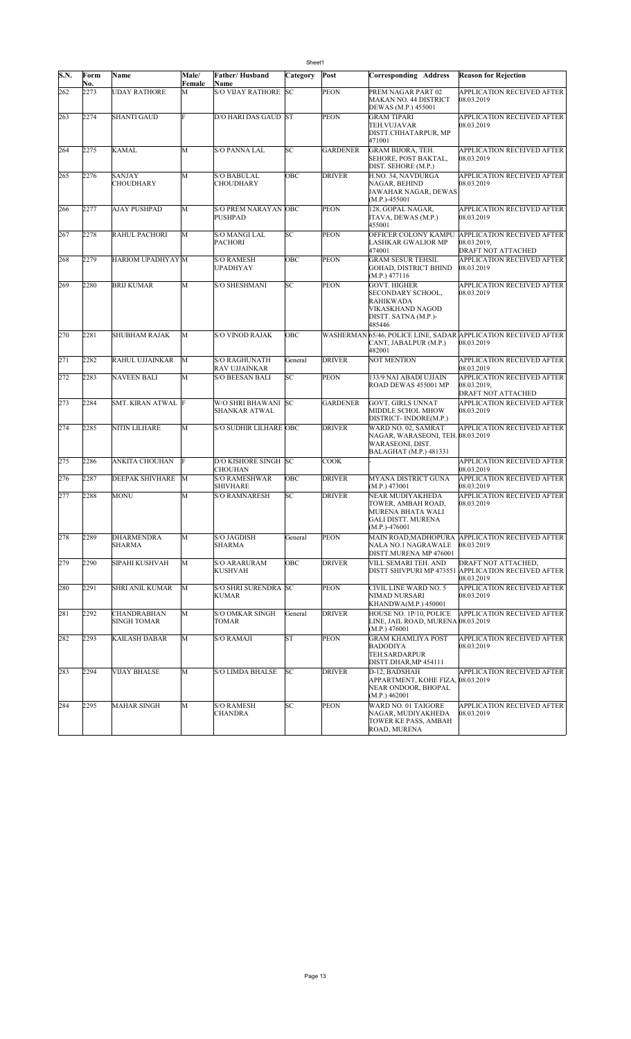|      | Sheet1      |                                    |                 |                                                           |           |                 |                                                                                                             |                                                                                          |  |  |
|------|-------------|------------------------------------|-----------------|-----------------------------------------------------------|-----------|-----------------|-------------------------------------------------------------------------------------------------------------|------------------------------------------------------------------------------------------|--|--|
| S.N. | Form<br>No. | <b>Name</b>                        | Male/<br>Female | <b>Father/Husband</b><br>Name                             | Category  | Post            | <b>Corresponding Address</b>                                                                                | <b>Reason for Rejection</b>                                                              |  |  |
| 262  | 2273        | <b>UDAY RATHORE</b>                | М               | <b>S/O VIJAY RATHORE</b>                                  | SC        | <b>PEON</b>     | PREM NAGAR PART 02<br>MAKAN NO. 44 DISTRICT<br>DEWAS (M.P.) 455001                                          | APPLICATION RECEIVED AFTER<br>08.03.2019                                                 |  |  |
| 263  | 2274        | <b>SHANTI GAUD</b>                 | F               | D/O HARI DAS GAUD ST                                      |           | <b>PEON</b>     | GRAM TIPARI<br>TEH.VUJAVAR<br>DISTT.CHHATARPUR, MP<br>471001                                                | APPLICATION RECEIVED AFTER<br>08.03.2019                                                 |  |  |
| 264  | 2275        | <b>KAMAL</b>                       | M               | <b>S/O PANNA LAL</b>                                      | SС        | <b>GARDENER</b> | <b>GRAM BIJORA, TEH.</b><br>SEHORE, POST BAKTAL,<br>DIST. SEHORE (M.P.)                                     | APPLICATION RECEIVED AFTER<br>08.03.2019                                                 |  |  |
| 265  | 2276        | <b>SANJAY</b><br><b>CHOUDHARY</b>  | M               | <b>S/O BABULAL</b><br><b>CHOUDHARY</b>                    | OBC       | <b>DRIVER</b>   | H.NO. 34, NAVDURGA<br>NAGAR, BEHIND<br>JAWAHAR NAGAR, DEWAS<br>$(M.P.)-455001$                              | APPLICATION RECEIVED AFTER<br>08.03.2019                                                 |  |  |
| 266  | 2277        | AJAY PUSHPAD                       | M               | <b>S/O PREM NARAYAN OBC</b><br><b>PUSHPAD</b>             |           | <b>PEON</b>     | 128, GOPAL NAGAR,<br>ITAVA, DEWAS (M.P.)<br>455001                                                          | APPLICATION RECEIVED AFTER<br>08.03.2019                                                 |  |  |
| 267  | 2278        | RAHUL PACHORI                      | M               | S/O MANGI LAL<br><b>PACHORI</b>                           | SC        | <b>PEON</b>     | OFFICER COLONY KAMPU<br>LASHKAR GWALIOR MP<br>474001                                                        | <b>APPLICATION RECEIVED AFTER</b><br>08.03.2019,<br>DRAFT NOT ATTACHED                   |  |  |
| 268  | 2279        | HARIOM UPADHYAY M                  |                 | <b>S/O RAMESH</b><br>UPADHYAY                             | OBC       | <b>PEON</b>     | GRAM SESUR TEHSIL<br>GOHAD, DISTRICT BHIND<br>(M.P.) 477116                                                 | APPLICATION RECEIVED AFTER<br>08.03.2019                                                 |  |  |
| 269  | 2280        | <b>BRIJ KUMAR</b>                  | M               | <b>S/O SHESHMANI</b>                                      | SС        | <b>PEON</b>     | <b>GOVT. HIGHER</b><br>SECONDARY SCHOOL,<br>RAHIKWADA<br>VIKASKHAND NAGOD<br>DISTT. SATNA (M.P.)-<br>485446 | APPLICATION RECEIVED AFTER<br>08.03.2019                                                 |  |  |
| 270  | 2281        | <b>SHUBHAM RAJAK</b>               | M               | <b>S/O VINOD RAJAK</b>                                    | OBC       |                 | CANT, JABALPUR (M.P.)<br>482001                                                                             | WASHERMAN 65/46, POLICE LINE, SADAR APPLICATION RECEIVED AFTER<br>08 03 2019             |  |  |
| 271  | 2282        | RAHUL UJJAINKAR                    | M               | S/O RAGHUNATH<br>RAV UJJAINKAR                            | General   | <b>DRIVER</b>   | NOT MENTION                                                                                                 | APPLICATION RECEIVED AFTER<br>08.03.2019                                                 |  |  |
| 272  | 2283        | <b>NAVEEN BALI</b>                 | M               | <b>S/O BEESAN BALI</b>                                    | SC        | <b>PEON</b>     | 133/9 NAI ABADI UJJAIN<br>ROAD DEWAS 455001 MP                                                              | APPLICATION RECEIVED AFTER<br>08.03.2019,<br>DRAFT NOT ATTACHED                          |  |  |
| 273  | 2284        | SMT. KIRAN ATWAL F                 |                 | W/O SHRI BHAWANI<br>SHANKAR ATWAL                         | <b>SC</b> | <b>GARDENER</b> | GOVT. GIRLS UNNAT<br>MIDDLE SCHOL MHOW<br>DISTRICT-INDORE(M.P.)                                             | APPLICATION RECEIVED AFTER<br>08.03.2019                                                 |  |  |
| 274  | 2285        | NITIN LILHARE                      | M               | <b>S/O SUDHIR LILHARE OBC</b>                             |           | <b>DRIVER</b>   | WARD NO. 02, SAMRAT<br>NAGAR, WARASEONI, TEH. 08.03.2019<br>WARASEONI, DIST.<br>BALAGHAT (M.P.) 481331      | APPLICATION RECEIVED AFTER                                                               |  |  |
| 275  | 2286        | <b>ANKITA CHOUHAN</b>              | lF              | D/O KISHORE SINGH SC                                      |           | <b>COOK</b>     |                                                                                                             | APPLICATION RECEIVED AFTER<br>08.03.2019                                                 |  |  |
| 276  | 2287        | DEEPAK SHIVHARE                    | M               | <b>CHOUHAN</b><br><b>S/O RAMESHWAR</b><br><b>SHIVHARE</b> | OBC       | <b>DRIVER</b>   | MYANA DISTRICT GUNA<br>(M.P.) 473001                                                                        | <b>APPLICATION RECEIVED AFTER</b><br>08.03.2019                                          |  |  |
| 277  | 2288        | <b>MONU</b>                        | M               | <b>S/O RAMNARESH</b>                                      | SC        | <b>DRIVER</b>   | NEAR MUDIYAKHEDA<br>TOWER, AMBAH ROAD,<br>MURENA BHATA WALI<br>GALI DISTT. MURENA<br>$(M.P.)-476001$        | APPLICATION RECEIVED AFTER<br>08.03.2019                                                 |  |  |
| 278  | 2289        | <b>DHARMENDRA</b><br><b>SHARMA</b> | M               | S/O JAGDISH<br>SHARMA                                     | General   | <b>PEON</b>     | <b>MAIN ROAD, MADHOPURA</b><br>NALA NO.1 NAGRAWALE<br>DISTT.MURENA MP 476001                                | <b>APPLICATION RECEIVED AFTER</b><br>08.03.2019                                          |  |  |
| 279  | 2290        | SIPAHI KUSHVAH                     | M               | <b>S/O ARARURAM</b><br>KUSHVAH                            | ОВС       | <b>DRIVER</b>   | VILL SEMARI TEH. AND                                                                                        | DRAFT NOT ATTACHED,<br>DISTT SHIVPURI MP 473551 APPLICATION RECEIVED AFTER<br>08.03.2019 |  |  |
| 280  | 2291        | SHRI ANIL KUMAR                    | M               | <b>S/O SHRI SURENDRA SC</b><br><b>KUMAR</b>               |           | <b>PEON</b>     | CIVIL LINE WARD NO. 5<br>NIMAD NURSARI<br>KHANDWA(M.P.) 450001                                              | APPLICATION RECEIVED AFTER<br>08.03.2019                                                 |  |  |
| 281  | 2292        | CHANDRABHAN<br><b>SINGH TOMAR</b>  | M               | <b>S/O OMKAR SINGH</b><br><b>TOMAR</b>                    | General   | <b>DRIVER</b>   | HOUSE NO. 1P/10, POLICE<br>LINE, JAIL ROAD, MURENA 08.03.2019<br>(M.P.) 476001                              | APPLICATION RECEIVED AFTER                                                               |  |  |
| 282  | 2293        | KAILASH DABAR                      | M               | <b>S/O RAMAJI</b>                                         | ST        | <b>PEON</b>     | GRAM KHAMLIYA POST<br>BADODIYA<br>TEH.SARDARPUR<br>DISTT.DHAR,MP 454111                                     | APPLICATION RECEIVED AFTER<br>08.03.2019                                                 |  |  |
| 283  | 2294        | <b>VIJAY BHALSE</b>                | M               | <b>S/O LIMDA BHALSE</b>                                   | SC        | <b>DRIVER</b>   | D-12, BADSHAH<br>APPARTMENT, KOHE FIZA,<br>NEAR ONDOOR, BHOPAL<br>(M.P.) 462001                             | APPLICATION RECEIVED AFTER<br>08.03.2019                                                 |  |  |
| 284  | 2295        | <b>MAHAR SINGH</b>                 | M               | S/O RAMESH<br><b>CHANDRA</b>                              | SС        | <b>PEON</b>     | WARD NO. 01 TAIGORE<br>NAGAR, MUDIYAKHEDA<br>TOWER KE PASS, AMBAH<br>ROAD, MURENA                           | APPLICATION RECEIVED AFTER<br>08.03.2019                                                 |  |  |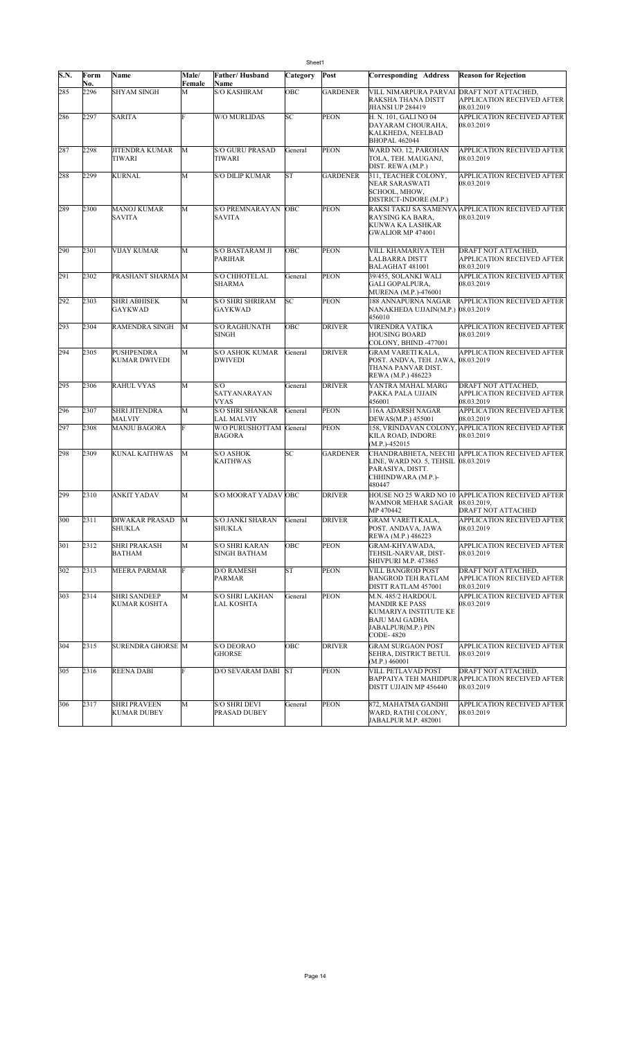|      | Sheet1      |                                           |                 |                                          |           |                 |                                                                                                                                  |                                                                                        |  |  |  |
|------|-------------|-------------------------------------------|-----------------|------------------------------------------|-----------|-----------------|----------------------------------------------------------------------------------------------------------------------------------|----------------------------------------------------------------------------------------|--|--|--|
| S.N. | Form<br>No. | Name                                      | Male/<br>Female | Father/Husband<br>Name                   | Category  | Post            | Corresponding Address                                                                                                            | <b>Reason for Rejection</b>                                                            |  |  |  |
| 285  | 2296        | <b>SHYAM SINGH</b>                        | M               | S/O KASHIRAM                             | OBC       | <b>GARDENER</b> | VILL NIMARPURA PARVAI<br>RAKSHA THANA DISTT<br>JHANSI UP 284419                                                                  | DRAFT NOT ATTACHED,<br>APPLICATION RECEIVED AFTER<br>08.03.2019                        |  |  |  |
| 286  | 2297        | <b>SARITA</b>                             | E               | W/O MURLIDAS                             | SC        | <b>PEON</b>     | H. N. 101, GALI NO 04<br>DAYARAM CHOURAHA,<br><b>KALKHEDA, NEELBAD</b><br>BHOPAL 462044                                          | APPLICATION RECEIVED AFTER<br>08.03.2019                                               |  |  |  |
| 287  | 2298        | <b>JITENDRA KUMAR</b><br>TIWARI           | M               | S/O GURU PRASAD<br>TIWARI                | General   | <b>PEON</b>     | WARD NO. 12, PAROHAN<br>TOLA, TEH. MAUGANJ,<br>DIST. REWA (M.P.)                                                                 | <b>APPLICATION RECEIVED AFTER</b><br>08.03.2019                                        |  |  |  |
| 288  | 2299        | <b>KURNAL</b>                             | M               | <b>S/O DILIP KUMAR</b>                   | <b>ST</b> | <b>GARDENER</b> | 311, TEACHER COLONY,<br>NEAR SARASWATI<br>SCHOOL, MHOW,<br>DISTRICT-INDORE (M.P.)                                                | APPLICATION RECEIVED AFTER<br>08.03.2019                                               |  |  |  |
| 289  | 2300        | <b>MANOJ KUMAR</b><br><b>SAVITA</b>       | M               | <b>S/O PREMNARAYAN</b><br>SAVITA         | OBC       | PEON            | RAYSING KA BARA,<br>KUNWA KA LASHKAR<br>GWALIOR MP 474001                                                                        | RAKSI TAKIJ SA SAMENYA APPLICATION RECEIVED AFTER<br>08.03.2019                        |  |  |  |
| 290  | 2301        | <b>VIJAY KUMAR</b>                        | M               | S/O BASTARAM JI<br>PARIHAR               | OBC       | <b>PEON</b>     | VILL KHAMARIYA TEH<br>LALBARRA DISTT<br>BALAGHAT 481001                                                                          | DRAFT NOT ATTACHED,<br>APPLICATION RECEIVED AFTER<br>08.03.2019                        |  |  |  |
| 291  | 2302        | PRASHANT SHARMA M                         |                 | <b>S/O CHHOTELAL</b><br><b>SHARMA</b>    | General   | <b>PEON</b>     | 39/455, SOLANKI WALI<br>GALI GOPALPURA,<br>MURENA (M.P.)-476001                                                                  | <b>APPLICATION RECEIVED AFTER</b><br>08.03.2019                                        |  |  |  |
| 292  | 2303        | <b>SHRI ABHISEK</b><br>GAYKWAD            | M               | <b>S/O SHRI SHRIRAM</b><br>GAYKWAD       | SC        | <b>PEON</b>     | 188 ANNAPURNA NAGAR<br>NANAKHEDA UJJAIN(M.P.) 08.03.2019<br>456010                                                               | <b>APPLICATION RECEIVED AFTER</b>                                                      |  |  |  |
| 293  | 2304        | <b>RAMENDRA SINGH</b>                     | M               | <b>S/O RAGHUNATH</b><br>SINGH            | OBC       | <b>DRIVER</b>   | VIRENDRA VATIKA<br><b>HOUSING BOARD</b><br>COLONY, BHIND -477001                                                                 | APPLICATION RECEIVED AFTER<br>08.03.2019                                               |  |  |  |
| 294  | 2305        | <b>PUSHPENDRA</b><br>KUMAR DWIVEDI        | M               | <b>S/O ASHOK KUMAR</b><br><b>DWIVEDI</b> | General   | <b>DRIVER</b>   | GRAM VARETI KALA,<br>POST. ANDVA, TEH. JAWA, 08.03.2019<br>THANA PANVAR DIST.<br>REWA (M.P.) 486223                              | <b>APPLICATION RECEIVED AFTER</b>                                                      |  |  |  |
| 295  | 2306        | <b>RAHUL VYAS</b>                         | M               | S/O<br><i>SATYANARAYAN</i><br>VYAS       | General   | <b>DRIVER</b>   | YANTRA MAHAL MARG<br>PAKKA PALA UJJAIN<br>456001                                                                                 | DRAFT NOT ATTACHED,<br><b>APPLICATION RECEIVED AFTER</b><br>08.03.2019                 |  |  |  |
| 296  | 2307        | <b>SHRI JITENDRA</b><br>MALVIY            | M               | <b>S/O SHRI SHANKAR</b><br>LAL MALVIY    | General   | <b>PEON</b>     | 116A ADARSH NAGAR<br>DEWAS(M.P.) 455001                                                                                          | APPLICATION RECEIVED AFTER<br>08.03.2019                                               |  |  |  |
| 297  | 2308        | <b>MANJU BAGORA</b>                       | F               | W/O PURUSHOTTAM<br>BAGORA                | General   | <b>PEON</b>     | KILA ROAD, INDORE<br>$(M.P.)-452015$                                                                                             | 158, VRINDAVAN COLONY, APPLICATION RECEIVED AFTER<br>08.03.2019                        |  |  |  |
| 298  | 2309        | <b>KUNAL KAITHWAS</b>                     | M               | S/O ASHOK<br><b>KAITHWAS</b>             | SC        | <b>GARDENER</b> | CHANDRABHETA, NEECHI<br>LINE, WARD NO. 5, TEHSIL<br>PARASIYA, DISTT.<br>CHHINDWARA (M.P.)-<br>480447                             | <b>APPLICATION RECEIVED AFTER</b><br>08.03.2019                                        |  |  |  |
| 299  | 2310        | <b>ANKIT YADAV</b>                        | M               | S/O MOORAT YADAV OBC                     |           | <b>DRIVER</b>   | WAMNOR MEHAR SAGAR<br>MP 470442                                                                                                  | HOUSE NO 25 WARD NO 10 APPLICATION RECEIVED AFTER<br>08.03.2019,<br>DRAFT NOT ATTACHED |  |  |  |
| 300  | 2311        | DIWAKAR PRASAD M<br><b>SHUKLA</b>         |                 | S/O JANKI SHARAN<br>SHUKLA               | General   | <b>DRIVER</b>   | GRAM VARETI KALA,<br>POST. ANDAVA, JAWA<br>REWA (M.P.) 486223                                                                    | APPLICATION RECEIVED AFTER<br>08.03.2019                                               |  |  |  |
| 301  | 2312        | <b>SHRI PRAKASH</b><br>BATHAM             | M               | <b>S/O SHRI KARAN</b><br>SINGH BATHAM    | OBC       | PEON            | GRAM-KHYAWADA,<br>TEHSIL-NARVAR, DIST-<br>SHIVPURI M.P. 473865                                                                   | APPLICATION RECEIVED AFTER<br>08.03.2019                                               |  |  |  |
| 302  | 2313        | <b>MEERA PARMAR</b>                       | F               | D/O RAMESH<br><b>PARMAR</b>              | <b>ST</b> | <b>PEON</b>     | VILL BANGROD POST<br><b>BANGROD TEH RATLAM</b><br>DISTT RATLAM 457001                                                            | DRAFT NOT ATTACHED,<br>APPLICATION RECEIVED AFTER<br>08.03.2019                        |  |  |  |
| 303  | 2314        | <b>SHRI SANDEEP</b><br>KUMAR KOSHTA       | M               | <b>S/O SHRI LAKHAN</b><br>LAL KOSHTA     | General   | <b>PEON</b>     | M.N. 485/2 HARDOUL<br><b>MANDIR KE PASS</b><br>KUMARIYA INSTITUTE KE<br><b>BAJU MAI GADHA</b><br>JABALPUR(M.P.) PIN<br>CODE-4820 | APPLICATION RECEIVED AFTER<br>08.03.2019                                               |  |  |  |
| 304  | 2315        | <b>SURENDRA GHORSE M</b>                  |                 | <b>S/O DEORAO</b><br><b>GHORSE</b>       | OBC       | <b>DRIVER</b>   | <b>GRAM SURGAON POST</b><br>SEHRA, DISTRICT BETUL<br>(M.P.) 460001                                                               | <b>APPLICATION RECEIVED AFTER</b><br>08.03.2019                                        |  |  |  |
| 305  | 2316        | <b>REENA DABI</b>                         |                 | D/O SEVARAM DABI                         | <b>ST</b> | <b>PEON</b>     | VILL PETLAVAD POST<br>DISTT UJJAIN MP 456440                                                                                     | DRAFT NOT ATTACHED,<br>BAPPAIYA TEH MAHIDPUR APPLICATION RECEIVED AFTER<br>08.03.2019  |  |  |  |
| 306  | 2317        | <b>SHRI PRAVEEN</b><br><b>KUMAR DUBEY</b> | M               | S/O SHRI DEVI<br>PRASAD DUBEY            | General   | <b>PEON</b>     | 872, MAHATMA GANDHI<br>WARD, RATHI COLONY,<br>JABALPUR M.P. 482001                                                               | APPLICATION RECEIVED AFTER<br>08.03.2019                                               |  |  |  |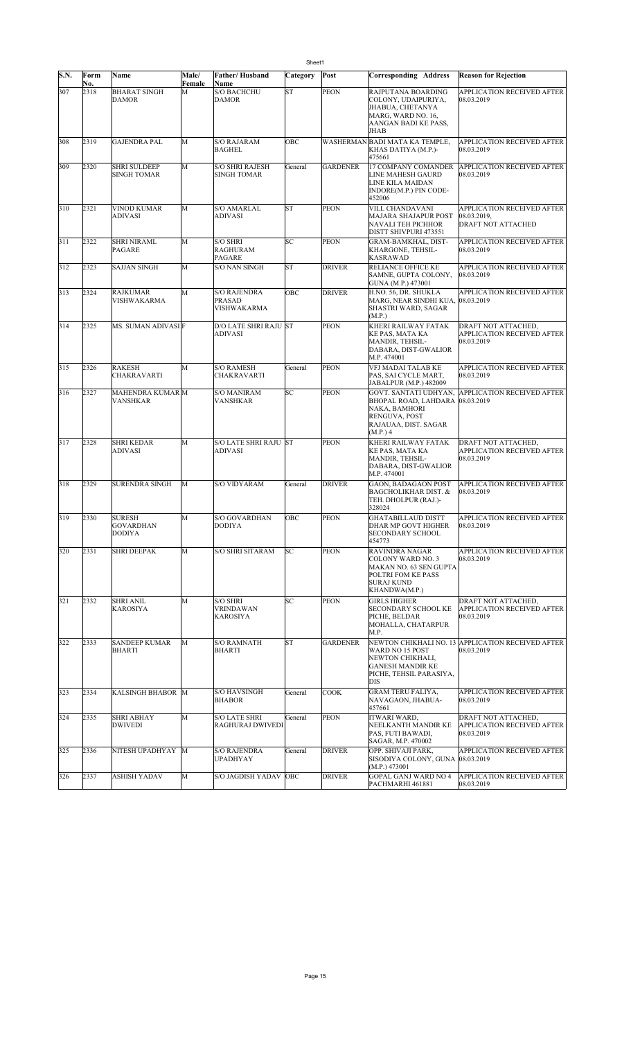| S.N. | Form<br>No. | Name                                        | Male/<br>Female | Father/Husband<br>Name                       | Category  | Post            | Corresponding Address                                                                                                     | <b>Reason for Rejection</b>                                     |
|------|-------------|---------------------------------------------|-----------------|----------------------------------------------|-----------|-----------------|---------------------------------------------------------------------------------------------------------------------------|-----------------------------------------------------------------|
| 307  | 2318        | <b>BHARAT SINGH</b><br><b>DAMOR</b>         | M               | <b>S/O BACHCHU</b><br><b>DAMOR</b>           | <b>ST</b> | PEON            | RAJPUTANA BOARDING<br>COLONY, UDAIPURIYA,<br>JHABUA, CHETANYA<br>MARG, WARD NO. 16,<br>AANGAN BADI KE PASS,<br>JHAB       | APPLICATION RECEIVED AFTER<br>08.03.2019                        |
| 308  | 2319        | <b>GAJENDRA PAL</b>                         | M               | <b>S/O RAJARAM</b><br>BAGHEL                 | OBC       |                 | WASHERMAN BADI MATA KA TEMPLE,<br>KHAS DATIYA (M.P.)-<br>475661                                                           | <b>APPLICATION RECEIVED AFTER</b><br>08.03.2019                 |
| 309  | 2320        | <b>SHRI SULDEEP</b><br><b>SINGH TOMAR</b>   | M               | <b>S/O SHRI RAJESH</b><br>SINGH TOMAR        | General   | <b>GARDENER</b> | 17 COMPANY COMANDER<br>LINE MAHESH GAURD<br>LINE KILA MAIDAN<br>INDORE(M.P.) PIN CODE-<br>452006                          | <b>APPLICATION RECEIVED AFTER</b><br>08.03.2019                 |
| 310  | 2321        | <b>VINOD KUMAR</b><br><b>ADIVASI</b>        | M               | <b>S/O AMARLAL</b><br>ADIVASI                | <b>ST</b> | <b>PEON</b>     | VILL CHANDAVANI<br>MAJARA SHAJAPUR POST<br>NAVALI TEH PICHHOR<br>DISTT SHIVPURI 473551                                    | APPLICATION RECEIVED AFTER<br>08.03.2019,<br>DRAFT NOT ATTACHED |
| 311  | 2322        | <b>SHRI NIRAML</b><br>PAGARE                | M               | <b>S/O SHRI</b><br>RAGHURAM<br>PAGARE        | SC        | <b>PEON</b>     | GRAM-BAMKHAL, DIST-<br>KHARGONE, TEHSIL-<br><b>KASRAWAD</b>                                                               | <b>APPLICATION RECEIVED AFTER</b><br>08.03.2019                 |
| 312  | 2323        | <b>SAJJAN SINGH</b>                         | M               | <b>S/O NAN SINGH</b>                         | <b>ST</b> | <b>DRIVER</b>   | RELIANCE OFFICE KE<br>SAMNE, GUPTA COLONY,<br>GUNA (M.P.) 473001                                                          | <b>APPLICATION RECEIVED AFTER</b><br>08.03.2019                 |
| 313  | 2324        | <b>RAJKUMAR</b><br>VISHWAKARMA              | M               | <b>S/O RAJENDRA</b><br>PRASAD<br>VISHWAKARMA | OBC       | <b>DRIVER</b>   | H.NO. 56, DR. SHUKLA<br>MARG, NEAR SINDHI KUA,<br>SHASTRI WARD, SAGAR<br>(M.P.)                                           | APPLICATION RECEIVED AFTER<br>08.03.2019                        |
| 314  | 2325        | MS. SUMAN ADIVASI F                         |                 | D/O LATE SHRI RAJU ST<br>ADIVASI             |           | <b>PEON</b>     | KHERI RAILWAY FATAK<br>KE PAS, MATA KA<br>MANDIR, TEHSIL-<br>DABARA, DIST-GWALIOR<br>M.P. 474001                          | DRAFT NOT ATTACHED,<br>APPLICATION RECEIVED AFTER<br>08.03.2019 |
| 315  | 2326        | <b>RAKESH</b><br>CHAKRAVARTI                | M               | <b>S/O RAMESH</b><br>CHAKRAVARTI             | General   | <b>PEON</b>     | VFJ MADAI TALAB KE<br>PAS, SAI CYCLE MART,<br>JABALPUR (M.P.) 482009                                                      | APPLICATION RECEIVED AFTER<br>08.03.2019                        |
| 316  | 2327        | MAHENDRA KUMAR M<br><b>VANSHKAR</b>         |                 | <b>S/O MANIRAM</b><br>VANSHKAR               | SС        | <b>PEON</b>     | GOVT. SANTATI UDHYAN,<br>BHOPAL ROAD, LAHDARA<br>NAKA, BAMHORI<br>RENGUVA, POST<br>RAJAUAA, DIST. SAGAR<br>(M.P.) 4       | <b>APPLICATION RECEIVED AFTER</b><br>08.03.2019                 |
| 317  | 2328        | <b>SHRI KEDAR</b><br><b>ADIVASI</b>         | M               | <b>S/O LATE SHRI RAJU ST</b><br>ADIVASI      |           | <b>PEON</b>     | KHERI RAILWAY FATAK<br>KE PAS, MATA KA<br>MANDIR, TEHSIL-<br>DABARA, DIST-GWALIOR<br>M.P. 474001                          | DRAFT NOT ATTACHED,<br>APPLICATION RECEIVED AFTER<br>08.03.2019 |
| 318  | 2329        | <b>SURENDRA SINGH</b>                       | M               | <b>S/O VIDYARAM</b>                          | General   | <b>DRIVER</b>   | GAON, BADAGAON POST<br>BAGCHOLIKHAR DIST. &<br>TEH. DHOLPUR (RAJ.)-<br>328024                                             | <b>APPLICATION RECEIVED AFTER</b><br>08.03.2019                 |
| 319  | 2330        | <b>SURESH</b><br>GOVARDHAN<br><b>DODIYA</b> | M               | <b>S/O GOVARDHAN</b><br>DODIYA               | OBC       | <b>PEON</b>     | GHATABILLAUD DISTT<br>DHAR MP GOVT HIGHER<br>SECONDARY SCHOOL<br>454773                                                   | APPLICATION RECEIVED AFTER<br>08.03.2019                        |
| 320  | 2331        | <b>SHRI DEEPAK</b>                          | M               | <b>S/O SHRI SITARAM</b>                      | SC        | <b>PEON</b>     | RAVINDRA NAGAR<br>COLONY WARD NO. 3<br>MAKAN NO. 63 SEN GUPTA<br>POLTRI FOM KE PASS<br><b>SURAJ KUND</b><br>KHANDWA(M.P.) | APPLICATION RECEIVED AFTER<br>08.03.2019                        |
| 321  | 2332        | <b>SHRI ANIL</b><br><b>KAROSIYA</b>         | M               | S/O SHRI<br>VRINDAWAN<br><b>KAROSIYA</b>     | SC        | <b>PEON</b>     | GIRLS HIGHER<br>SECONDARY SCHOOL KE<br>PICHE. BELDAR<br>MOHALLA, CHATARPUR<br>M.P.                                        | DRAFT NOT ATTACHED,<br>APPLICATION RECEIVED AFTER<br>08.03.2019 |
| 322  | 2333        | <b>SANDEEP KUMAR</b><br><b>BHARTI</b>       | M               | <b>S/O RAMNATH</b><br>BHARTI                 | <b>ST</b> | <b>GARDENER</b> | WARD NO 15 POST<br>NEWTON CHIKHALI,<br><b>GANESH MANDIR KE</b><br>PICHE, TEHSIL PARASIYA,<br>DIS                          | NEWTON CHIKHALI NO. 13 APPLICATION RECEIVED AFTER<br>08.03.2019 |
| 323  | 2334        | KALSINGH BHABOR M                           |                 | <b>S/O HAVSINGH</b><br><b>BHABOR</b>         | General   | <b>COOK</b>     | GRAM TERU FALIYA,<br>NAVAGAON, JHABUA-<br>457661                                                                          | APPLICATION RECEIVED AFTER<br>08.03.2019                        |
| 324  | 2335        | <b>SHRI ABHAY</b><br><b>DWIVEDI</b>         | M               | <b>S/O LATE SHRI</b><br>RAGHURAJ DWIVEDI     | General   | <b>PEON</b>     | ITWARI WARD,<br>NEELKANTH MANDIR KE<br>PAS, FUTI BAWADI,<br>SAGAR, M.P. 470002                                            | DRAFT NOT ATTACHED,<br>APPLICATION RECEIVED AFTER<br>08.03.2019 |
| 325  | 2336        | NITESH UPADHYAY M                           |                 | <b>S/O RAJENDRA</b><br>UPADHYAY              | General   | <b>DRIVER</b>   | OPP. SHIVAJI PARK,<br>SISODIYA COLONY, GUNA 08.03.2019<br>(M.P.) 473001                                                   | APPLICATION RECEIVED AFTER                                      |
| 326  | 2337        | <b>ASHISH YADAV</b>                         | M               | S/O JAGDISH YADAV OBC                        |           | <b>DRIVER</b>   | GOPAL GANJ WARD NO 4<br>PACHMARHI 461881                                                                                  | APPLICATION RECEIVED AFTER<br>08.03.2019                        |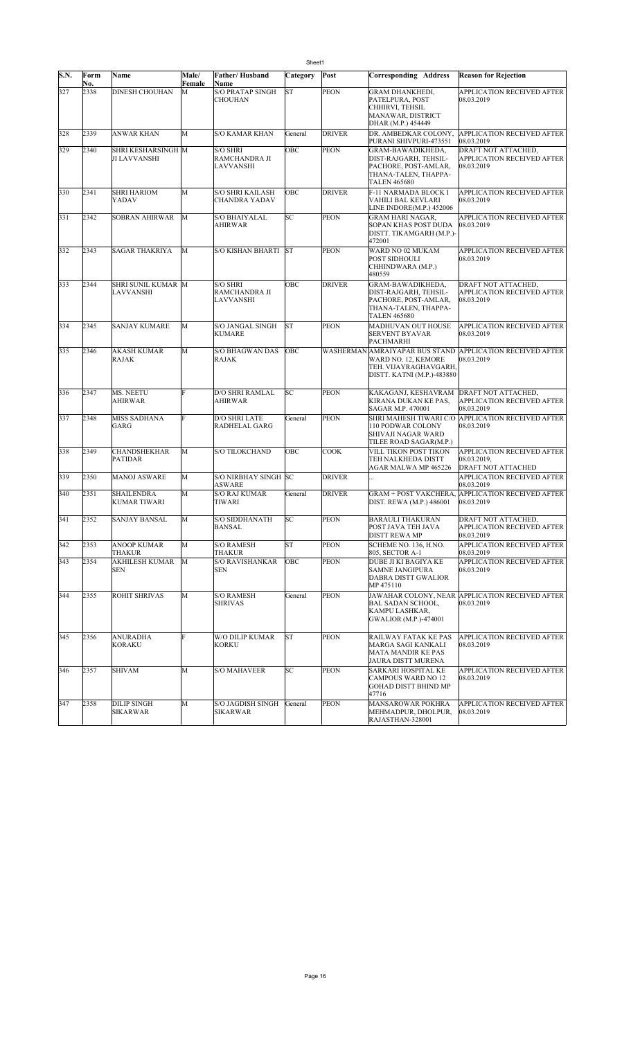| S.N. | Form<br>No. | Name                                      | Male/<br>Female | <b>Father/Husband</b><br>Name                   | Category  | Post          | <b>Corresponding Address</b>                                                                                      | <b>Reason for Rejection</b>                                                   |
|------|-------------|-------------------------------------------|-----------------|-------------------------------------------------|-----------|---------------|-------------------------------------------------------------------------------------------------------------------|-------------------------------------------------------------------------------|
| 327  | 2338        | <b>DINESH CHOUHAN</b>                     | М               | <b>S/O PRATAP SINGH</b><br><b>CHOUHAN</b>       | <b>ST</b> | <b>PEON</b>   | GRAM DHANKHEDI,<br>PATELPURA, POST<br>CHHIRVI, TEHSIL<br>MANAWAR, DISTRICT<br>DHAR (M.P.) 454449                  | APPLICATION RECEIVED AFTER<br>08.03.2019                                      |
| 328  | 2339        | <b>ANWAR KHAN</b>                         | M               | <b>S/O KAMAR KHAN</b>                           | General   | <b>DRIVER</b> | DR. AMBEDKAR COLONY,<br>PURANI SHIVPURI-473551                                                                    | <b>APPLICATION RECEIVED AFTER</b><br>08.03.2019                               |
| 329  | 2340        | SHRI KESHARSINGH M<br><b>JI LAVVANSHI</b> |                 | <b>S/O SHRI</b><br>RAMCHANDRA JI<br>LAVVANSHI   | OBC       | <b>PEON</b>   | GRAM-BAWADIKHEDA,<br>DIST-RAJGARH, TEHSIL-<br>PACHORE, POST-AMLAR,<br>THANA-TALEN, THAPPA-<br><b>TALEN 465680</b> | DRAFT NOT ATTACHED,<br>APPLICATION RECEIVED AFTER<br>08.03.2019               |
| 330  | 2341        | <b>SHRI HARIOM</b><br>YADAV               | M               | <b>S/O SHRI KAILASH</b><br><b>CHANDRA YADAV</b> | OBC       | <b>DRIVER</b> | F-11 NARMADA BLOCK I<br>VAHILI BAL KEVLARI<br>LINE INDORE(M.P.) 452006                                            | <b>APPLICATION RECEIVED AFTER</b><br>08.03.2019                               |
| 331  | 2342        | <b>SOBRAN AHIRWAR</b>                     | M               | <b>S/O BHAIYALAL</b><br>AHIRWAR                 | SC        | <b>PEON</b>   | GRAM HARI NAGAR.<br>SOPAN KHAS POST DUDA<br>DISTT. TIKAMGARH (M.P.)-<br>472001                                    | APPLICATION RECEIVED AFTER<br>08.03.2019                                      |
| 332  | 2343        | <b>SAGAR THAKRIYA</b>                     | M               | <b>S/O KISHAN BHARTI</b>                        | <b>ST</b> | <b>PEON</b>   | WARD NO 02 MUKAM<br>POST SIDHOULI<br>CHHINDWARA (M.P.)<br>480559                                                  | APPLICATION RECEIVED AFTER<br>08.03.2019                                      |
| 333  | 2344        | SHRI SUNIL KUMAR M<br>LAVVANSHI           |                 | <b>S/O SHRI</b><br>RAMCHANDRA JI<br>LAVVANSHI   | OBC       | <b>DRIVER</b> | GRAM-BAWADIKHEDA,<br>DIST-RAJGARH, TEHSIL-<br>PACHORE, POST-AMLAR,<br>THANA-TALEN, THAPPA-<br><b>TALEN 465680</b> | DRAFT NOT ATTACHED,<br><b>APPLICATION RECEIVED AFTER</b><br>08.03.2019        |
| 334  | 2345        | <b>SANJAY KUMARE</b>                      | M               | S/O JANGAL SINGH<br><b>KUMARE</b>               | <b>ST</b> | <b>PEON</b>   | <b>MADHUVAN OUT HOUSE</b><br>SERVENT BYAVAR<br>PACHMARHI                                                          | APPLICATION RECEIVED AFTER<br>08.03.2019                                      |
| 335  | 2346        | <b>AKASH KUMAR</b><br><b>RAJAK</b>        | M               | <b>S/O BHAGWAN DAS</b><br><b>RAJAK</b>          | ОВС       |               | WARD NO. 12. KEMORE<br>TEH. VIJAYRAGHAVGARH,<br>DISTT. KATNI (M.P.)-483880                                        | WASHERMAN AMRAIYAPAR BUS STAND APPLICATION RECEIVED AFTER<br>08.03.2019       |
| 336  | 2347        | MS. NEETU<br><b>AHIRWAR</b>               | F               | <b>D/O SHRI RAMLAL</b><br><b>AHIRWAR</b>        | SC        | <b>PEON</b>   | KAKAGANJ, KESHAVRAM<br>KIRANA DUKAN KE PAS,<br>SAGAR M.P. 470001                                                  | <b>DRAFT NOT ATTACHED.</b><br>APPLICATION RECEIVED AFTER<br>08.03.2019        |
| 337  | 2348        | <b>MISS SADHANA</b><br>GARG               | F               | <b>D/O SHRI LATE</b><br>RADHELAL GARG           | General   | <b>PEON</b>   | 110 PODWAR COLONY<br>SHIVAJI NAGAR WARD<br>TILEE ROAD SAGAR(M.P.)                                                 | SHRI MAHESH TIWARI C/O APPLICATION RECEIVED AFTER<br>08.03.2019               |
| 338  | 2349        | <b>CHANDSHEKHAR</b><br><b>PATIDAR</b>     | M               | <b>S/O TILOKCHAND</b>                           | OBC       | <b>COOK</b>   | VILL TIKON POST TIKON<br>TEH NALKHEDA DISTT<br>AGAR MALWA MP 465226                                               | <b>APPLICATION RECEIVED AFTER</b><br>08.03.2019,<br><b>DRAFT NOT ATTACHED</b> |
| 339  | 2350        | <b>MANOJ ASWARE</b>                       | M               | S/O NIRBHAY SINGH SC<br>ASWARE                  |           | <b>DRIVER</b> |                                                                                                                   | APPLICATION RECEIVED AFTER<br>08.03.2019                                      |
| 340  | 2351        | <b>SHAILENDRA</b><br>KUMAR TIWARI         | M               | <b>S/O RAJ KUMAR</b><br>TIWARI                  | General   | <b>DRIVER</b> | GRAM + POST VAKCHERA.<br>DIST. REWA (M.P.) 486001                                                                 | <b>APPLICATION RECEIVED AFTER</b><br>08.03.2019                               |
| 341  | 2352        | SANJAY BANSAL                             | M               | <b>S/O SIDDHANATH</b><br>BANSAL                 | SC        | <b>PEON</b>   | BARAULI THAKURAN<br>POST JAVA TEH JAVA<br>DISTT REWA MP                                                           | DRAFT NOT ATTACHED,<br>APPLICATION RECEIVED AFTER<br>08.03.2019               |
| 342  | 2353        | <b>ANOOP KUMAR</b><br><b>THAKUR</b>       | M               | <b>S/O RAMESH</b><br>THAKUR                     | <b>ST</b> | <b>PEON</b>   | SCHEME NO. 136, H.NO.<br>805, SECTOR A-1                                                                          | APPLICATION RECEIVED AFTER<br>08.03.2019                                      |
| 343  | 2354        | <b>AKHILESH KUMAR</b><br><b>SEN</b>       | M               | <b>S/O RAVISHANKAR</b><br><b>SEN</b>            | OBC       | <b>PEON</b>   | DUBE JI KI BAGIYA KE<br><b>SAMNE JANGIPURA</b><br>DABRA DISTT GWALIOR<br>MP 475110                                | APPLICATION RECEIVED AFTER<br>08.03.2019                                      |
| 344  | 2355        | ROHIT SHRIVAS                             | M               | <b>S/O RAMESH</b><br><b>SHRIVAS</b>             | General   | <b>PEON</b>   | BAL SADAN SCHOOL,<br>KAMPU LASHKAR,<br><b>GWALIOR (M.P.)-474001</b>                                               | JAWAHAR COLONY, NEAR APPLICATION RECEIVED AFTER<br>08.03.2019                 |
| 345  | 2356        | <b>ANURADHA</b><br>KORAKU                 | F               | W/O DILIP KUMAR<br>KORKU                        | <b>ST</b> | <b>PEON</b>   | RAILWAY FATAK KE PAS<br>MARGA SAGI KANKALI<br>MATA MANDIR KE PAS<br>JAURA DISTT MURENA                            | APPLICATION RECEIVED AFTER<br>08.03.2019                                      |
| 346  | 2357        | <b>SHIVAM</b>                             | M               | <b>S/O MAHAVEER</b>                             | SC        | <b>PEON</b>   | SARKARI HOSPITAL KE<br>CAMPOUS WARD NO 12<br>GOHAD DISTT BHIND MP<br>47716                                        | APPLICATION RECEIVED AFTER<br>08.03.2019                                      |
| 347  | 2358        | <b>DILIP SINGH</b><br>SIKARWAR            | М               | S/O JAGDISH SINGH<br>SIKARWAR                   | General   | <b>PEON</b>   | <b>MANSAROWAR POKHRA</b><br>MEHMADPUR, DHOLPUR,<br>RAJASTHAN-328001                                               | <b>APPLICATION RECEIVED AFTER</b><br>08.03.2019                               |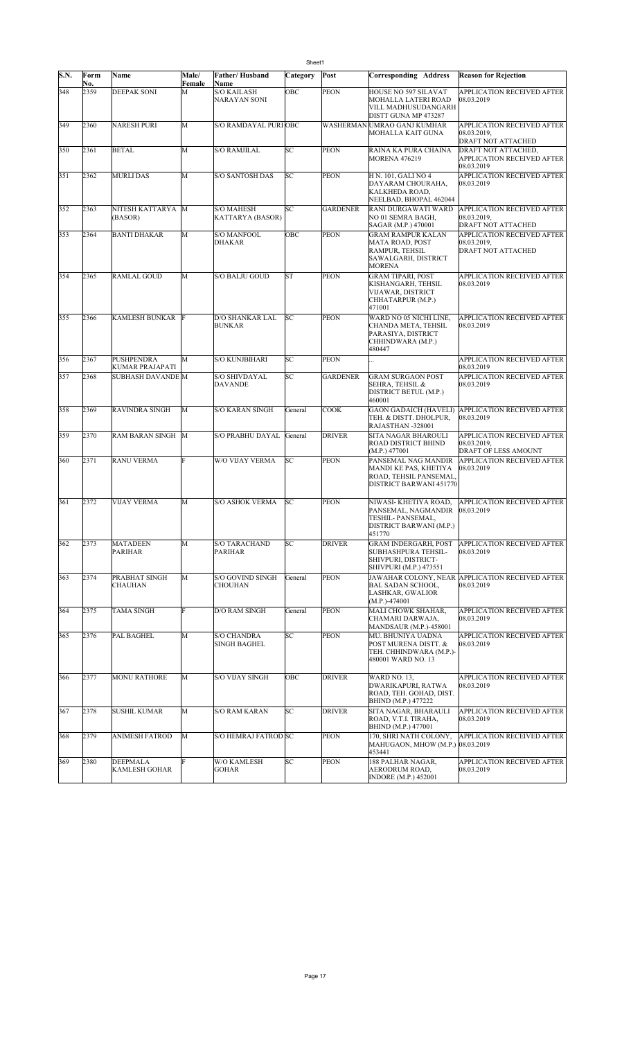|      | Sheet1      |                                         |                 |                                       |           |                 |                                                                                                        |                                                                   |  |  |
|------|-------------|-----------------------------------------|-----------------|---------------------------------------|-----------|-----------------|--------------------------------------------------------------------------------------------------------|-------------------------------------------------------------------|--|--|
| S.N. | Form<br>No. | Name                                    | Male/<br>Female | Father/Husband<br>Name                | Category  | Post            | Corresponding Address                                                                                  | <b>Reason for Rejection</b>                                       |  |  |
| 348  | 2359        | <b>DEEPAK SONI</b>                      | M               | <b>S/O KAILASH</b><br>NARAYAN SONI    | OBC       | <b>PEON</b>     | HOUSE NO 597 SILAVAT<br>MOHALLA LATERI ROAD<br>VILL MADHUSUDANGARH<br>DISTT GUNA MP 473287             | APPLICATION RECEIVED AFTER<br>08.03.2019                          |  |  |
| 349  | 2360        | <b>NARESH PURI</b>                      | M               | S/O RAMDAYAL PURIOBC                  |           |                 | WASHERMAN UMRAO GANJ KUMHAR<br>MOHALLA KAIT GUNA                                                       | APPLICATION RECEIVED AFTER<br>08.03.2019.<br>DRAFT NOT ATTACHED   |  |  |
| 350  | 2361        | <b>BETAL</b>                            | M               | <b>S/O RAMJILAL</b>                   | SC        | <b>PEON</b>     | RAINA KA PURA CHAINA<br><b>MORENA 476219</b>                                                           | DRAFT NOT ATTACHED,<br>APPLICATION RECEIVED AFTER<br>08.03.2019   |  |  |
| 351  | 2362        | <b>MURLI DAS</b>                        | M               | <b>S/O SANTOSH DAS</b>                | SC        | <b>PEON</b>     | H N. 101, GALI NO 4<br>DAYARAM CHOURAHA,<br>KALKHEDA ROAD,<br>NEELBAD, BHOPAL 462044                   | APPLICATION RECEIVED AFTER<br>08.03.2019                          |  |  |
| 352  | 2363        | NITESH KATTARYA<br>(BASOR)              | M               | <b>S/O MAHESH</b><br>KATTARYA (BASOR) | SC        | <b>GARDENER</b> | RANI DURGAWATI WARD<br>NO 01 SEMRA BAGH,<br>SAGAR (M.P.) 470001                                        | APPLICATION RECEIVED AFTER<br>08.03.2019,<br>DRAFT NOT ATTACHED   |  |  |
| 353  | 2364        | <b>BANTI DHAKAR</b>                     | M               | <b>S/O MANFOOL</b><br>DHAKAR          | OBC       | <b>PEON</b>     | <b>GRAM RAMPUR KALAN</b><br>MATA ROAD, POST<br>RAMPUR, TEHSIL<br>SAWALGARH, DISTRICT<br><b>MORENA</b>  | APPLICATION RECEIVED AFTER<br>08.03.2019,<br>DRAFT NOT ATTACHED   |  |  |
| 354  | 2365        | <b>RAMLAL GOUD</b>                      | M               | S/O BALJU GOUD                        | <b>ST</b> | <b>PEON</b>     | <b>GRAM TIPARI, POST</b><br>KISHANGARH, TEHSIL<br>VIJAWAR, DISTRICT<br>CHHATARPUR (M.P.)<br>471001     | APPLICATION RECEIVED AFTER<br>08.03.2019                          |  |  |
| 355  | 2366        | <b>KAMLESH BUNKAR</b>                   |                 | D/O SHANKAR LAL<br><b>BUNKAR</b>      | SC        | <b>PEON</b>     | WARD NO 05 NICHI LINE,<br>CHANDA META, TEHSIL<br>PARASIYA, DISTRICT<br>CHHINDWARA (M.P.)<br>480447     | APPLICATION RECEIVED AFTER<br>08.03.2019                          |  |  |
| 356  | 2367        | <b>PUSHPENDRA</b><br>KUMAR PRAJAPATI    | M               | <b>S/O KUNJBIHARI</b>                 | SC        | <b>PEON</b>     |                                                                                                        | APPLICATION RECEIVED AFTER<br>08.03.2019                          |  |  |
| 357  | 2368        | <b>SUBHASH DAVANDE M</b>                |                 | <b>S/O SHIVDAYAL</b><br>DAVANDE       | SC        | <b>GARDENER</b> | <b>GRAM SURGAON POST</b><br>SEHRA, TEHSIL &<br>DISTRICT BETUL (M.P.)<br>460001                         | APPLICATION RECEIVED AFTER<br>08.03.2019                          |  |  |
| 358  | 2369        | <b>RAVINDRA SINGH</b>                   | M               | <b>S/O KARAN SINGH</b>                | General   | <b>COOK</b>     | <b>GAON GADAICH (HAVELI)</b><br>TEH. & DISTT. DHOLPUR.<br>RAJASTHAN -328001                            | <b>APPLICATION RECEIVED AFTER</b><br>08.03.2019                   |  |  |
| 359  | 2370        | RAM BARAN SINGH M                       |                 | S/O PRABHU DAYAL                      | General   | <b>DRIVER</b>   | SITA NAGAR BHAROULI<br>ROAD DISTRICT BHIND<br>(M.P.) 477001                                            | APPLICATION RECEIVED AFTER<br>08.03.2019,<br>DRAFT OF LESS AMOUNT |  |  |
| 360  | 2371        | <b>RANU VERMA</b>                       | F               | W/O VIJAY VERMA                       | SC        | <b>PEON</b>     | PANSEMAL NAG MANDIR<br>MANDI KE PAS, KHETIYA<br>ROAD, TEHSIL PANSEMAL,<br>DISTRICT BARWANI 451770      | APPLICATION RECEIVED AFTER<br>08.03.2019                          |  |  |
| 361  | 2372        | <b>VIJAY VERMA</b>                      | M               | <b>S/O ASHOK VERMA</b>                | SC        | <b>PEON</b>     | NIWASI- KHETIYA ROAD,<br>PANSEMAL, NAGMANDIR<br>TESHIL- PANSEMAL,<br>DISTRICT BARWANI (M.P.)<br>451770 | <b>APPLICATION RECEIVED AFTER</b><br>08.03.2019                   |  |  |
| 362  | 2373        | <b>MATADEEN</b><br><b>PARIHAR</b>       | M               | S/O TARACHAND<br><b>PARIHAR</b>       | SC        | <b>DRIVER</b>   | <b>GRAM INDERGARH, POST</b><br>SUBHASHPURA TEHSIL-<br>SHIVPURI, DISTRICT-<br>SHIVPURI (M.P.) 473551    | <b>APPLICATION RECEIVED AFTER</b><br>08.03.2019                   |  |  |
| 363  | 2374        | PRABHAT SINGH<br><b>CHAUHAN</b>         | M               | S/O GOVIND SINGH<br><b>CHOUHAN</b>    | General   | <b>PEON</b>     | <b>BAL SADAN SCHOOL,</b><br>LASHKAR, GWALIOR<br>$(M.P.)-474001$                                        | JAWAHAR COLONY, NEAR APPLICATION RECEIVED AFTER<br>08.03.2019     |  |  |
| 364  | 2375        | <b>TAMA SINGH</b>                       | F               | D/O RAM SINGH                         | General   | <b>PEON</b>     | MALI CHOWK SHAHAR,<br>CHAMARI DARWAJA,<br>MANDSAUR (M.P.)-458001                                       | APPLICATION RECEIVED AFTER<br>08.03.2019                          |  |  |
| 365  | 2376        | PAL BAGHEL                              | M               | <b>S/O CHANDRA</b><br>SINGH BAGHEL    | SC        | <b>PEON</b>     | MU. BHUNIYA UADNA<br>POST MURENA DISTT. &<br>TEH. CHHINDWARA (M.P.)-<br>480001 WARD NO. 13             | APPLICATION RECEIVED AFTER<br>08.03.2019                          |  |  |
| 366  | 2377        | <b>MONU RATHORE</b>                     | M               | S/O VIJAY SINGH                       | OBC       | <b>DRIVER</b>   | <b>WARD NO. 13.</b><br>DWARIKAPURI, RATWA<br>ROAD, TEH. GOHAD, DIST.<br>BHIND (M.P.) 477222            | APPLICATION RECEIVED AFTER<br>08.03.2019                          |  |  |
| 367  | 2378        | <b>SUSHIL KUMAR</b>                     | M               | <b>S/O RAM KARAN</b>                  | SC        | <b>DRIVER</b>   | SITA NAGAR, BHARAULI<br>ROAD, V.T.I. TIRAHA,<br>BHIND (M.P.) 477001                                    | APPLICATION RECEIVED AFTER<br>08.03.2019                          |  |  |
| 368  | 2379        | <b>ANIMESH FATROD</b>                   | M               | S/O HEMRAJ FATROD SC                  |           | <b>PEON</b>     | 170, SHRI NATH COLONY,<br>MAHUGAON, MHOW (M.P.) 08.03.2019<br>453441                                   | APPLICATION RECEIVED AFTER                                        |  |  |
| 369  | 2380        | <b>DEEPMALA</b><br><b>KAMLESH GOHAR</b> |                 | W/O KAMLESH<br>GOHAR                  | SС        | <b>PEON</b>     | 188 PALHAR NAGAR,<br>AERODRUM ROAD,<br>INDORE (M.P.) 452001                                            | APPLICATION RECEIVED AFTER<br>08.03.2019                          |  |  |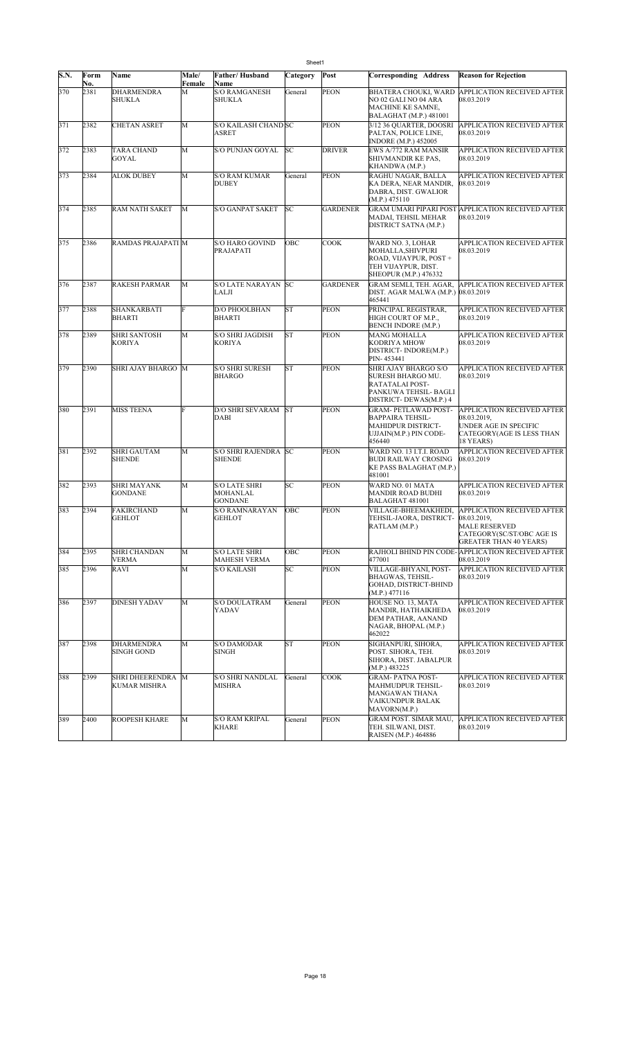|      | Sheet1      |                                        |                 |                                             |           |                 |                                                                                                                  |                                                                                                                                        |  |  |  |
|------|-------------|----------------------------------------|-----------------|---------------------------------------------|-----------|-----------------|------------------------------------------------------------------------------------------------------------------|----------------------------------------------------------------------------------------------------------------------------------------|--|--|--|
| S.N. | Form<br>No. | Name                                   | Male/<br>Female | Father/Husband<br>Name                      | Category  | Post            | Corresponding Address                                                                                            | <b>Reason for Rejection</b>                                                                                                            |  |  |  |
| 370  | 2381        | <b>DHARMENDRA</b><br>SHUKLA            | M               | <b>S/O RAMGANESH</b><br>SHUKLA              | General   | <b>PEON</b>     | BHATERA CHOUKI, WARD<br>NO 02 GALI NO 04 ARA<br>MACHINE KE SAMNE,<br>BALAGHAT (M.P.) 481001                      | APPLICATION RECEIVED AFTER<br>08.03.2019                                                                                               |  |  |  |
| 371  | 2382        | <b>CHETAN ASRET</b>                    | M               | S/O KAILASH CHAND SC<br><b>ASRET</b>        |           | <b>PEON</b>     | 3/12 36 QUARTER, DOOSRI<br>PALTAN, POLICE LINE,<br><b>INDORE (M.P.) 452005</b>                                   | APPLICATION RECEIVED AFTER<br>08.03.2019                                                                                               |  |  |  |
| 372  | 2383        | <b>TARA CHAND</b><br>GOYAL             | M               | S/O PUNJAN GOYAL                            | SC        | <b>DRIVER</b>   | EWS A/772 RAM MANSIR<br>SHIVMANDIR KE PAS,<br>KHANDWA (M.P.)                                                     | <b>APPLICATION RECEIVED AFTER</b><br>08.03.2019                                                                                        |  |  |  |
| 373  | 2384        | <b>ALOK DUBEY</b>                      | M               | S/O RAM KUMAR<br>DUBEY                      | General   | <b>PEON</b>     | RAGHU NAGAR, BALLA<br>KA DERA, NEAR MANDIR,<br>DABRA, DIST. GWALIOR<br>(M.P.) 475110                             | APPLICATION RECEIVED AFTER<br>08.03.2019                                                                                               |  |  |  |
| 374  | 2385        | <b>RAM NATH SAKET</b>                  | M               | <b>S/O GANPAT SAKET</b>                     | SC        | <b>GARDENER</b> | MADAI, TEHSIL MEHAR<br>DISTRICT SATNA (M.P.)                                                                     | GRAM UMARI PIPARI POST APPLICATION RECEIVED AFTER<br>08.03.2019                                                                        |  |  |  |
| 375  | 2386        | RAMDAS PRAJAPATI M                     |                 | S/O HARO GOVIND<br>PRAJAPATI                | OBC       | <b>COOK</b>     | WARD NO. 3, LOHAR<br>MOHALLA, SHIVPURI<br>ROAD, VIJAYPUR, POST +<br>TEH VIJAYPUR, DIST.<br>SHEOPUR (M.P.) 476332 | APPLICATION RECEIVED AFTER<br>08.03.2019                                                                                               |  |  |  |
| 376  | 2387        | <b>RAKESH PARMAR</b>                   | M               | S/O LATE NARAYAN SC<br>LALJI                |           | <b>GARDENER</b> | GRAM SEMLI, TEH. AGAR,<br>DIST. AGAR MALWA (M.P.) 08.03.2019<br>465441                                           | APPLICATION RECEIVED AFTER                                                                                                             |  |  |  |
| 377  | 2388        | SHANKARBATI<br><b>BHARTI</b>           | F               | <b>D/O PHOOLBHAN</b><br><b>BHARTI</b>       | <b>ST</b> | <b>PEON</b>     | PRINCIPAL REGISTRAR,<br>HIGH COURT OF M.P.,<br>BENCH INDORE (M.P.)                                               | APPLICATION RECEIVED AFTER<br>08.03.2019                                                                                               |  |  |  |
| 378  | 2389        | <b>SHRI SANTOSH</b><br><b>KORIYA</b>   | M               | <b>S/O SHRI JAGDISH</b><br>KORIYA           | <b>ST</b> | PEON            | MANG MOHALLA<br>KODRIYA MHOW<br>DISTRICT-INDORE(M.P.)<br>PIN-453441                                              | APPLICATION RECEIVED AFTER<br>08.03.2019                                                                                               |  |  |  |
| 379  | 2390        | SHRI AJAY BHARGO M                     |                 | <b>S/O SHRI SURESH</b><br><b>BHARGO</b>     | <b>ST</b> | <b>PEON</b>     | SHRI AJAY BHARGO S/O<br>SURESH BHARGO MU.<br>RATATALAI POST-<br>PANKUWA TEHSIL- BAGLI<br>DISTRICT- DEWAS(M.P.) 4 | <b>APPLICATION RECEIVED AFTER</b><br>08.03.2019                                                                                        |  |  |  |
| 380  | 2391        | <b>MISS TEENA</b>                      |                 | D/O SHRI SEVARAM<br>DABI                    | <b>ST</b> | <b>PEON</b>     | GRAM- PETLAWAD POST-<br><b>BAPPAIRA TEHSIL-</b><br>MAHIDPUR DISTRICT-<br>UJJAIN(M.P.) PIN CODE-<br>456440        | APPLICATION RECEIVED AFTER<br>08.03.2019.<br>UNDER AGE IN SPECIFIC<br>CATEGORY(AGE IS LESS THAN<br>18 YEARS)                           |  |  |  |
| 381  | 2392        | <b>SHRI GAUTAM</b><br><b>SHENDE</b>    | M               | S/O SHRI RAJENDRA SC<br><b>SHENDE</b>       |           | <b>PEON</b>     | WARD NO. 13 I.T.I. ROAD<br><b>BUDI RAILWAY CROSING</b><br>KE PASS BALAGHAT (M.P.)<br>481001                      | APPLICATION RECEIVED AFTER<br>08.03.2019                                                                                               |  |  |  |
| 382  | 2393        | <b>SHRI MAYANK</b><br><b>GONDANE</b>   | M               | <b>S/O LATE SHRI</b><br>MOHANLAL<br>GONDANE | SC        | <b>PEON</b>     | WARD NO. 01 MATA<br>MANDIR ROAD BUDHI<br>BALAGHAT 481001                                                         | APPLICATION RECEIVED AFTER<br>08.03.2019                                                                                               |  |  |  |
| 383  | 2394        | <b>FAKIRCHAND</b><br>GEHLOT            | M               | S/O RAMNARAYAN<br>GEHLOT                    | ОВС       | <b>PEON</b>     | VILLAGE-BHEEMAKHEDI,<br>TEHSIL-JAORA, DISTRICT-<br>RATLAM (M.P.)                                                 | <b>APPLICATION RECEIVED AFTER</b><br>08.03.2019,<br><b>MALE RESERVED</b><br>CATEGORY(SC/ST/OBC AGE IS<br><b>GREATER THAN 40 YEARS)</b> |  |  |  |
| 384  | 2395        | <b>SHRI CHANDAN</b><br><b>VERMA</b>    | M               | <b>S/O LATE SHRI</b><br><b>MAHESH VERMA</b> | OBC       | PEON            | 477001                                                                                                           | RAJHOLI BHIND PIN CODE-APPLICATION RECEIVED AFTER<br>08.03.2019                                                                        |  |  |  |
| 385  | 2396        | RAVI                                   | M               | <b>S/O KAILASH</b>                          | SC        | <b>PEON</b>     | VILLAGE-BHYANI, POST-<br><b>BHAGWAS, TEHSIL-</b><br>GOHAD, DISTRICT-BHIND<br>(M.P.) 477116                       | APPLICATION RECEIVED AFTER<br>08.03.2019                                                                                               |  |  |  |
| 386  | 2397        | <b>DINESH YADAV</b>                    | M               | S/O DOULATRAM<br>YADAV                      | General   | PEON            | HOUSE NO. 13, MATA<br>MANDIR, HATHAIKHEDA<br>DEM PATHAR, AANAND<br>NAGAR, BHOPAL (M.P.)<br>462022                | APPLICATION RECEIVED AFTER<br>08.03.2019                                                                                               |  |  |  |
| 387  | 2398        | <b>DHARMENDRA</b><br><b>SINGH GOND</b> | М               | S/O DAMODAR<br>SINGH                        | ST        | <b>PEON</b>     | SIGHANPURI, SIHORA,<br>POST. SIHORA, TEH.<br>SIHORA, DIST. JABALPUR<br>(M.P.) 483225                             | APPLICATION RECEIVED AFTER<br>08.03.2019                                                                                               |  |  |  |
| 388  | 2399        | <b>SHRI DHEERENDRA</b><br>KUMAR MISHRA | M               | <b>S/O SHRI NANDLAL</b><br><b>MISHRA</b>    | General   | <b>COOK</b>     | <b>GRAM- PATNA POST-</b><br>MAHMUDPUR TEHSIL-<br>MANGAWAN THANA<br>VAIKUNDPUR BALAK<br>MAVORN(M.P.)              | APPLICATION RECEIVED AFTER<br>08.03.2019                                                                                               |  |  |  |
| 389  | 2400        | <b>ROOPESH KHARE</b>                   | M               | <b>S/O RAM KRIPAL</b><br>KHARE              | General   | <b>PEON</b>     | GRAM POST. SIMAR MAU,<br>TEH. SILWANI, DIST.<br>RAISEN (M.P.) 464886                                             | APPLICATION RECEIVED AFTER<br>08.03.2019                                                                                               |  |  |  |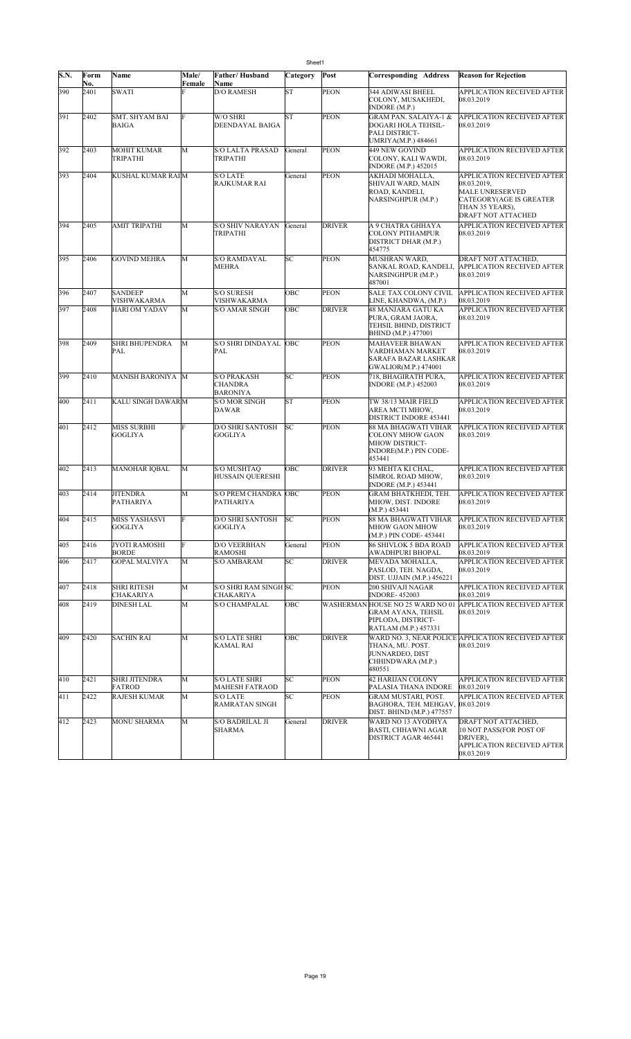|      | Sheet1      |                                       |                 |                                                         |           |               |                                                                                                      |                                                                                                                                                        |  |  |  |
|------|-------------|---------------------------------------|-----------------|---------------------------------------------------------|-----------|---------------|------------------------------------------------------------------------------------------------------|--------------------------------------------------------------------------------------------------------------------------------------------------------|--|--|--|
| S.N. | Form<br>No. | Name                                  | Male/<br>Female | Father/Husband<br>Name                                  | Category  | Post          | <b>Corresponding Address</b>                                                                         | <b>Reason for Rejection</b>                                                                                                                            |  |  |  |
| 390  | 2401        | <b>SWATI</b>                          |                 | <b>D/O RAMESH</b>                                       | <b>ST</b> | <b>PEON</b>   | 344 ADIWASI BHEEL<br>COLONY, MUSAKHEDI,<br>INDORE (M.P.)                                             | <b>APPLICATION RECEIVED AFTER</b><br>08.03.2019                                                                                                        |  |  |  |
| 391  | 2402        | SMT. SHYAM BAI<br><b>BAIGA</b>        | Ė               | W/O SHRI<br><b>DEENDAYAL BAIGA</b>                      | <b>ST</b> | <b>PEON</b>   | GRAM PAN. SALAIYA-1 &<br>DOGARI HOLA TEHSIL-<br>PALI DISTRICT-<br>UMRIYA(M.P.) 484661                | <b>APPLICATION RECEIVED AFTER</b><br>08.03.2019                                                                                                        |  |  |  |
| 392  | 2403        | <b>MOHIT KUMAR</b><br>TRIPATHI        | M               | S/O LALTA PRASAD<br>TRIPATHI                            | General   | <b>PEON</b>   | 449 NEW GOVIND<br>COLONY, KALI WAWDI,<br>INDORE (M.P.) 452015                                        | <b>APPLICATION RECEIVED AFTER</b><br>08.03.2019                                                                                                        |  |  |  |
| 393  | 2404        | KUSHAL KUMAR RAIM                     |                 | <b>S/O LATE</b><br>RAJKUMAR RAI                         | General   | <b>PEON</b>   | AKHADI MOHALLA,<br>SHIVAJI WARD, MAIN<br>ROAD, KANDELI,<br>NARSINGHPUR (M.P.)                        | APPLICATION RECEIVED AFTER<br>08.03.2019,<br><b>MALE UNRESERVED</b><br><b>CATEGORY (AGE IS GREATER</b><br>THAN 35 YEARS),<br><b>DRAFT NOT ATTACHED</b> |  |  |  |
| 394  | 2405        | <b>AMIT TRIPATHI</b>                  | M               | S/O SHIV NARAYAN<br>TRIPATHI                            | General   | <b>DRIVER</b> | A 9 CHATRA GHHAYA<br><b>COLONY PITHAMPUR</b><br>DISTRICT DHAR (M.P.)<br>454775                       | <b>APPLICATION RECEIVED AFTER</b><br>08.03.2019                                                                                                        |  |  |  |
| 395  | 2406        | <b>GOVIND MEHRA</b>                   | M               | <b>S/O RAMDAYAL</b><br><b>MEHRA</b>                     | SC        | <b>PEON</b>   | MUSHRAN WARD,<br>SANKAL ROAD, KANDELI,<br>NARSINGHPUR (M.P.)<br>487001                               | DRAFT NOT ATTACHED,<br><b>APPLICATION RECEIVED AFTER</b><br>08.03.2019                                                                                 |  |  |  |
| 396  | 2407        | <b>SANDEEP</b><br>VISHWAKARMA         | M               | <b>S/O SURESH</b><br>VISHWAKARMA                        | OBC       | <b>PEON</b>   | SALE TAX COLONY CIVIL<br>LINE, KHANDWA, (M.P.)                                                       | <b>APPLICATION RECEIVED AFTER</b><br>08.03.2019                                                                                                        |  |  |  |
| 397  | 2408        | HARI OM YADAV                         | M               | S/O AMAR SINGH                                          | OBC       | <b>DRIVER</b> | 48 MANJARA GATU KA<br>PURA, GRAM JAORA,<br>TEHSIL BHIND, DISTRICT<br>BHIND (M.P.) 477001             | <b>APPLICATION RECEIVED AFTER</b><br>08.03.2019                                                                                                        |  |  |  |
| 398  | 2409        | <b>SHRI BHUPENDRA</b><br>PAL          | M               | <b>S/O SHRI DINDAYAL</b><br>PAL                         | OBC       | <b>PEON</b>   | <b>MAHAVEER BHAWAN</b><br>VARDHAMAN MARKET<br>SARAFA BAZAR LASHKAR<br>GWALIOR(M.P.) 474001           | APPLICATION RECEIVED AFTER<br>08.03.2019                                                                                                               |  |  |  |
| 399  | 2410        | MANISH BARONIYA M                     |                 | <b>S/O PRAKASH</b><br><b>CHANDRA</b><br><b>BARONIYA</b> | SC        | <b>PEON</b>   | 718, BHAGIRATH PURA,<br>INDORE (M.P.) 452003                                                         | <b>APPLICATION RECEIVED AFTER</b><br>08.03.2019                                                                                                        |  |  |  |
| 400  | 2411        | KALU SINGH DAWAR M                    |                 | <b>S/O MOR SINGH</b><br>DAWAR                           | <b>ST</b> | <b>PEON</b>   | TW 38/13 MAIR FIELD<br>AREA MCTI MHOW,<br>DISTRICT INDORE 453441                                     | APPLICATION RECEIVED AFTER<br>08.03.2019                                                                                                               |  |  |  |
| 401  | 2412        | <b>MISS SURBHI</b><br><b>GOGLIYA</b>  | E               | <b>D/O SHRI SANTOSH</b><br><b>GOGLIYA</b>               | SC        | <b>PEON</b>   | 88 MA BHAGWATI VIHAR<br>COLONY MHOW GAON<br>MHOW DISTRICT-<br>INDORE(M.P.) PIN CODE-<br>453441       | APPLICATION RECEIVED AFTER<br>08.03.2019                                                                                                               |  |  |  |
| 402  | 2413        | <b>MANOHAR IOBAL</b>                  | M               | S/O MUSHTAO<br>HUSSAIN QUERESHI                         | OBC       | <b>DRIVER</b> | 93 MEHTA KI CHAL,<br>SIMROL ROAD MHOW,<br>INDORE (M.P.) 453441                                       | <b>APPLICATION RECEIVED AFTER</b><br>08.03.2019                                                                                                        |  |  |  |
| 403  | 2414        | <b>JITENDRA</b><br><b>PATHARIYA</b>   | M               | <b>S/O PREM CHANDRA OBC</b><br><b>PATHARIYA</b>         |           | PEON          | GRAM BHATKHEDI, TEH.<br>MHOW, DIST. INDORE<br>(M.P.) 453441                                          | <b>APPLICATION RECEIVED AFTER</b><br>08.03.2019                                                                                                        |  |  |  |
| 404  | 2415        | <b>MISS YASHASVI</b><br>GOGLIYA       |                 | D/O SHRI SANTOSH SC<br>GOGLIYA                          |           | PEON          | 88 MA BHAGWATI VIHAR<br>MHOW GAON MHOW<br>(M.P.) PIN CODE-453441                                     | <b>APPLICATION RECEIVED AFTER</b><br>08.03.2019                                                                                                        |  |  |  |
| 405  | 2416        | <b>JYOTI RAMOSHI</b><br><b>BORDE</b>  | F               | D/O VEERBHAN<br><b>RAMOSHI</b>                          | General   | PEON          | <b>86 SHIVLOK 5 BDA ROAD</b><br>AWADHPURI BHOPAL                                                     | <b>APPLICATION RECEIVED AFTER</b><br>08.03.2019                                                                                                        |  |  |  |
| 406  | 2417        | <b>GOPAL MALVIYA</b>                  | M               | <b>S/O AMBARAM</b>                                      | SC        | <b>DRIVER</b> | MEVADA MOHALLA,<br>PASLOD, TEH. NAGDA,<br>DIST. UJJAIN (M.P.) 456221                                 | APPLICATION RECEIVED AFTER<br>08.03.2019                                                                                                               |  |  |  |
| 407  | 2418        | <b>SHRI RITESH</b><br>CHAKARIYA       | M               | S/O SHRI RAM SINGH SC<br><b>CHAKARIYA</b>               |           | <b>PEON</b>   | 200 SHIVAJI NAGAR<br><b>INDORE-452003</b>                                                            | APPLICATION RECEIVED AFTER<br>08.03.2019                                                                                                               |  |  |  |
| 408  | 2419        | <b>DINESH LAL</b>                     | M               | <b>S/O CHAMPALAL</b>                                    | ОВС       |               | WASHERMAN HOUSE NO 25 WARD NO 01<br>GRAM AYANA, TEHSIL<br>PIPLODA, DISTRICT-<br>RATLAM (M.P.) 457331 | <b>APPLICATION RECEIVED AFTER</b><br>08.03.2019                                                                                                        |  |  |  |
| 409  | 2420        | <b>SACHIN RAI</b>                     | M               | <b>S/O LATE SHRI</b><br>KAMAL RAI                       | OBC       | <b>DRIVER</b> | THANA, MU. POST.<br>JUNNARDEO, DIST<br>CHHINDWARA (M.P.)<br>480551                                   | WARD NO. 3, NEAR POLICE APPLICATION RECEIVED AFTER<br>08.03.2019                                                                                       |  |  |  |
| 410  | 2421        | <b>SHRI JITENDRA</b><br><b>FATROD</b> | M               | <b>S/O LATE SHRI</b><br><b>MAHESH FATRAOD</b>           | SC        | PEON          | 42 HARIJAN COLONY<br>PALASIA THANA INDORE                                                            | <b>APPLICATION RECEIVED AFTER</b><br>08.03.2019                                                                                                        |  |  |  |
| 411  | 2422        | <b>RAJESH KUMAR</b>                   | M               | <b>S/O LATE</b><br><b>RAMRATAN SINGH</b>                | SC        | <b>PEON</b>   | GRAM MUSTARI, POST.<br>BAGHORA, TEH. MEHGAV,<br>DIST. BHIND (M.P.) 477557                            | APPLICATION RECEIVED AFTER<br>08.03.2019                                                                                                               |  |  |  |
| 412  | 2423        | <b>MONU SHARMA</b>                    | M               | S/O BADRILAL JI<br>SHARMA                               | General   | <b>DRIVER</b> | WARD NO 13 AYODHYA<br>BASTI, CHHAWNI AGAR<br>DISTRICT AGAR 465441                                    | DRAFT NOT ATTACHED,<br>10 NOT PASS(FOR POST OF<br>DRIVER).<br>APPLICATION RECEIVED AFTER<br>08.03.2019                                                 |  |  |  |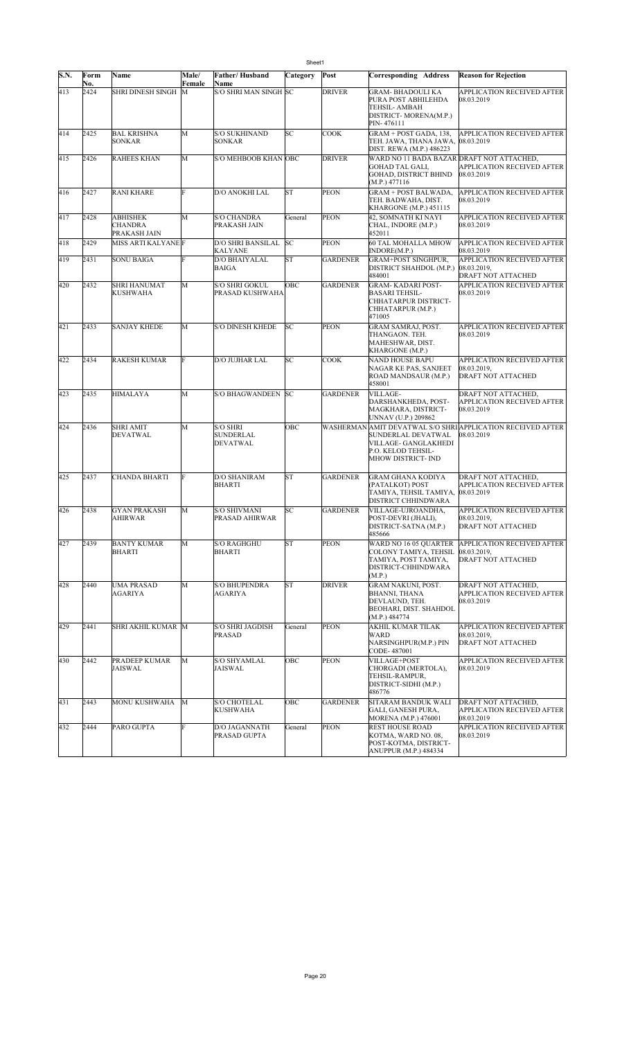|      | Sheet1      |                                            |              |                                            |           |                 |                                                                                                         |                                                                               |  |  |  |
|------|-------------|--------------------------------------------|--------------|--------------------------------------------|-----------|-----------------|---------------------------------------------------------------------------------------------------------|-------------------------------------------------------------------------------|--|--|--|
| S.N. | Form        | Name                                       | <b>Male/</b> | Father/Husband                             | Category  | Post            | Corresponding Address                                                                                   | <b>Reason for Rejection</b>                                                   |  |  |  |
| 413  | No.<br>2424 | <b>SHRI DINESH SINGH</b>                   | Female<br>М  | Name<br>S/O SHRI MAN SINGH SC              |           | <b>DRIVER</b>   | GRAM- BHADOULI KA<br>PURA POST ABHILEHDA<br>TEHSIL- AMBAH<br>DISTRICT-MORENA(M.P.)<br>PIN-476111        | APPLICATION RECEIVED AFTER<br>08.03.2019                                      |  |  |  |
| 414  | 2425        | <b>BAL KRISHNA</b><br><b>SONKAR</b>        | M            | <b>S/O SUKHINAND</b><br><b>SONKAR</b>      | SC        | <b>COOK</b>     | GRAM + POST GADA, 138,<br>TEH. JAWA, THANA JAWA,  08.03.2019<br>DIST. REWA (M.P.) 486223                | <b>APPLICATION RECEIVED AFTER</b>                                             |  |  |  |
| 415  | 2426        | <b>RAHEES KHAN</b>                         | M            | S/O MEHBOOB KHAN OBC                       |           | <b>DRIVER</b>   | WARD NO 11 BADA BAZAR DRAFT NOT ATTACHED,<br>GOHAD TAL GALI,<br>GOHAD, DISTRICT BHIND<br>(M.P.) 477116  | APPLICATION RECEIVED AFTER<br>08.03.2019                                      |  |  |  |
| 416  | 2427        | <b>RANI KHARE</b>                          | F            | D/O ANOKHI LAL                             | ST        | PEON            | <b>GRAM + POST BALWADA,</b><br>TEH. BADWAHA, DIST.<br>KHARGONE (M.P.) 451115                            | <b>APPLICATION RECEIVED AFTER</b><br>08.03.2019                               |  |  |  |
| 417  | 2428        | <b>ABHISHEK</b><br>CHANDRA<br>PRAKASH JAIN | М            | <b>S/O CHANDRA</b><br><b>PRAKASH JAIN</b>  | General   | <b>PEON</b>     | 42, SOMNATH KI NAYI<br>CHAL, INDORE (M.P.)<br>452011                                                    | APPLICATION RECEIVED AFTER<br>08.03.2019                                      |  |  |  |
| 418  | 2429        | MISS ARTI KALYANE F                        |              | <b>D/O SHRI BANSILAL</b><br><b>KALYANE</b> | SC        | <b>PEON</b>     | 60 TAL MOHALLA MHOW<br>INDORE(M.P.)                                                                     | <b>APPLICATION RECEIVED AFTER</b><br>08.03.2019                               |  |  |  |
| 419  | 2431        | <b>SONU BAIGA</b>                          | Ė            | D/O BHAIYALAL<br><b>BAIGA</b>              | ST        | <b>GARDENER</b> | <b>GRAM+POST SINGHPUR,</b><br>DISTRICT SHAHDOL (M.P.)<br>484001                                         | <b>APPLICATION RECEIVED AFTER</b><br>08.03.2019,<br><b>DRAFT NOT ATTACHED</b> |  |  |  |
| 420  | 2432        | SHRI HANUMAT<br>KUSHWAHA                   | М            | S/O SHRI GOKUL<br><b>PRASAD KUSHWAHA</b>   | ОВС       | <b>GARDENER</b> | GRAM-KADARI POST-<br><b>BASARI TEHSIL-</b><br>CHHATARPUR DISTRICT-<br>CHHATARPUR (M.P.)<br>471005       | APPLICATION RECEIVED AFTER<br>08.03.2019                                      |  |  |  |
| 421  | 2433        | <b>SANJAY KHEDE</b>                        | M            | <b>S/O DINESH KHEDE</b>                    | SC        | <b>PEON</b>     | GRAM SAMRAJ, POST.<br>THANGAON. TEH.<br>MAHESHWAR, DIST.<br>KHARGONE (M.P.)                             | <b>APPLICATION RECEIVED AFTER</b><br>08.03.2019                               |  |  |  |
| 422  | 2434        | RAKESH KUMAR                               | F            | D/O JUJHAR LAL                             | SС        | <b>COOK</b>     | NAND HOUSE BAPU<br>NAGAR KE PAS, SANJEET<br>ROAD MANDSAUR (M.P.)<br>458001                              | APPLICATION RECEIVED AFTER<br>08.03.2019.<br><b>DRAFT NOT ATTACHED</b>        |  |  |  |
| 423  | 2435        | <b>HIMALAYA</b>                            | M            | <b>S/O BHAGWANDEEN</b>                     | <b>SC</b> | <b>GARDENER</b> | VILLAGE-<br>DARSHANKHEDA, POST-<br>MAGKHARA, DISTRICT-<br>UNNAV (U.P.) 209862                           | DRAFT NOT ATTACHED,<br><b>APPLICATION RECEIVED AFTER</b><br>08.03.2019        |  |  |  |
| 424  | 2436        | SHRI AMIT<br>DEVATWAL                      | M            | S/O SHRI<br><b>SUNDERLAL</b><br>DEVATWAL   | OBC       |                 | SUNDERLAL DEVATWAL<br>VILLAGE- GANGLAKHEDI<br>P.O. KELOD TEHSIL-<br>MHOW DISTRICT- IND                  | WASHERMAN AMIT DEVATWAL S/O SHRI APPLICATION RECEIVED AFTER<br>08.03.2019     |  |  |  |
| 425  | 2437        | CHANDA BHARTI                              | F            | D/O SHANIRAM<br><b>BHARTI</b>              | <b>ST</b> | <b>GARDENER</b> | GRAM GHANA KODIYA<br>(PATALKOT) POST<br>TAMIYA, TEHSIL TAMIYA,<br>DISTRICT CHHINDWARA                   | DRAFT NOT ATTACHED,<br>APPLICATION RECEIVED AFTER<br>08.03.2019               |  |  |  |
| 426  | 2438        | <b>GYAN PRAKASH</b><br><b>AHIRWAR</b>      | М            | <b>S/O SHIVMANI</b><br>PRASAD AHIRWAR      | SС        | <b>GARDENER</b> | VILLAGE-UJROANDHA,<br>POST-DEVRI (JHALI),<br>DISTRICT-SATNA (M.P.)<br>485666                            | <b>APPLICATION RECEIVED AFTER</b><br>08.03.2019,<br><b>DRAFT NOT ATTACHED</b> |  |  |  |
| 427  | 2439        | <b>BANTY KUMAR</b><br><b>BHARTI</b>        | M            | <b>S/O RAGHGHU</b><br><b>BHARTI</b>        | ST        | <b>PEON</b>     | WARD NO 16 05 OUARTER<br>COLONY TAMIYA, TEHSIL<br>TAMIYA, POST TAMIYA,<br>DISTRICT-CHHINDWARA<br>(M.P.) | <b>APPLICATION RECEIVED AFTER</b><br>08.03.2019,<br>DRAFT NOT ATTACHED        |  |  |  |
| 428  | 2440        | <b>UMA PRASAD</b><br>AGARIYA               | M            | <b>S/O BHUPENDRA</b><br>AGARIYA            | <b>ST</b> | <b>DRIVER</b>   | GRAM NAKUNI, POST.<br>BHANNI, THANA<br>DEVLAUND, TEH.<br>BEOHARI, DIST. SHAHDOL<br>(M.P.) 484774        | DRAFT NOT ATTACHED,<br>APPLICATION RECEIVED AFTER<br>08.03.2019               |  |  |  |
| 429  | 2441        | SHRI AKHIL KUMAR M                         |              | S/O SHRI JAGDISH<br><b>PRASAD</b>          | General   | <b>PEON</b>     | AKHIL KUMAR TILAK<br>WARD<br>NARSINGHPUR(M.P.) PIN<br>CODE-487001                                       | <b>APPLICATION RECEIVED AFTER</b><br>08.03.2019,<br><b>DRAFT NOT ATTACHED</b> |  |  |  |
| 430  | 2442        | PRADEEP KUMAR<br>JAISWAL                   | M            | <b>S/O SHYAMLAL</b><br>JAISWAL             | ОВС       | <b>PEON</b>     | VILLAGE+POST<br>CHORGADI (MERTOLA),<br>TEHSIL-RAMPUR,<br>DISTRICT-SIDHI (M.P.)<br>486776                | <b>APPLICATION RECEIVED AFTER</b><br>08.03.2019                               |  |  |  |
| 431  | 2443        | MONU KUSHWAHA                              | M            | <b>S/O CHOTELAL</b><br><b>KUSHWAHA</b>     | OBC       | <b>GARDENER</b> | SITARAM BANDUK WALI<br>GALI, GANESH PURA,<br>MORENA (M.P.) 476001                                       | DRAFT NOT ATTACHED,<br>APPLICATION RECEIVED AFTER<br>08.03.2019               |  |  |  |
| 432  | 2444        | PARO GUPTA                                 | F            | D/O JAGANNATH<br><b>PRASAD GUPTA</b>       | General   | <b>PEON</b>     | REST HOUSE ROAD<br>KOTMA, WARD NO. 08,<br>POST-KOTMA, DISTRICT-<br>ANUPPUR (M.P.) 484334                | <b>APPLICATION RECEIVED AFTER</b><br>08.03.2019                               |  |  |  |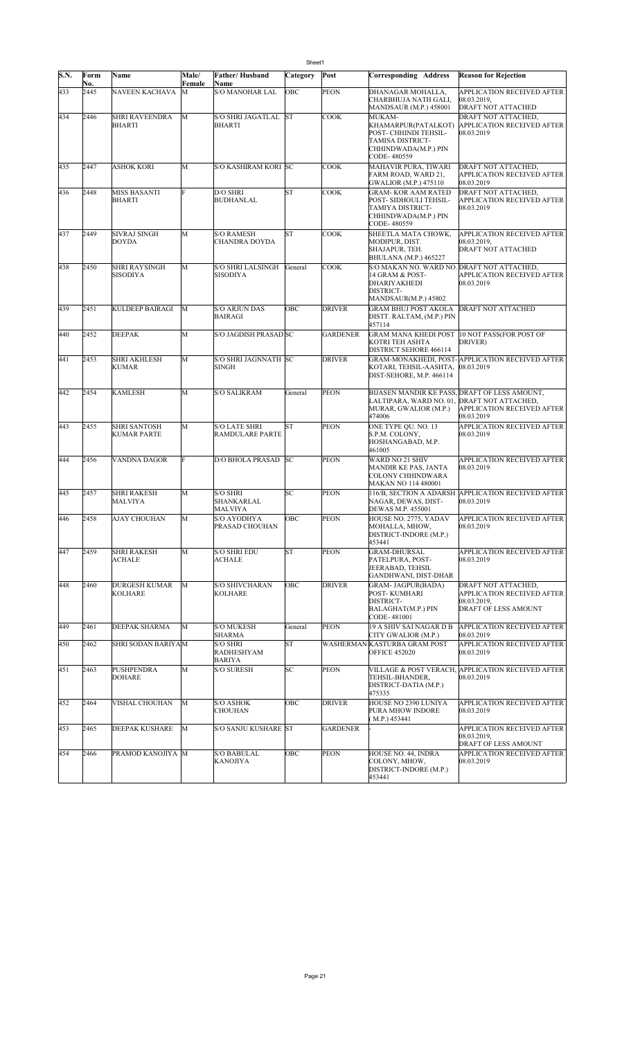| S.N. | Form<br>No. | Name                                      | Male/<br>Female | Father/Husband<br><b>Name</b>                  | Category  | Post            | <b>Corresponding Address</b>                                                                                              | <b>Reason for Rejection</b>                                                                            |
|------|-------------|-------------------------------------------|-----------------|------------------------------------------------|-----------|-----------------|---------------------------------------------------------------------------------------------------------------------------|--------------------------------------------------------------------------------------------------------|
| 433  | 2445        | <b>NAVEEN KACHAVA</b>                     | М               | <b>S/O MANOHAR LAL</b>                         | OBC       | <b>PEON</b>     | DHANAGAR MOHALLA,<br>CHARBHUJA NATH GALI,<br><b>MANDSAUR (M.P.) 458001</b>                                                | APPLICATION RECEIVED AFTER<br>08.03.2019,<br>DRAFT NOT ATTACHED                                        |
| 434  | 2446        | <b>SHRI RAVEENDRA</b><br>BHARTI           | M               | <b>S/O SHRI JAGATLAL</b><br><b>BHARTI</b>      | <b>ST</b> | <b>COOK</b>     | MUKAM-<br>KHAMARPUR(PATALKOT)<br>POST- CHHINDI TEHSIL-<br>TAMISA DISTRICT-<br>CHHINDWADA(M.P.) PIN<br>CODE-480559         | DRAFT NOT ATTACHED,<br><b>APPLICATION RECEIVED AFTER</b><br>08.03.2019                                 |
| 435  | 2447        | <b>ASHOK KORI</b>                         | M               | S/O KASHIRAM KORI SC                           |           | <b>COOK</b>     | MAHAVIR PURA, TIWARI<br>FARM ROAD, WARD 21,<br>GWALIOR (M.P.) 475110                                                      | DRAFT NOT ATTACHED,<br>APPLICATION RECEIVED AFTER<br>08.03.2019                                        |
| 436  | 2448        | <b>MISS BASANTI</b><br><b>BHARTI</b>      | F               | D/O SHRI<br><b>BUDHANLAL</b>                   | <b>ST</b> | <b>COOK</b>     | GRAM-KOR AAM RATED<br>POST- SIDHOULI TEHSIL-<br>TAMIYA DISTRICT-<br>CHHINDWADA(M.P.) PIN<br>CODE-480559                   | DRAFT NOT ATTACHED,<br>APPLICATION RECEIVED AFTER<br>08.03.2019                                        |
| 437  | 2449        | <b>SIVRAJ SINGH</b><br><b>DOYDA</b>       | M               | <b>S/O RAMESH</b><br>CHANDRA DOYDA             | <b>ST</b> | <b>COOK</b>     | SHEETLA MATA CHOWK,<br>MODIPUR, DIST.<br>SHAJAPUR, TEH.<br><b>BHULANA</b> (M.P.) 465227                                   | APPLICATION RECEIVED AFTER<br>08.03.2019.<br>DRAFT NOT ATTACHED                                        |
| 438  | 2450        | <b>SHRI RAYSINGH</b><br><b>SISODIYA</b>   | M               | <b>S/O SHRI LALSINGH</b><br>SISODIYA           | General   | COOK            | S/O MAKAN NO. WARD NO. DRAFT NOT ATTACHED,<br>14 GRAM & POST-<br><b>DHARIYAKHEDI</b><br>DISTRICT-<br>MANDSAUR(M.P.) 45802 | APPLICATION RECEIVED AFTER<br>08.03.2019                                                               |
| 439  | 2451        | KULDEEP BAIRAGI                           | M               | S/O ARJUN DAS<br>BAIRAGI                       | OBC       | <b>DRIVER</b>   | GRAM BHUJ POST AKOLA<br>DISTT. RALTAM, (M.P.) PIN<br>457114                                                               | <b>DRAFT NOT ATTACHED</b>                                                                              |
| 440  | 2452        | <b>DEEPAK</b>                             | M               | S/O JAGDISH PRASAD SC                          |           | <b>GARDENER</b> | <b>GRAM MANA KHEDI POST</b><br>KOTRI TEH ASHTA<br>DISTRICT SEHORE 466114                                                  | 10 NOT PASS(FOR POST OF<br>DRIVER)                                                                     |
| 441  | 2453        | <b>SHRI AKHLESH</b><br><b>KUMAR</b>       | M               | S/O SHRI JAGNNATH SC<br><b>SINGH</b>           |           | <b>DRIVER</b>   | KOTARI, TEHSIL-AASHTA,<br>DIST-SEHORE, M.P. 466114                                                                        | GRAM-MONAKHEDI, POST-APPLICATION RECEIVED AFTER<br>08.03.2019                                          |
| 442  | 2454        | <b>KAMLESH</b>                            | M               | <b>S/O SALIKRAM</b>                            | General   | <b>PEON</b>     | LALTIPARA, WARD NO. 01, DRAFT NOT ATTACHED,<br>MURAR, GWALIOR (M.P.)<br>474006                                            | BIJASEN MANDIR KE PASS, DRAFT OF LESS AMOUNT,<br>APPLICATION RECEIVED AFTER<br>08.03.2019              |
| 443  | 2455        | <b>SHRI SANTOSH</b><br><b>KUMAR PARTE</b> | M               | <b>S/O LATE SHRI</b><br><b>RAMDULARE PARTE</b> | <b>ST</b> | <b>PEON</b>     | ONE TYPE QU. NO. 13<br>S.P.M. COLONY,<br>HOSHANGABAD, M.P.<br>461005                                                      | APPLICATION RECEIVED AFTER<br>08.03.2019                                                               |
| 444  | 2456        | VANDNA DAGOR                              | F               | <b>D/O BHOLA PRASAD</b>                        | <b>SC</b> | <b>PEON</b>     | WARD NO 21 SHIV<br>MANDIR KE PAS, JANTA<br>COLONY CHHINDWARA<br><b>MAKAN NO 114 480001</b>                                | APPLICATION RECEIVED AFTER<br>08.03.2019                                                               |
| 445  | 2457        | <b>SHRI RAKESH</b><br>MALVIYA             | M               | S/O SHRI<br>SHANKARLAL<br><b>MALVIYA</b>       | SC        | <b>PEON</b>     | NAGAR, DEWAS, DIST-<br>DEWAS M.P. 455001                                                                                  | 116/B, SECTION A ADARSH APPLICATION RECEIVED AFTER<br>08.03.2019                                       |
| 446  | 2458        | AJAY CHOUHAN                              | M               | S/O AYODHYA<br>PRASAD CHOUHAN                  | OBC       | <b>PEON</b>     | HOUSE NO. 2775, YADAV<br>MOHALLA, MHOW.<br>DISTRICT-INDORE (M.P.)<br>453441                                               | <b>APPLICATION RECEIVED AFTER</b><br>08.03.2019                                                        |
| 447  | 2459        | <b>SHRI RAKESH</b><br>ACHALE              | M               | <b>S/O SHRI EDU</b><br><b>ACHALE</b>           | <b>ST</b> | <b>PEON</b>     | <b>GRAM-DHURSAL</b><br>PATELPURA, POST-<br>JEERABAD, TEHSIL<br>GANDHWANI, DIST-DHAR                                       | APPLICATION RECEIVED AFTER<br>08.03.2019                                                               |
| 448  | 2460        | <b>DURGESH KUMAR</b><br><b>KOLHARE</b>    | М               | <b>S/O SHIVCHARAN</b><br><b>KOLHARE</b>        | OBC       | <b>DRIVER</b>   | GRAM- JAGPUR(BADA)<br>POST-KUMHARI<br>DISTRICT-<br>BALAGHAT(M.P.) PIN<br>CODE-481001                                      | DRAFT NOT ATTACHED,<br><b>APPLICATION RECEIVED AFTER</b><br>08.03.2019.<br><b>DRAFT OF LESS AMOUNT</b> |
| 449  | 2461        | DEEPAK SHARMA                             | M               | <b>S/O MUKESH</b><br>SHARMA                    | General   | <b>PEON</b>     | 19 A SHIV SAI NAGAR D B<br> CITY GWALIOR (M.P.)                                                                           | APPLICATION RECEIVED AFTER<br>08.03.2019                                                               |
| 450  | 2462        | SHRI SODAN BARIYAM                        |                 | <b>S/O SHRI</b><br>RADHESHYAM<br>BARIYA        | <b>ST</b> |                 | WASHERMAN KASTURBA GRAM POST<br><b>OFFICE 452020</b>                                                                      | APPLICATION RECEIVED AFTER<br>08.03.2019                                                               |
| 451  | 2463        | PUSHPENDRA<br>DOHARE                      | M               | S/O SURESH                                     | SC        | <b>PEON</b>     | TEHSIL-BHANDER,<br>DISTRICT-DATIA (M.P.)<br>475335                                                                        | VILLAGE & POST VERACH, APPLICATION RECEIVED AFTER<br>08.03.2019                                        |
| 452  | 2464        | VISHAL CHOUHAN                            | М               | <b>S/O ASHOK</b><br><b>CHOUHAN</b>             | OBC       | <b>DRIVER</b>   | HOUSE NO 2390 LUNIYA<br>PURA MHOW INDORE<br>(M.P.) 453441                                                                 | APPLICATION RECEIVED AFTER<br>08.03.2019                                                               |
| 453  | 2465        | DEEPAK KUSHARE                            | М               | S/O SANJU KUSHARE ST                           |           | <b>GARDENER</b> |                                                                                                                           | APPLICATION RECEIVED AFTER<br>08.03.2019.<br><b>DRAFT OF LESS AMOUNT</b>                               |
| 454  | 2466        | PRAMOD KANOJIYA M                         |                 | <b>S/O BABULAL</b><br><b>KANOJIYA</b>          | OBC       | <b>PEON</b>     | HOUSE NO. 44, INDRA<br>COLONY, MHOW,<br>DISTRICT-INDORE (M.P.)<br>453441                                                  | APPLICATION RECEIVED AFTER<br>08.03.2019                                                               |